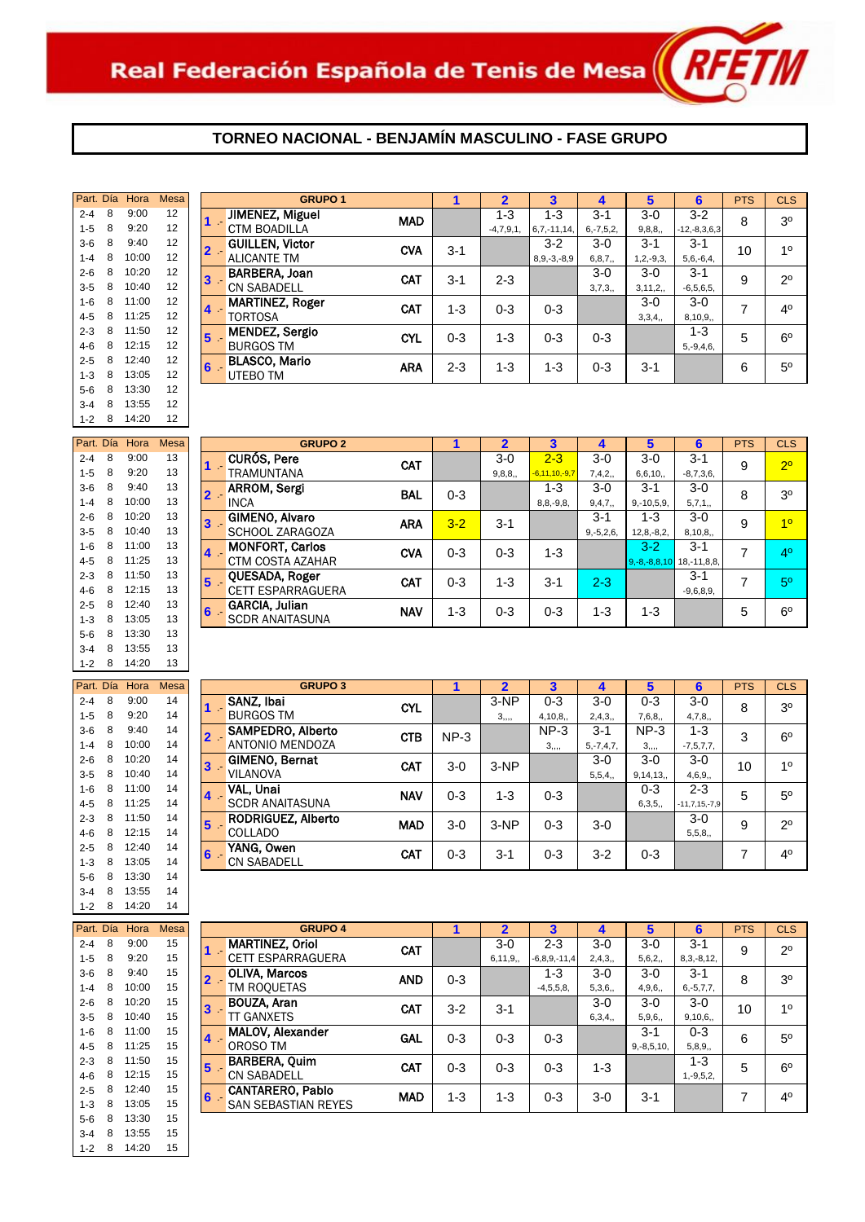

# **TORNEO NACIONAL - BENJAMÍN MASCULINO - FASE GRUPO**

| Part. Día |   | Hora  | Mesa |   | GI                    |
|-----------|---|-------|------|---|-----------------------|
| $2 - 4$   | 8 | 9:00  | 12   |   | JIMENEZ, Migu         |
| $1 - 5$   | 8 | 9:20  | 12   |   | <b>CTM BOADILLA</b>   |
| $3-6$     | 8 | 9:40  | 12   | 2 | <b>GUILLEN. Victo</b> |
| $1 - 4$   | 8 | 10:00 | 12   |   | <b>ALICANTE TM</b>    |
| $2 - 6$   | 8 | 10:20 | 12   | 3 | <b>BARBERA, Joar</b>  |
| $3 - 5$   | 8 | 10:40 | 12   |   | <b>CN SABADELL</b>    |
| $1 - 6$   | 8 | 11:00 | 12   | 4 | <b>MARTINEZ, Rog</b>  |
| $4 - 5$   | 8 | 11:25 | 12   |   | <b>TORTOSA</b>        |
| $2 - 3$   | 8 | 11:50 | 12   | 5 | <b>MENDEZ, Sergi</b>  |
| $4-6$     | 8 | 12:15 | 12   |   | <b>BURGOS TM</b>      |
| $2 - 5$   | 8 | 12:40 | 12   | 6 | <b>BLASCO, Mario</b>  |
| $1 - 3$   | 8 | 13:05 | 12   |   | UTEBO TM              |
| $5-6$     | 8 | 13:30 | 12   |   |                       |
| $3 - 4$   | 8 | 13:55 | 12   |   |                       |
| $1 - 2$   | 8 | 14:20 | 12   |   |                       |

| G                     |   | <b>Mesa</b> | Hora  |   | Part. Día |
|-----------------------|---|-------------|-------|---|-----------|
| <b>CURÓS, Pere</b>    |   | 13          | 9:00  | 8 | $2 - 4$   |
| TRAMUNTANA            |   | 13          | 9:20  | 8 | $1 - 5$   |
| <b>ARROM, Sergi</b>   |   | 13          | 9:40  | 8 | $3-6$     |
| <b>INCA</b>           |   | 13          | 10:00 | 8 | $1 - 4$   |
| <b>GIMENO, Alvar</b>  | 3 | 13          | 10:20 | 8 | $2 - 6$   |
| <b>SCHOOL ZARA</b>    |   | 13          | 10:40 | 8 | $3 - 5$   |
| <b>MONFORT, Car</b>   |   | 13          | 11:00 | 8 | $1 - 6$   |
| CTM COSTA AZ          |   | 13          | 11:25 | 8 | $4 - 5$   |
| <b>OUESADA, Rog</b>   |   | 13          | 11:50 | 8 | $2 - 3$   |
| <b>CETT ESPARRA</b>   | 5 | 13          | 12:15 | 8 | $4-6$     |
| <b>GARCIA, Julian</b> | 6 | 13          | 12:40 | 8 | $2 - 5$   |
| <b>SCDR ANAITAS</b>   |   | 13          | 13:05 | 8 | $1 - 3$   |
|                       |   | 13          | 13:30 | 8 | $5-6$     |
|                       |   | 13          | 13:55 | 8 | $3 - 4$   |
|                       |   | 13          | 14:20 | 8 | $1 - 2$   |

| Part. Día |   | Hora  | <b>Mesa</b> |   |                     |
|-----------|---|-------|-------------|---|---------------------|
| $2 - 4$   | 8 | 9:00  | 14          |   | SANZ, Ibai          |
| $1 - 5$   | 8 | 9:20  | 14          |   | <b>BURGOS TM</b>    |
| $3-6$     | 8 | 9:40  | 14          | 2 | SAMPEDRO. /         |
| $1 - 4$   | 8 | 10:00 | 14          |   | <b>ANTONIO MEN</b>  |
| $2 - 6$   | 8 | 10:20 | 14          | 3 | <b>GIMENO, Berr</b> |
| $3 - 5$   | 8 | 10:40 | 14          |   | <b>VILANOVA</b>     |
| $1 - 6$   | 8 | 11:00 | 14          | 4 | VAL, Unai           |
| $4 - 5$   | 8 | 11:25 | 14          |   | <b>SCDR ANAITAS</b> |
| $2 - 3$   | 8 | 11:50 | 14          | 5 | <b>RODRIGUEZ.</b>   |
| $4-6$     | 8 | 12:15 | 14          |   | <b>COLLADO</b>      |
| $2 - 5$   | 8 | 12:40 | 14          | 6 | YANG, Owen          |
| $1 - 3$   | 8 | 13:05 | 14          |   | <b>CN SABADELL</b>  |
| $5-6$     | 8 | 13:30 | 14          |   |                     |
| $3 - 4$   | 8 | 13:55 | 14          |   |                     |
| $1 - 2$   | 8 | 14:20 | 14          |   |                     |

| Part, Día |   | Hora  | Mesa |
|-----------|---|-------|------|
| $2 - 4$   | 8 | 9:00  | 15   |
| $1 - 5$   | 8 | 9:20  | 15   |
| $3-6$     | 8 | 9:40  | 15   |
| $1 - 4$   | 8 | 10:00 | 15   |
| $2 - 6$   | 8 | 10:20 | 15   |
| 3-5       | 8 | 10:40 | 15   |
| $1 - 6$   | 8 | 11:00 | 15   |
| $4 - 5$   | 8 | 11:25 | 15   |
| $2 - 3$   | 8 | 11:50 | 15   |
| $4-6$     | 8 | 12:15 | 15   |
| $2 - 5$   | 8 | 12:40 | 15   |
| $1 - 3$   | 8 | 13:05 | 15   |
| $5-6$     | 8 | 13:30 | 15   |
| $3 - 4$   | 8 | 13:55 | 15   |
| $1 - 2$   | 8 | 14:20 | 15   |

| Part. Día     |   | Hora    | <b>Mesa</b> |       | <b>GRUPO 1</b>         |            |         |             |                   |                |                | 6                  | <b>PTS</b> | <b>CLS</b>     |
|---------------|---|---------|-------------|-------|------------------------|------------|---------|-------------|-------------------|----------------|----------------|--------------------|------------|----------------|
| $2 - 4$       | 8 | 9:00    | 12          |       | JIMENEZ, Miguel        | <b>MAD</b> |         | $1 - 3$     | $1 - 3$           | $3 - 1$        | $3-0$          | $3 - 2$            | 8          | 3 <sup>0</sup> |
| $1 - 5$       | 8 | 9:20    | 12          | 67    | <b>CTM BOADILLA</b>    |            |         | $-4,7,9,1,$ | $6,7,-11,14$      | $6, -7, 5, 2,$ | 9,8,8,         | $-12, -8, 3, 6, 3$ |            |                |
| $3-6$         | 8 | 9:40    | 12          | 2 -   | <b>GUILLEN, Victor</b> | <b>CVA</b> | $3 - 1$ |             | $3-2$             | $3-0$          | $3 - 1$        | $3 - 1$            | 10         | 10             |
| $1 - 4$       | 8 | 10:00   | 12          |       | <b>ALICANTE TM</b>     |            |         |             | $8, 9, -3, -8, 9$ | 6, 8, 7,       | $1, 2, -9, 3,$ | $5,6,-6,4,$        |            |                |
| $2 - 6$       | 8 | 10:20   | 12          | 3     | BARBERA, Joan          | <b>CAT</b> | $3 - 1$ | $2 - 3$     |                   | $3-0$          | $3-0$          | $3 - 1$            | 9          | $2^{\circ}$    |
| $3 - 5$       | 8 | 10:40   | 12          |       | <b>CN SABADELL</b>     |            |         |             |                   | 3,7,3,         | 3, 11, 2,      | $-6,5,6,5,$        |            |                |
| $1-6$         | 8 | 11:00   | 12          | 4     | <b>MARTINEZ, Roger</b> | <b>CAT</b> | $1 - 3$ | $0 - 3$     | $0 - 3$           |                | $3-0$          | 3-0                | ⇁          | 4 <sup>0</sup> |
| 4-5           | 8 | 11:25   | 12          |       | <b>TORTOSA</b>         |            |         |             |                   |                | 3,3,4,         | 8,10,9,            |            |                |
| $2 - 3$       | 8 | 11:50   | 12          | 5     | <b>MENDEZ, Sergio</b>  | <b>CYL</b> | $0 - 3$ | $1 - 3$     | $0 - 3$           | $0 - 3$        |                | 1-3                | 5          | $6^{\circ}$    |
| 4-6           | 8 | 12:15   | 12          |       | <b>BURGOS TM</b>       |            |         |             |                   |                |                | $5, -9, 4, 6,$     |            |                |
| $2 - 5$       | 8 | 12:40   | 12          | $6 -$ | <b>BLASCO, Mario</b>   | ARA        | $2 - 3$ | 1-3         | $1 - 3$           | $0 - 3$        | $3 - 1$        |                    | 6          | $5^{\circ}$    |
| $1 - 3$       | 8 | 13:05   | 12          |       | UTEBO TM               |            |         |             |                   |                |                |                    |            |                |
| $\sim$ $\sim$ |   | 0.12.20 | 12          |       |                        |            |         |             |                   |                |                |                    |            |                |

| Part. Día |   | Hora  | Mesa |                  | <b>GRUPO 2</b>           |            |         | າ       |                     |                |                                   | 6           | <b>PTS</b> | <b>CLS</b>     |
|-----------|---|-------|------|------------------|--------------------------|------------|---------|---------|---------------------|----------------|-----------------------------------|-------------|------------|----------------|
| $2 - 4$   | 8 | 9:00  | 13   |                  | <b>CURÓS, Pere</b>       | <b>CAT</b> |         | $3-0$   | $2 - 3$             | $3-0$          | $3-0$                             | $3 - 1$     | 9          | 2 <sup>o</sup> |
| $1 - 5$   | 8 | 9:20  | 13   |                  | TRAMUNTANA               |            |         | 9,8,8,  | $-6, 11, 10, -9, 7$ | 7,4,2,         | 6,6,10,                           | $-8,7,3,6,$ |            |                |
| $3-6$     | 8 | 9:40  | 13   |                  | <b>ARROM, Sergi</b>      | <b>BAL</b> | $0 - 3$ |         | $1 - 3$             | $3-0$          | $3 - 1$                           | $3-0$       | 8          | 3 <sup>o</sup> |
| $1 - 4$   | 8 | 10:00 | 13   |                  | <b>INCA</b>              |            |         |         | $8, 8, -9, 8,$      | 9,4,7,         | $9, -10, 5, 9,$                   | 5,7,1,      |            |                |
| $2 - 6$   | 8 | 10:20 | 13   | 3                | GIMENO, Alvaro           | <b>ARA</b> | $3 - 2$ | $3 - 1$ |                     | $3 - 1$        | 1-3                               | $3-0$       | 9          | 1 <sup>0</sup> |
| $3 - 5$   | 8 | 10:40 | 13   |                  | SCHOOL ZARAGOZA          |            |         |         |                     | $9, -5, 2, 6,$ | $12,8,-8,2,$                      | 8,10,8,     |            |                |
| $1 - 6$   | 8 | 11:00 | 13   | $\blacktriangle$ | <b>MONFORT, Carlos</b>   | <b>CVA</b> | $0 - 3$ | $0 - 3$ | $1 - 3$             |                | $3-2$                             | $3 - 1$     | 7          | 4 <sup>0</sup> |
| $4 - 5$   | 8 | 11:25 | 13   |                  | CTM COSTA AZAHAR         |            |         |         |                     |                | $9, -8, -8, 8, 10$ 18, -11, 8, 8, |             |            |                |
| $2 - 3$   | 8 | 11:50 | 13   | 5                | QUESADA, Roger           | CAT        | $0 - 3$ | $1 - 3$ | $3 - 1$             | $2 - 3$        |                                   | $3 - 1$     | ⇁          | 5 <sup>0</sup> |
| 4-6       | 8 | 12:15 | 13   |                  | <b>CETT ESPARRAGUERA</b> |            |         |         |                     |                |                                   | $-9,6,8,9,$ |            |                |
| $2 - 5$   | 8 | 12:40 | 13   | 6                | <b>GARCIA, Julian</b>    | <b>NAV</b> | $1 - 3$ | $0 - 3$ | $0 - 3$             | 1-3            | 1-3                               |             | 5          | $6^{\circ}$    |
| $1 - 3$   | 8 | 13:05 | 13   |                  | <b>SCDR ANAITASUNA</b>   |            |         |         |                     |                |                                   |             |            |                |

| Part. Día |   | Hora  | <b>Mesa</b> |   | <b>GRUPO 3</b>         |            |         |         | 3       |                | 5        | 6                   | <b>PTS</b> | <b>CLS</b>     |
|-----------|---|-------|-------------|---|------------------------|------------|---------|---------|---------|----------------|----------|---------------------|------------|----------------|
|           |   |       |             |   |                        |            |         |         |         |                |          |                     |            |                |
| $2 - 4$   | 8 | 9:00  | 14          |   | SANZ, Ibai             | <b>CYL</b> |         | $3-NP$  | $0 - 3$ | $3-0$          | $0 - 3$  | $3-0$               | 8          | 3 <sup>0</sup> |
| $1 - 5$   | 8 | 9:20  | 14          |   | <b>BURGOS TM</b>       |            |         |         | 4,10,8, | 2,4,3,         | 7,6,8,   | 4,7,8,              |            |                |
| $3-6$     | 8 | 9:40  | 14          |   | SAMPEDRO, Alberto      | <b>CTB</b> | $NP-3$  |         | $NP-3$  | $3 - 1$        | $NP-3$   | $1 - 3$             | 3          | $6^{\circ}$    |
| 1-4       | 8 | 10:00 | 14          |   | ANTONIO MENDOZA        |            |         |         |         | $5, -7, 4, 7,$ |          | $-7, 5, 7, 7,$      |            |                |
| $2 - 6$   | 8 | 10:20 | 14          | 3 | <b>GIMENO, Bernat</b>  | <b>CAT</b> | $3-0$   | $3-NP$  |         | $3-0$          | $3-0$    | $3-0$               | 10         | 1 <sup>0</sup> |
| $3 - 5$   | 8 | 10:40 | 14          |   | <b>VILANOVA</b>        |            |         |         |         | 5,5,4,         | 9,14,13, | 4,6,9,              |            |                |
| $1 - 6$   | 8 | 11:00 | 14          |   | VAL. Unai              | <b>NAV</b> | $0 - 3$ | $1 - 3$ | $0 - 3$ |                | $0 - 3$  | $2 - 3$             | 5          | $5^{\circ}$    |
| $4 - 5$   | 8 | 11:25 | 14          |   | <b>SCDR ANAITASUNA</b> |            |         |         |         |                | 6,3,5,   | $-11, 7, 15, -7, 9$ |            |                |
| $2 - 3$   | 8 | 11:50 | 14          | э | RODRIGUEZ, Alberto     | <b>MAD</b> | $3-0$   | $3-NP$  | $0 - 3$ | $3-0$          |          | $3-0$               | 9          | $2^{\circ}$    |
| 4-6       | 8 | 12:15 | 14          |   | <b>COLLADO</b>         |            |         |         |         |                |          | 5,5,8,              |            |                |
| $2 - 5$   | 8 | 12:40 | 14          | 6 | YANG, Owen             | <b>CAT</b> | $0 - 3$ | $3 - 1$ | $0 - 3$ | $3 - 2$        | $0 - 3$  |                     | 7          | 4 <sup>0</sup> |
| $1 - 3$   | 8 | 13:05 | 14          |   | <b>CN SABADELL</b>     |            |         |         |         |                |          |                     |            |                |

| Part. Día |   | Hora                 | <b>Mesa</b> |                | <b>GRUPO 4</b>             |            |         |           |                    | 4       | 5               | 6              | <b>PTS</b> | <b>CLS</b>     |
|-----------|---|----------------------|-------------|----------------|----------------------------|------------|---------|-----------|--------------------|---------|-----------------|----------------|------------|----------------|
| $2 - 4$   | 8 | 9:00                 | 15          |                | <b>MARTINEZ, Oriol</b>     | CAT        |         | $3-0$     | $2 - 3$            | $3-0$   | $3-0$           | $3 - 1$        | 9          | $2^{\circ}$    |
| $1 - 5$   | 8 | 9:20                 | 15          |                | <b>CETT ESPARRAGUERA</b>   |            |         | 6, 11, 9, | $-6, 8, 9, -11, 4$ | 2,4,3,  | 5,6,2,          | $8,3,-8,12,$   |            |                |
| $3-6$     | 8 | 9:40                 | 15          |                | <b>OLIVA, Marcos</b>       | <b>AND</b> | $0 - 3$ |           | 1-3                | $3-0$   | $3-0$           | $3 - 1$        | 8          | 3 <sup>0</sup> |
| $1 - 4$   | 8 | 10:00                | 15          |                | TM ROQUETAS                |            |         |           | $-4,5,5,8,$        | 5,3,6,  | 4,9,6,          | $6, -5, 7, 7,$ |            |                |
| $2 - 6$   | 8 | 10:20                | 15          |                | BOUZA, Aran                | <b>CAT</b> | $3 - 2$ | $3 - 1$   |                    | $3-0$   | $3-0$           | $3-0$          | 10         | 1 <sup>0</sup> |
| $3-5$     | 8 | 10:40                | 15          |                | <b>TT GANXETS</b>          |            |         |           |                    | 6,3,4,  | 5,9,6,          | 9,10,6,        |            |                |
| $1 - 6$   | 8 | 11:00                | 15          | $\overline{4}$ | MALOV, Alexander           | <b>GAL</b> | $0 - 3$ | $0 - 3$   | $0 - 3$            |         | $3 - 1$         | $0 - 3$        | 6          | 5 <sup>0</sup> |
| $4 - 5$   | 8 | 11:25                | 15          |                | OROSO TM                   |            |         |           |                    |         | $9, -8, 5, 10,$ | 5,8,9,         |            |                |
| $2 - 3$   | 8 | 11:50                | 15          | 5              | <b>BARBERA, Ouim</b>       | <b>CAT</b> | $0 - 3$ | $0 - 3$   | $0 - 3$            | $1 - 3$ |                 | $1 - 3$        | 5          | $6^{\circ}$    |
| 4-6       | 8 | 12:15                | 15          |                | <b>CN SABADELL</b>         |            |         |           |                    |         |                 | $1, -9, 5, 2,$ |            |                |
| $2 - 5$   | 8 | 12:40                | 15          | $6 -$          | <b>CANTARERO, Pablo</b>    | <b>MAD</b> | $1 - 3$ | 1-3       | $0 - 3$            | $3-0$   | $3 - 1$         |                | 7          | 4 <sup>0</sup> |
| $1 - 3$   | 8 | 13:05                | 15          |                | <b>SAN SEBASTIAN REYES</b> |            |         |           |                    |         |                 |                |            |                |
|           |   | $\sim$ $\sim$ $\sim$ |             |                |                            |            |         |           |                    |         |                 |                |            |                |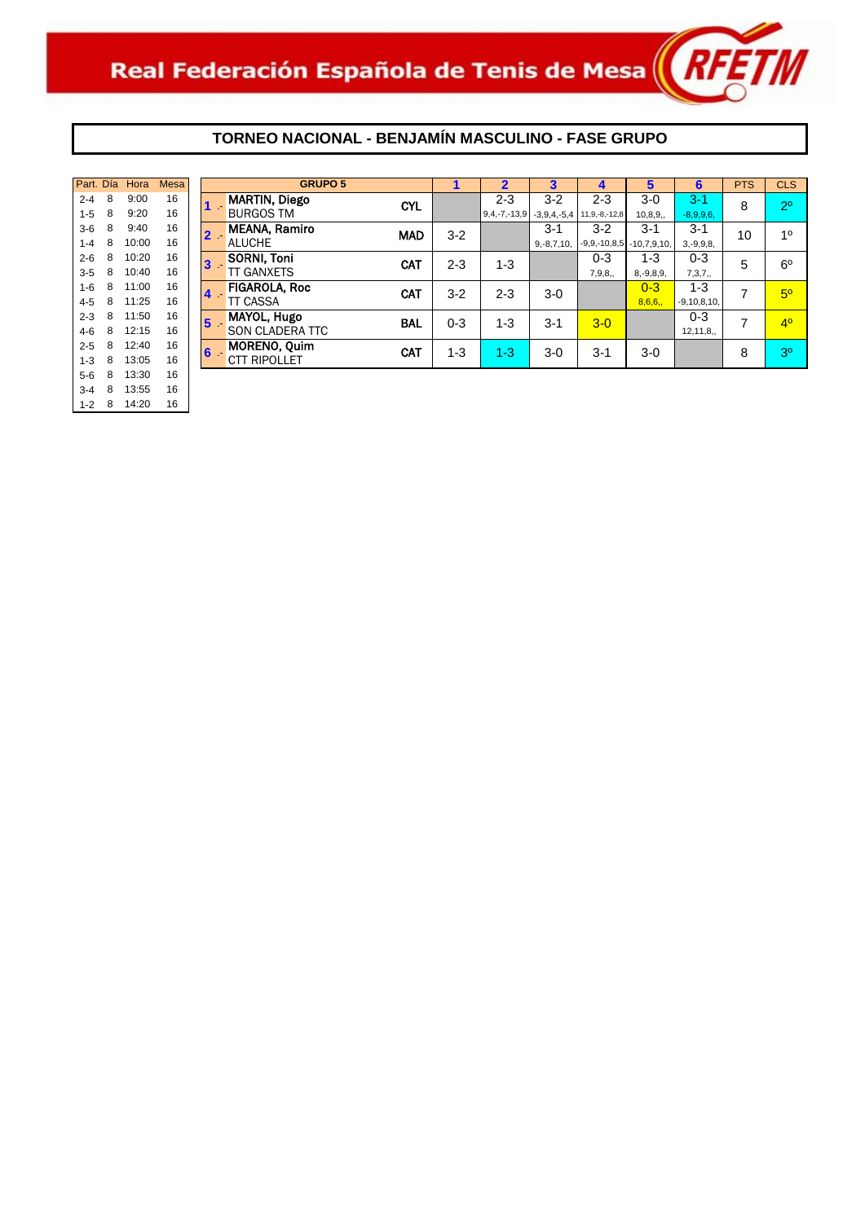

# **TORNEO NACIONAL - BENJAMÍN MASCULINO - FASE GRUPO**

| Part. Día |   | Hora  | <b>Mesa</b> |   | GR                   |
|-----------|---|-------|-------------|---|----------------------|
| $2 - 4$   | 8 | 9:00  | 16          |   | <b>MARTIN, Diego</b> |
| $1 - 5$   | 8 | 9:20  | 16          |   | <b>BURGOS TM</b>     |
| $3-6$     | 8 | 9:40  | 16          | 2 | <b>MEANA, Ramiro</b> |
| $1 - 4$   | 8 | 10:00 | 16          |   | <b>ALUCHE</b>        |
| $2 - 6$   | 8 | 10:20 | 16          |   | <b>SORNI. Toni</b>   |
| $3 - 5$   | 8 | 10:40 | 16          |   | <b>TT GANXETS</b>    |
| $1 - 6$   | 8 | 11:00 | 16          |   | <b>FIGAROLA, Roc</b> |
| $4 - 5$   | 8 | 11:25 | 16          |   | <b>TT CASSA</b>      |
| $2 - 3$   | 8 | 11:50 | 16          | 5 | MAYOL, Hugo          |
| $4-6$     | 8 | 12:15 | 16          |   | <b>SON CLADERA T</b> |
| $2 - 5$   | 8 | 12:40 | 16          | 6 | <b>MORENO, Ouim</b>  |
| $1 - 3$   | 8 | 13:05 | 16          |   | <b>CTT RIPOLLET</b>  |
| $5-6$     | 8 | 13:30 | 16          |   |                      |
| $3 - 4$   | 8 | 13:55 | 16          |   |                      |
| $1 - 2$   | 8 | 14:20 | 16          |   |                      |

| Part. Día |   | Hora  | <b>Mesa</b> |   | <b>GRUPO 5</b>       |            |         | $\overline{2}$     | 3               | 4                           | 5              | 6                | <b>PTS</b> | <b>CLS</b>     |
|-----------|---|-------|-------------|---|----------------------|------------|---------|--------------------|-----------------|-----------------------------|----------------|------------------|------------|----------------|
| $2 - 4$   | 8 | 9:00  | 16          |   | <b>MARTIN, Diego</b> | <b>CYL</b> |         | $2 - 3$            | $3 - 2$         | $2 - 3$                     | $3-0$          | $3 - 1$          | 8          | 2 <sup>0</sup> |
| $1 - 5$   | 8 | 9:20  | 16          |   | <b>BURGOS TM</b>     |            |         | $9, 4, -7, -13, 9$ |                 | $-3,9,4,-5,4$ 11,9,-8,-12,8 | 10, 8, 9,      | $-8,9,9,6,$      |            |                |
| $3-6$     | 8 | 9:40  | 16          |   | <b>MEANA, Ramiro</b> | <b>MAD</b> | $3 - 2$ |                    | $3-1$           | $3-2$                       | $3-1$          | $3 - 1$          | 10         | 1 <sup>0</sup> |
| $1 - 4$   | 8 | 10:00 | 16          |   | <b>ALUCHE</b>        |            |         |                    | $9, -8, 7, 10,$ | $-9,9,-10,8,5$              | $-10,7,9,10,$  | $3, -9, 9, 8,$   |            |                |
| $2 - 6$   | 8 | 10:20 | 16          | 3 | SORNI, Toni          | CAT        | $2 - 3$ | $1 - 3$            |                 | $0 - 3$                     | $1 - 3$        | $0 - 3$          | 5          | $6^{\circ}$    |
| $3 - 5$   | 8 | 10:40 | 16          |   | <b>TT GANXETS</b>    |            |         |                    |                 | 7,9,8,                      | $8, -9, 8, 9,$ | 7,3,7,           |            |                |
| $1-6$     | 8 | 11:00 | 16          | 4 | <b>FIGAROLA, Roc</b> | <b>CAT</b> | $3 - 2$ | $2 - 3$            | $3-0$           |                             | $0 - 3$        | $1 - 3$          | 7          | 5 <sup>0</sup> |
| $4 - 5$   | 8 | 11:25 | 16          |   | <b>TT CASSA</b>      |            |         |                    |                 |                             | 8,6,6,         | $-9, 10, 8, 10,$ |            |                |
| $2 - 3$   | 8 | 11:50 | 16          | 5 | <b>MAYOL, Hugo</b>   | <b>BAL</b> | $0 - 3$ | $1 - 3$            | $3-1$           | $3-0$                       |                | $0 - 3$          | 7          | 4 <sup>0</sup> |
| 4-6       | 8 | 12:15 | 16          |   | SON CLADERA TTC      |            |         |                    |                 |                             |                | 12, 11, 8,       |            |                |
| $2 - 5$   | 8 | 12:40 | 16          | 6 | MORENO, Quim         | <b>CAT</b> | $1 - 3$ | $1 - 3$            | $3-0$           | $3 - 1$                     | $3-0$          |                  | 8          | 3 <sup>0</sup> |
| $1 - 3$   | 8 | 13:05 | 16          |   | <b>CTT RIPOLLET</b>  |            |         |                    |                 |                             |                |                  |            |                |
|           |   |       | $\sim$      |   |                      |            |         |                    |                 |                             |                |                  |            |                |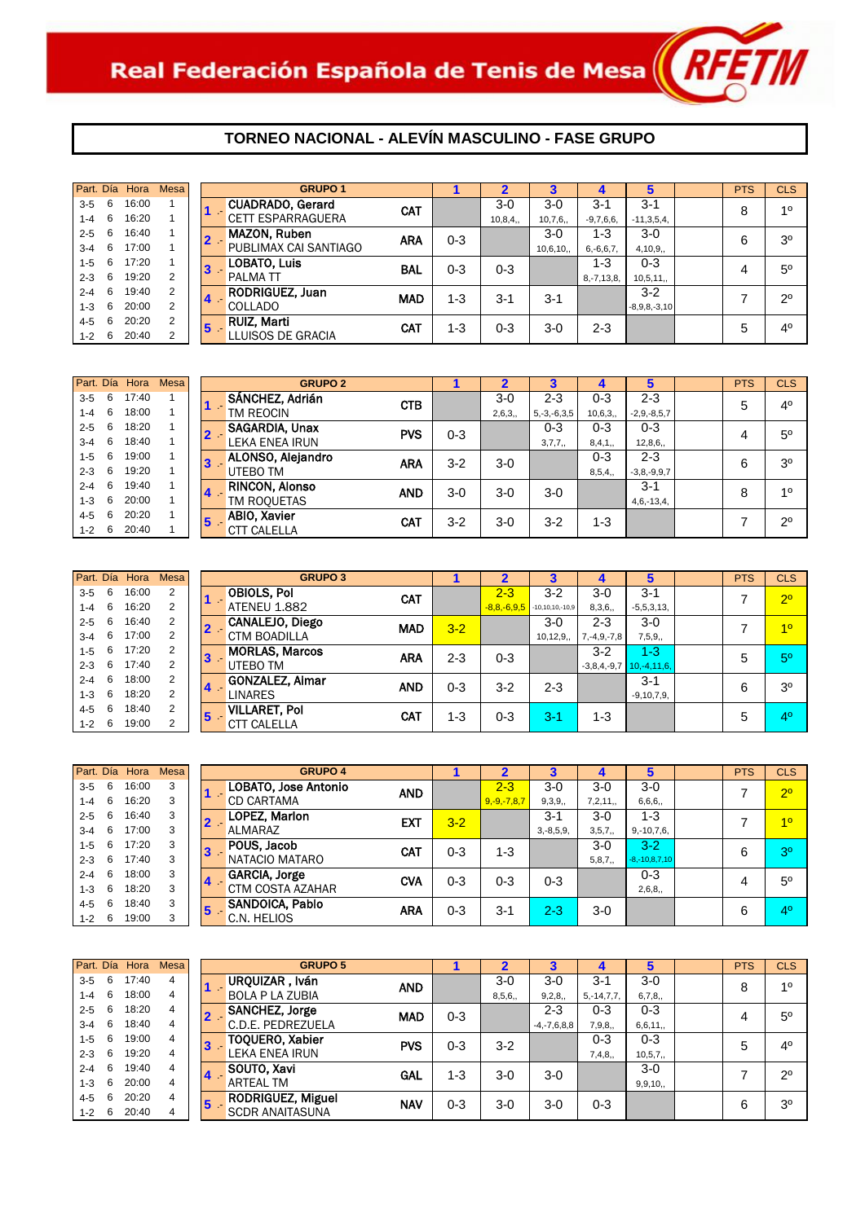

|         |    | Part. Día Hora | <b>Mesa</b> |                         | <b>GRUPO 1</b>                 |            |         |           |          |                 | 5               | <b>PTS</b> | <b>CLS</b>     |
|---------|----|----------------|-------------|-------------------------|--------------------------------|------------|---------|-----------|----------|-----------------|-----------------|------------|----------------|
| $3 - 5$ | 6  | 16:00          |             |                         | <b>CUADRADO, Gerard</b><br>1 - | <b>CAT</b> |         | $3-0$     | $3-0$    | $3 - 1$         | $3 - 1$         | 8          | 10             |
| $1 - 4$ | 6  | 16:20          |             |                         | <b>CETT ESPARRAGUERA</b>       |            |         | 10, 8, 4, | 10,7,6,  | $-9,7,6,6,$     | $-11, 3, 5, 4,$ |            |                |
| $2 - 5$ | 6  | 16:40          |             |                         | <b>MAZON, Ruben</b><br>$2 -$   | <b>ARA</b> | $0 - 3$ |           | $3-0$    | $1 - 3$         | $3-0$           | 6          | 3 <sup>o</sup> |
| $3 - 4$ | 6  | 17:00          |             |                         | PUBLIMAX CAI SANTIAGO          |            |         |           | 10,6,10, | $6, -6, 6, 7,$  | 4,10,9,         |            |                |
| $1 - 5$ | 6  | 17:20          |             | 3                       | <b>LOBATO, Luis</b>            | <b>BAL</b> | $0 - 3$ | $0 - 3$   |          | $1 - 3$         | $0 - 3$         |            | $5^{\circ}$    |
| $2 - 3$ | -6 | 19:20          | 2           |                         | <b>PALMATT</b>                 |            |         |           |          | $8, -7, 13, 8,$ | 10,5,11,        | 4          |                |
| $2 - 4$ | -6 | 19:40          | 2           | $\overline{\mathbf{4}}$ | <b>RODRIGUEZ, Juan</b>         | <b>MAD</b> | $1 - 3$ | $3 - 1$   | $3 - 1$  |                 | $3 - 2$         |            | $2^{\circ}$    |
| $1 - 3$ | 6  | 20:00          | 2           |                         | <b>COLLADO</b>                 |            |         |           |          |                 | $-8,9,8,-3,10$  |            |                |
| $4 - 5$ | 6  | 20:20          | 2           | $5\phantom{.0}$         | <b>RUIZ, Marti</b>             | <b>CAT</b> | $1 - 3$ | $0 - 3$   | $3-0$    | 2-3             |                 | 5          | 4 <sup>0</sup> |
| $1 - 2$ | 6  | 20:40          | 2           |                         | LLUISOS DE GRACIA              |            |         |           |          |                 |                 |            |                |

|         |   | Part. Día Hora | <b>Mesa</b> |    | <b>GRUPO 2</b>                 |            |         |        |                   |         | 5             | <b>PTS</b> | <b>CLS</b>     |
|---------|---|----------------|-------------|----|--------------------------------|------------|---------|--------|-------------------|---------|---------------|------------|----------------|
| $3 - 5$ | 6 | 17:40          |             |    | SÁNCHEZ, Adrián                | <b>CTB</b> |         | $3-0$  | $2 - 3$           | $0 - 3$ | $2 - 3$       | 5          | 4 <sup>0</sup> |
| $1 - 4$ | 6 | 18:00          |             |    | TM REOCIN                      |            |         | 2,6,3, | $5, -3, -6, 3, 5$ | 10,6,3, | $-2,9,-8,5,7$ |            |                |
| $2 - 5$ | 6 | 18:20          |             |    | <b>SAGARDIA, Unax</b><br>$2 -$ | <b>PVS</b> | $0 - 3$ |        | $0 - 3$           | $0 - 3$ | $0 - 3$       | 4          | $5^{\circ}$    |
| $3 - 4$ | 6 | 18:40          |             |    | LEKA ENEA IRUN                 |            |         |        | 3,7,7,            | 8,4,1,  | 12,8,6,       |            |                |
| $1 - 5$ | 6 | 19:00          |             |    | ALONSO, Alejandro              | <b>ARA</b> | $3 - 2$ | $3-0$  |                   | $0 - 3$ | $2 - 3$       | 6          | 3 <sup>o</sup> |
| $2 - 3$ | 6 | 19:20          |             | -5 | UTEBO TM                       |            |         |        |                   | 8,5,4,  | $-3,8,-9,9,7$ |            |                |
| $2 - 4$ | 6 | 19:40          |             |    | <b>RINCON, Alonso</b>          | <b>AND</b> | $3-0$   | $3-0$  | $3-0$             |         | $3 - 1$       | 8          | 10             |
| $1 - 3$ | 6 | 20:00          |             |    | TM ROOUETAS                    |            |         |        |                   |         | $4,6,-13,4,$  |            |                |
| 4-5     | 6 | 20:20          |             |    | <b>ABIO, Xavier</b>            | <b>CAT</b> | $3 - 2$ | $3-0$  | $3 - 2$           | $1 - 3$ |               |            | $2^{\circ}$    |
| $1 - 2$ | 6 | 20:40          |             | ь  | <b>CTT CALELLA</b>             |            |         |        |                   |         |               |            |                |

|         |   | Part. Día Hora | <b>Mesa</b> |                         | <b>GRUPO 3</b>         |            |         | 2                 |                       |                   | 5                             | <b>PTS</b> | <b>CLS</b>     |
|---------|---|----------------|-------------|-------------------------|------------------------|------------|---------|-------------------|-----------------------|-------------------|-------------------------------|------------|----------------|
| $3 - 5$ | 6 | 16:00          | 2           |                         | <b>OBIOLS, Pol</b>     | <b>CAT</b> |         | $2 - 3$           | $3-2$                 | $3-0$             | $3 - 1$                       | ⇁          | 2 <sup>0</sup> |
| $1 - 4$ | 6 | 16:20          | 2           |                         | <b>ATENEU 1.882</b>    |            |         | $-8, 8, -6, 9, 5$ | $-10, 10, 10, -10, 9$ | 8,3,6,            | $-5,5,3,13,$                  |            |                |
| $2 - 5$ | 6 | 16:40          | 2           | $\overline{\mathbf{2}}$ | CANALEJO, Diego        | <b>MAD</b> | $3 - 2$ |                   | $3-0$                 | $2 - 3$           | $3-0$                         | 7          | 1 <sup>0</sup> |
| $3 - 4$ | 6 | 17:00          | 2           |                         | <b>CTM BOADILLA</b>    |            |         |                   | 10, 12, 9,            | $7, -4, 9, -7, 8$ | 7,5,9,                        |            |                |
| $1 - 5$ | 6 | 17:20          | 2           | $\bf{3}$                | <b>MORLAS, Marcos</b>  | ARA        | $2 - 3$ | $0 - 3$           |                       | $3 - 2$           | $1 - 3$                       | 5          | 5 <sup>0</sup> |
| $2 - 3$ | 6 | 17:40          | 2           |                         | UTEBO TM               |            |         |                   |                       |                   | $-3,8,4,-9,7$ 10, $-4,11,6$ , |            |                |
| $2 - 4$ | 6 | 18:00          | 2           |                         | <b>GONZALEZ, Aimar</b> | <b>AND</b> | $0 - 3$ | $3 - 2$           | $2 - 3$               |                   | $3 - 1$                       | 6          | 3 <sup>o</sup> |
| $1 - 3$ | 6 | 18:20          | 2           | 4.                      | <b>LINARES</b>         |            |         |                   |                       |                   | $-9, 10, 7, 9,$               |            |                |
| 4-5     | 6 | 18:40          | 2           | 15                      | <b>VILLARET, Pol</b>   | <b>CAT</b> |         |                   |                       |                   |                               |            | 4 <sup>0</sup> |
| $1 - 2$ | 6 | 19:00          | 2           |                         | <b>CTT CALELLA</b>     |            | $1 - 3$ | $0 - 3$           | $3 - 1$               | $1 - 3$           |                               | 5          |                |
|         |   |                |             |                         |                        |            |         |                   |                       |                   |                               |            |                |

| Part. Día Hora<br><b>Mesa</b><br>16:00<br>3<br>6<br>$3 - 5$ |  |   |                    |
|-------------------------------------------------------------|--|---|--------------------|
|                                                             |  |   |                    |
|                                                             |  |   | LOBATO, Jos        |
| 3<br>16:20<br>6<br>$1 - 4$                                  |  |   | <b>CD CARTAM</b>   |
| 3<br>6<br>16:40<br>$2 - 5$                                  |  | 2 | LOPEZ, Mar         |
| 3<br>17:00<br>6<br>$3 - 4$                                  |  |   | ALMARAZ            |
| 3<br>17:20<br>6<br>$1 - 5$                                  |  |   | POUS, Jacol        |
| 3<br>6<br>17.40<br>$2 - 3$                                  |  |   | NATACIO MA         |
| 3<br>18:00<br>6<br>$2 - 4$                                  |  | 4 | <b>GARCIA, Jor</b> |
| 3<br>18:20<br>6<br>$1 - 3$                                  |  |   | <b>CTM COSTA</b>   |
| 3<br>18:40<br>6<br>$4 - 5$                                  |  | 5 | SANDOICA.          |
| 19:00<br>3<br>6<br>$1 - 2$                                  |  |   | C.N. HELIOS        |

| Part. Día |   | Hora  | Mesa |   | <b>GRUPO 4</b>                     |         | 2             | 3           | 4        | 5                   | <b>PTS</b> | <b>CLS</b>     |
|-----------|---|-------|------|---|------------------------------------|---------|---------------|-------------|----------|---------------------|------------|----------------|
| $3 - 5$   | 6 | 16:00 | 3    |   | LOBATO, Jose Antonio<br><b>AND</b> |         | $2 - 3$       | $3-0$       | $3-0$    | $3-0$               |            | $2^{\circ}$    |
| 1-4       | 6 | 16:20 | 3    |   | <b>CD CARTAMA</b>                  |         | $9,-9,-7,8,7$ | 9,3,9,      | 7,2,11,  | 6,6,6,              |            |                |
| $2 - 5$   | 6 | 16:40 | 3    |   | LOPEZ, Marlon<br><b>EXT</b>        | $3 - 2$ |               | $3 - 1$     | $3-0$    | $1 - 3$             |            | 1 <sup>0</sup> |
| $3 - 4$   | 6 | 17:00 | 3    |   | ALMARAZ                            |         |               | $3,-8,5,9,$ | 3, 5, 7, | $9,-10,7,6$         |            |                |
| $1 - 5$   | 6 | 17:20 | 3    | 3 | POUS, Jacob<br>CAT                 | $0 - 3$ | $1 - 3$       |             | $3-0$    | $3 - 2$             | 6          | 3 <sup>o</sup> |
| $2 - 3$   | 6 | 17:40 | 3    |   | NATACIO MATARO                     |         |               |             | 5,8,7,   | $-8, -10, 8, 7, 10$ |            |                |
| $2 - 4$   | 6 | 18:00 | 3    | 4 | <b>GARCIA, Jorge</b><br><b>CVA</b> | $0 - 3$ | $0 - 3$       | $0 - 3$     |          | $0 - 3$             | 4          | $5^{\circ}$    |
| $1 - 3$   | 6 | 18:20 | 3    |   | CTM COSTA AZAHAR                   |         |               |             |          | 2,6,8,              |            |                |
| 4-5       | 6 | 18:40 | 3    |   | SANDOICA, Pablo<br><b>ARA</b>      | $0 - 3$ | $3 - 1$       | $2 - 3$     | $3-0$    |                     | 6          | 40'            |
| $1 - 2$   | 6 | 19:00 | 3    | э | C.N. HELIOS                        |         |               |             |          |                     |            |                |

|         |     | Part. Día Hora | <b>Mesa</b>    |                | <b>GRUPO 5</b>           |            |         | 2      |                   |                 | 5         | <b>PTS</b> | <b>CLS</b>     |
|---------|-----|----------------|----------------|----------------|--------------------------|------------|---------|--------|-------------------|-----------------|-----------|------------|----------------|
| $3 - 5$ | 6   | 17:40          | $\overline{4}$ |                | URQUIZAR, Iván           | <b>AND</b> |         | $3-0$  | $3-0$             | $3 - 1$         | $3-0$     | 8          | 10             |
| $1 - 4$ | -6  | 18:00          | 4              |                | <b>BOLA P LA ZUBIA</b>   |            |         | 8,5,6, | 9,2,8,            | $5, -14, 7, 7,$ | 6,7,8,    |            |                |
| $2 - 5$ | 6   | 18:20          | 4              |                | <b>SANCHEZ, Jorge</b>    | <b>MAD</b> | $0 - 3$ |        | $2 - 3$           | $0 - 3$         | $0 - 3$   |            | $5^{\circ}$    |
| $3 - 4$ | 6   | 18:40          | 4              |                | C.D.E. PEDREZUELA        |            |         |        | $-4, -7, 6, 8, 8$ | 7,9,8,          | 6,6,11,   | 4          |                |
| $1 - 5$ | 6   | 19:00          | 4              | $\mathbf{3}$   | <b>TOQUERO, Xabier</b>   | <b>PVS</b> | $0 - 3$ | $3-2$  |                   | $0 - 3$         | $0 - 3$   | 5          | 4 <sup>0</sup> |
| $2 - 3$ | 6   | 19:20          | 4              |                | <b>LEKA ENEA IRUN</b>    |            |         |        |                   | 7,4,8,          | 10, 5, 7, |            |                |
| $2 - 4$ | -6  | 19:40          | 4              | $\overline{4}$ | SOUTO, Xavi              | GAL        | $1 - 3$ | $3-0$  | $3-0$             |                 | $3-0$     |            | $2^{\circ}$    |
| $1 - 3$ | 6   | 20:00          | 4              |                | <b>ARTEAL TM</b>         |            |         |        |                   |                 | 9, 9, 10, |            |                |
| $4 - 5$ | 6   | 20:20          | 4              | 15             | <b>RODRIGUEZ, Miguel</b> | <b>NAV</b> | $0 - 3$ | $3-0$  | $3-0$             | $0 - 3$         |           | 6          | 3 <sup>o</sup> |
| $1 - 2$ | - 6 | 20:40          | 4              |                | <b>SCDR ANAITASUNA</b>   |            |         |        |                   |                 |           |            |                |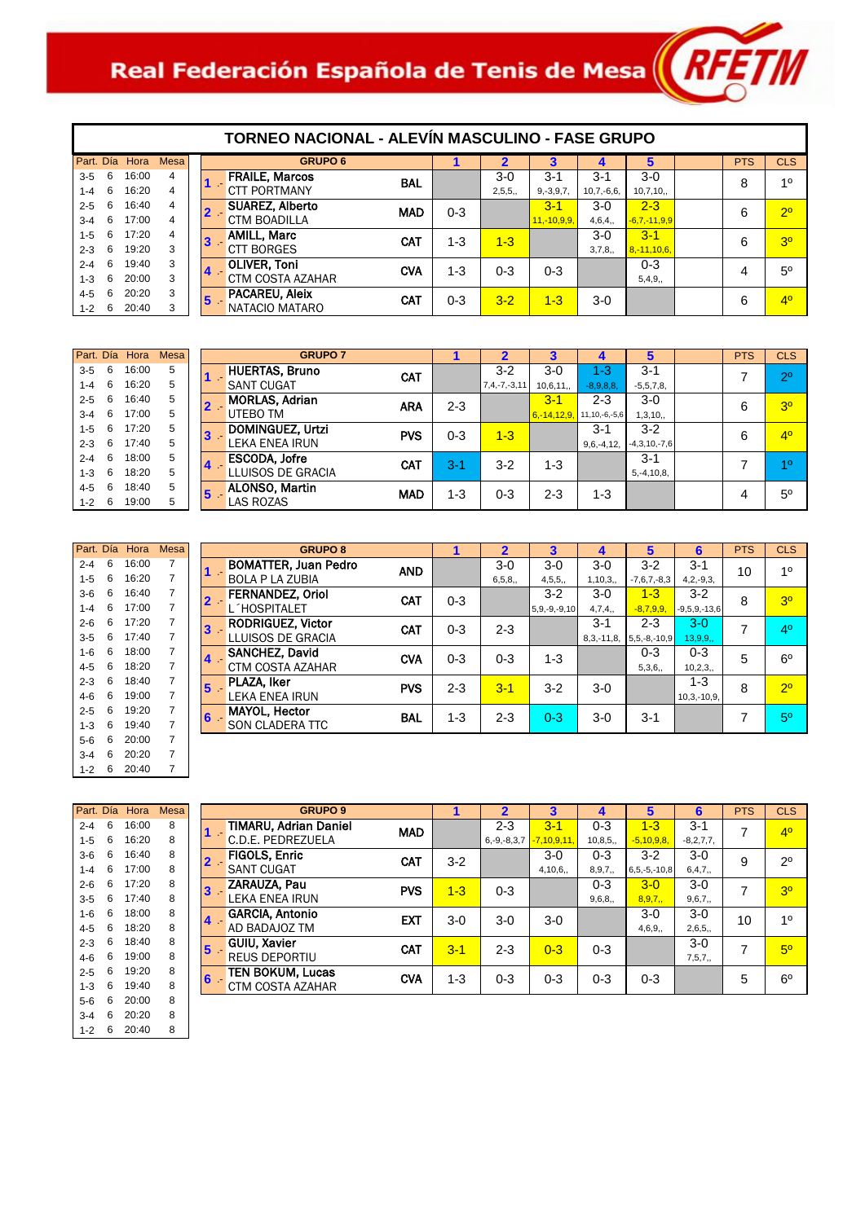# Real Federación Española de Tenis de Mesa $\left\| R$ FET $\|$

| Part, Día |   | Hora  | Mesa |  |
|-----------|---|-------|------|--|
| $3 - 5$   | 6 | 16:00 | 4    |  |
| $1 - 4$   | 6 | 16:20 | 4    |  |
| $2 - 5$   | 6 | 16:40 | 4    |  |
| $3 - 4$   | 6 | 17:00 | 4    |  |
| $1 - 5$   | 6 | 17:20 | 4    |  |
| $2 - 3$   | 6 | 19:20 | 3    |  |
| $2 - 4$   | 6 | 19.40 | 3    |  |
| $1 - 3$   | 6 | 20:00 | 3    |  |
| $4 - 5$   | 6 | 20:20 | 3    |  |
| $1 - 2$   | 6 | 20:40 | 3    |  |

| TORNEO NACIONAL - ALEVIN MASCULINO - FASE GRUPO |
|-------------------------------------------------|
|                                                 |
|                                                 |
|                                                 |

| Mesa l         |       | <b>GRUPO 6</b>         |            |         | $\mathbf{2}$ | 3              | $\boldsymbol{4}$ | 5                | <b>PTS</b> | <b>CLS</b>     |
|----------------|-------|------------------------|------------|---------|--------------|----------------|------------------|------------------|------------|----------------|
| $\overline{4}$ |       | <b>FRAILE, Marcos</b>  | <b>BAL</b> |         | $3-0$        | $3 - 1$        | $3 - 1$          | $3-0$            | 8          | 10             |
| $\overline{4}$ |       | <b>CTT PORTMANY</b>    |            |         | 2,5,5,       | $9, -3, 9, 7,$ | $10,7,-6,6,$     | 10,7,10,         |            |                |
| 4              | $2 -$ | <b>SUAREZ, Alberto</b> | <b>MAD</b> | $0 - 3$ |              | $3 - 1$        | $3-0$            | $2 - 3$          | 6          | 2 <sup>0</sup> |
| 4              |       | <b>CTM BOADILLA</b>    |            |         |              | $11,-10,9,9,$  | 4,6,4,           | $-6,7,-11,9,9$   |            |                |
| $\overline{4}$ | 13    | <b>AMILL, Marc</b>     | <b>CAT</b> | $1 - 3$ | $1 - 3$      |                | $3-0$            | $3 - 1$          | 6          | 3 <sup>o</sup> |
| 3              |       | <b>CTT BORGES</b>      |            |         |              |                | 3,7,8,           | $8, -11, 10, 6,$ |            |                |
| 3              | 14    | <b>OLIVER, Toni</b>    | <b>CVA</b> | $1 - 3$ | $0 - 3$      | $0 - 3$        |                  | $0 - 3$          | 4          | $5^{\circ}$    |
| 3              |       | CTM COSTA AZAHAR       |            |         |              |                |                  | 5,4,9,           |            |                |
| 3              | 15    | <b>PACAREU, Aleix</b>  | CAT        | $0 - 3$ | $3 - 2$      | $1 - 3$        | $3-0$            |                  | 6          | 4 <sup>0</sup> |
| 3              |       | NATACIO MATARO         |            |         |              |                |                  |                  |            |                |

|         |   | Part. Día Hora | <b>Mesa</b> |
|---------|---|----------------|-------------|
| $3 - 5$ | 6 | 16:00          | 5           |
| $1 - 4$ | 6 | 16:20          | 5           |
| $2 - 5$ | 6 | 16:40          | 5           |
| $3 - 4$ | 6 | 17:00          | 5           |
| $1 - 5$ | 6 | 17:20          | 5           |
| $2 - 3$ | 6 | 17:40          | 5           |
| $2 - 4$ | 6 | 18:00          | 5           |
| $1 - 3$ | 6 | 18:20          | 5           |
| $4 - 5$ | 6 | 18:40          | 5           |
| $1 - 2$ | 6 | 19:00          | 5           |

|         |   | Part. Día Hora | Mesa           |
|---------|---|----------------|----------------|
| $2 - 4$ | 6 | 16:00          | 7              |
| $1 - 5$ | 6 | 16:20          | 7              |
| 3-6     | 6 | 16:40          | 7              |
| $1 - 4$ | 6 | 17:00          | 7              |
| 2-6     | 6 | 17:20          | $\overline{7}$ |
| $3 - 5$ | 6 | 17:40          | 7              |
| $1 - 6$ | 6 | 18:00          | 7              |
| 4-5     | 6 | 18:20          | 7              |
| $2-3$   | 6 | 18:40          | 7              |
| 4-6     | 6 | 19:00          | 7              |
| $2 - 5$ | 6 | 19:20          | 7              |
| $1 - 3$ | 6 | 19:40          | 7              |
| 5-6     | 6 | 20:00          | 7              |
| $3 - 4$ | 6 | 20:20          | 7              |
| 1-2     | 6 | 20:40          | 7              |

|                 | <b>GRUPO 7</b>                                          |         | 2                             | 3                          | 4                              | 5                          | <b>PTS</b> | <b>CLS</b>     |
|-----------------|---------------------------------------------------------|---------|-------------------------------|----------------------------|--------------------------------|----------------------------|------------|----------------|
|                 | <b>HUERTAS, Bruno</b><br>CAT<br><b>SANT CUGAT</b>       |         | $3 - 2$<br>$7, 4, -7, -3, 11$ | $3-0$<br>10,6,11,          | $1 - 3$<br>$-8,9,8,8,$         | $3 - 1$<br>$-5,5,7,8,$     | 7          | $2^{\circ}$    |
| <b>Contract</b> | <b>MORLAS, Adrian</b><br><b>ARA</b><br>UTEBO TM         | $2 - 3$ |                               | $3 - 1$<br>$6, -14, 12, 9$ | $2 - 3$<br>$11, 10, -6, -5, 6$ | $3-0$<br>1,3,10,           | 6          | 3 <sup>0</sup> |
|                 | DOMINGUEZ, Urtzi<br><b>PVS</b><br><b>LEKA ENEA IRUN</b> | $0 - 3$ | $1 - 3$                       |                            | $3 - 1$<br>$9,6,-4,12,$        | $3-2$<br>$-4,3,10,-7,6$    | 6          | 4 <sup>0</sup> |
|                 | <b>ESCODA, Jofre</b><br><b>CAT</b><br>LLUISOS DE GRACIA | $3-1$   | $3-2$                         | $1 - 3$                    |                                | $3 - 1$<br>$5, -4, 10, 8,$ |            | 10             |
|                 | <b>ALONSO, Martin</b><br><b>MAD</b><br><b>LAS ROZAS</b> | $1 - 3$ | $0 - 3$                       | $2 - 3$                    | $1 - 3$                        |                            | 4          | $5^{\circ}$    |
|                 |                                                         |         |                               |                            |                                |                            |            |                |

| <b>GRUPO 8</b>                                  |            |         | 2        | 3                  | 4           | 5                  | 6              | <b>PTS</b> | <b>CLS</b>     |
|-------------------------------------------------|------------|---------|----------|--------------------|-------------|--------------------|----------------|------------|----------------|
| <b>BOMATTER, Juan Pedro</b>                     | <b>AND</b> |         | $3-0$    | $3-0$              | $3-0$       | $3-2$              | $3 - 1$        | 10         | 10             |
| <b>BOLA P LA ZUBIA</b>                          |            |         | 6, 5, 8, | 4, 5, 5,           | 1,10,3,     | $-7,6,7,-8,3$      | $4, 2, -9, 3,$ |            |                |
| <b>FERNANDEZ, Oriol</b><br>$\mathbf{2}$ .       | <b>CAT</b> | $0 - 3$ |          | $3-2$              | $3-0$       | $1 - 3$            | $3-2$          | 8          | 3 <sup>0</sup> |
| L'HOSPITALET                                    |            |         |          | $5, 9, -9, -9, 10$ | 4,7,4,      | $-8,7,9,9$         | $-9,5,9,-13,6$ |            |                |
| <b>RODRIGUEZ, Victor</b><br>3.                  | <b>CAT</b> | $0 - 3$ | $2 - 3$  |                    | $3 - 1$     | $2 - 3$            | $3-0$          |            | 4 <sup>0</sup> |
| LLUISOS DE GRACIA                               |            |         |          |                    | $8,3,-11,8$ | $5, 5, -8, -10, 9$ | 13,9,9,        |            |                |
| <b>SANCHEZ, David</b><br>$\mathbf{I}$           | <b>CVA</b> | $0 - 3$ | $0 - 3$  | $1 - 3$            |             | $0 - 3$            | $0 - 3$        | 5          | $6^{\circ}$    |
| <b>CTM COSTA AZAHAR</b>                         |            |         |          |                    |             | 5,3,6,             | 10, 2, 3,      |            |                |
| <b>PLAZA, Iker</b><br>$\overline{\mathbf{5}}$ . | <b>PVS</b> | $2 - 3$ | $3 - 1$  | $3-2$              | $3-0$       |                    | $1 - 3$        | 8          | 2 <sup>0</sup> |
| <b>LEKA ENEA IRUN</b>                           |            |         |          |                    |             |                    | $10,3,-10,9,$  |            |                |
| <b>MAYOL, Hector</b><br>3 -                     | <b>BAL</b> | $1 - 3$ | $2 - 3$  | $0 - 3$            | $3-0$       | $3 - 1$            |                |            | 5 <sup>0</sup> |
| <b>SON CLADERA TTC</b>                          |            |         |          |                    |             |                    |                |            |                |
|                                                 |            |         |          |                    |             |                    |                |            |                |

| Part, Día |   | Hora  | <b>Mesa</b> |
|-----------|---|-------|-------------|
| $2 - 4$   | 6 | 16:00 | 8           |
| $1 - 5$   | 6 | 16:20 | 8           |
| 3-6       | 6 | 16:40 | 8           |
| $1 - 4$   | 6 | 17:00 | 8           |
| $2 - 6$   | 6 | 17.20 | 8           |
| 3-5       | 6 | 17:40 | 8           |
| $1 - 6$   | 6 | 18:00 | 8           |
| 4-5       | 6 | 18.20 | 8           |
| $2-3$     | 6 | 18:40 | 8           |
| 4-6       | 6 | 19:00 | 8           |
| 2-5       | 6 | 19:20 | 8           |
| $1 - 3$   | 6 | 19:40 | 8           |
| 5-6       | 6 | 20:00 | 8           |
| 3-4       | 6 | 20:20 | 8           |
| 1-2       | 6 | 20:40 | 8           |

|                         | <b>GRUPO 9</b>                       |         | $\overline{2}$    | 3             | 4        | 5                  | 6           | <b>PTS</b> | <b>CLS</b>     |
|-------------------------|--------------------------------------|---------|-------------------|---------------|----------|--------------------|-------------|------------|----------------|
| $1 -$                   | TIMARU, Adrian Daniel<br><b>MAD</b>  |         | $2 - 3$           | $3 - 1$       | $0 - 3$  | $1 - 3$            | $3 - 1$     | 7          | 4 <sup>0</sup> |
|                         | C.D.E. PEDREZUELA                    |         | $6, -9, -8, 3, 7$ | $-7,10,9,11,$ | 10,8,5,  | $-5,10,9,8,$       | $-8,2,7,7,$ |            |                |
| $\overline{\mathbf{2}}$ | <b>FIGOLS, Enric</b><br><b>CAT</b>   | $3 - 2$ |                   | $3-0$         | $0 - 3$  | $3 - 2$            | $3-0$       | 9          | $2^{\circ}$    |
|                         | <b>SANT CUGAT</b>                    |         |                   | 4,10,6,       | 8, 9, 7, | $6, 5, -5, -10, 8$ | 6,4,7,      |            |                |
| $\overline{\mathbf{3}}$ | ZARAUZA, Pau<br><b>PVS</b>           | $1 - 3$ | $0 - 3$           |               | $0 - 3$  | $3 - 0$            | $3-0$       | 7          | 3 <sup>o</sup> |
|                         | LEKA ENEA IRUN                       |         |                   |               | 9,6,8,   | 8,9,7,             | 9,6,7,      |            |                |
| $\overline{4}$          | <b>GARCIA, Antonio</b><br><b>EXT</b> | $3-0$   | $3-0$             | $3-0$         |          | $3-0$              | $3-0$       | 10         | 10             |
|                         | AD BADAJOZ TM                        |         |                   |               |          | 4,6,9,             | 2,6,5,      |            |                |
| $5 -$                   | <b>GUIU, Xavier</b><br>CAT           | $3 - 1$ | $2 - 3$           | $0 - 3$       | $0 - 3$  |                    | $3-0$       | 7          | $5^{\circ}$    |
|                         | <b>REUS DEPORTIU</b>                 |         |                   |               |          |                    | 7,5,7,      |            |                |
|                         | TEN BOKUM, Lucas                     |         |                   |               |          |                    |             |            |                |
|                         | CTM COSTA AZAHAR                     |         |                   |               |          |                    |             |            |                |
| 6 <sup>1</sup>          | <b>CVA</b>                           | 1-3     | $0 - 3$           | $0 - 3$       | $0 - 3$  | $0 - 3$            |             | 5          | $6^{\circ}$    |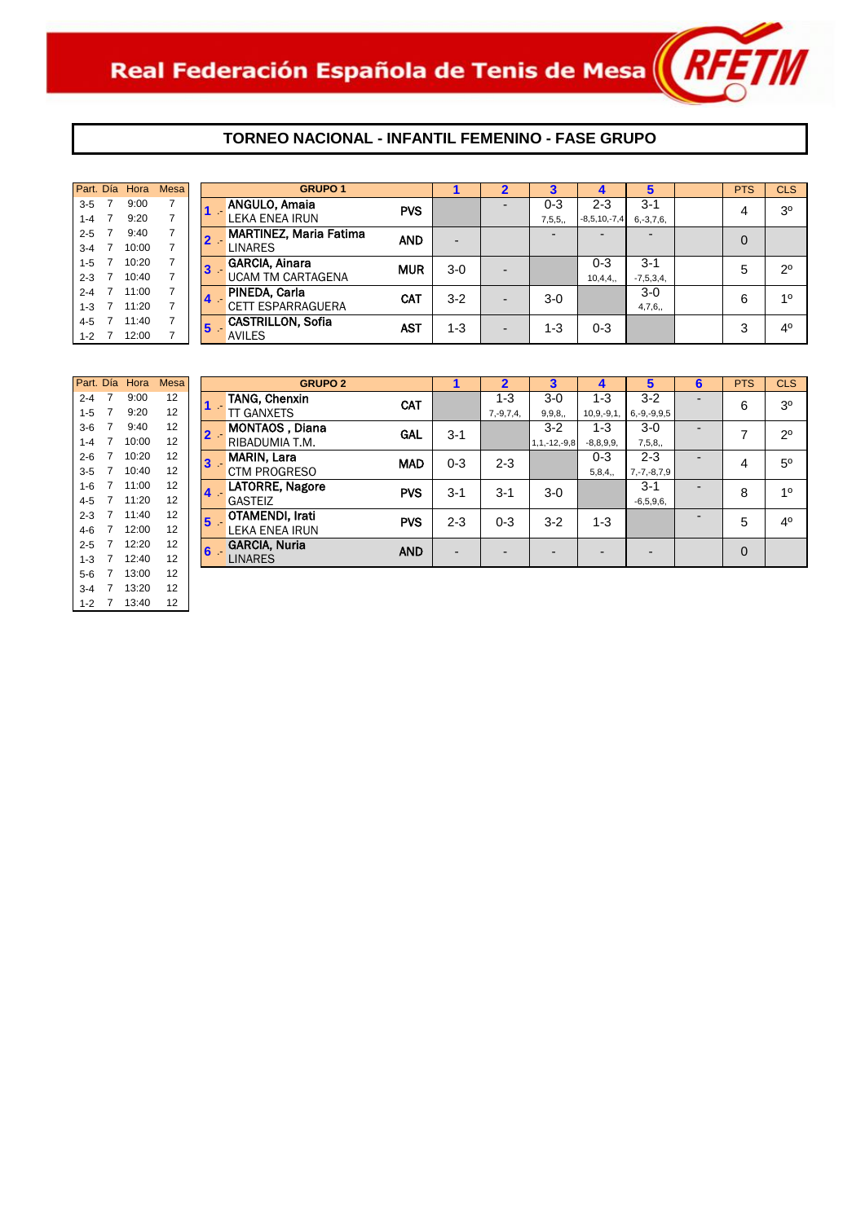

#### **TORNEO NACIONAL - INFANTIL FEMENINO - FASE GRUPO**

|         | Part. Día Hora | <b>Mesa</b> |                 |       | <b>GRUPO 1</b>                |            |                |        |                | 5                        | <b>PTS</b>     | <b>CLS</b>     |
|---------|----------------|-------------|-----------------|-------|-------------------------------|------------|----------------|--------|----------------|--------------------------|----------------|----------------|
| $3 - 5$ | 9:00           |             |                 |       | <b>ANGULO, Amaia</b>          | <b>PVS</b> |                | 0-3    | $2 - 3$        | $3 - 1$                  | 4              | 3 <sup>0</sup> |
| $1 - 4$ | 9:20           |             |                 |       | LEKA ENEA IRUN                |            |                | 7,5,5, | $-8,5,10,-7,4$ | $6, -3, 7, 6,$           |                |                |
| $2 - 5$ | 9:40           |             |                 | $2 -$ | <b>MARTINEZ, Maria Fatima</b> | <b>AND</b> | $\overline{a}$ |        | -              | $\overline{\phantom{0}}$ | $\overline{0}$ |                |
| $3 - 4$ | 10:00          |             |                 |       | <b>LINARES</b>                |            |                |        |                |                          |                |                |
| $1 - 5$ | 10:20          |             |                 | $3 -$ | <b>GARCIA, Ainara</b>         | <b>MUR</b> | $3-0$          |        | $0 - 3$        | $3 - 1$                  | 5              | $2^{\circ}$    |
| $2 - 3$ | 10:40          |             |                 |       | UCAM TM CARTAGENA             |            |                |        | 10,4,4,        | $-7,5,3,4,$              |                |                |
| $2 - 4$ | 11:00          |             |                 |       | PINEDA, Carla                 | <b>CAT</b> | $3 - 2$        | $3-0$  |                | $3-0$                    | 6              | 10             |
| $1 - 3$ | 11:20          |             |                 |       | <b>CETT ESPARRAGUERA</b>      |            |                |        |                | 4,7,6,                   |                |                |
| $4 - 5$ | 11:40          |             | $5\phantom{.0}$ |       | <b>CASTRILLON, Sofia</b>      | <b>AST</b> | $1 - 3$        | 1-3    | $0 - 3$        |                          | 3              | 4 <sup>0</sup> |
| $1 - 2$ | 12:00          |             |                 |       | <b>AVILES</b>                 |            |                |        |                |                          |                |                |

| Part. Día |   | Hora  | <b>Mesa</b> |   | <b>GRI</b>            |
|-----------|---|-------|-------------|---|-----------------------|
| $2 - 4$   | 7 | 9:00  | 12          |   | <b>TANG, Chenxin</b>  |
| $1 - 5$   | 7 | 9:20  | 12          |   | TT GANXETS            |
| $3-6$     | 7 | 9:40  | 12          |   | <b>MONTAOS, Dian</b>  |
| $1 - 4$   | 7 | 10:00 | 12          |   | RIBADUMIA T.M.        |
| $2-6$     | 7 | 10:20 | 12          |   | <b>MARIN, Lara</b>    |
| $3 - 5$   | 7 | 10:40 | 12          |   | CTM PROGRESO          |
| $1 - 6$   | 7 | 11:00 | 12          | 4 | <b>LATORRE, Nagor</b> |
| $4 - 5$   | 7 | 11:20 | 12          |   | GASTEIZ               |
| $2 - 3$   | 7 | 11:40 | 12          | 5 | OTAMENDI, Irati       |
| $4-6$     | 7 | 12:00 | 12          |   | <b>LEKA ENEA IRUN</b> |
| $2 - 5$   | 7 | 12:20 | 12          | 6 | <b>GARCIA, Nuria</b>  |
| $1 - 3$   | 7 | 12:40 | 12          |   | LINARES               |
| $5-6$     | 7 | 13:00 | 12          |   |                       |
| $3 - 4$   | 7 | 13:20 | 12          |   |                       |
| $1 - 2$   | 7 | 13:40 | 12          |   |                       |

|         | Part. Día Hora  | <b>Mesa</b> |                         |   | <b>GRUPO 2</b>        |            |                          | $\mathbf 2$              | 3                  |                          | 5                 | 6                        | <b>PTS</b>     | <b>CLS</b>     |
|---------|-----------------|-------------|-------------------------|---|-----------------------|------------|--------------------------|--------------------------|--------------------|--------------------------|-------------------|--------------------------|----------------|----------------|
| $2 - 4$ | 9:00            | 12          |                         |   | <b>TANG, Chenxin</b>  | <b>CAT</b> |                          | 1-3                      | $3-0$              | $1 - 3$                  | $3-2$             | -                        | 6              | 3 <sup>0</sup> |
| $1 - 5$ | 9:20            | 12          |                         |   | <b>TT GANXETS</b>     |            |                          | $7, -9, 7, 4,$           | 9, 9, 8,           | $10,9,-9,1$              | $6, -9, -9, 9, 5$ |                          |                |                |
| $3-6$   | 9:40            | 12          |                         |   | <b>MONTAOS, Diana</b> | <b>GAL</b> | $3 - 1$                  |                          | $3-2$              | $1 - 3$                  | $3-0$             |                          | ⇁              | $2^{\circ}$    |
| $1 - 4$ | 10:00           | 12          |                         |   | RIBADUMIA T.M.        |            |                          |                          | $1, 1, -12, -9, 8$ | $-8,8,9,9,$              | 7,5,8,            |                          |                |                |
| $2 - 6$ | 10:20           | 12          | $\overline{\mathbf{3}}$ |   | <b>MARIN, Lara</b>    | <b>MAD</b> | $0 - 3$                  | $2 - 3$                  |                    | $0 - 3$                  | $2 - 3$           | $\overline{\phantom{0}}$ | 4              | 5 <sup>0</sup> |
| $3 - 5$ | 10:40           | 12          |                         |   | CTM PROGRESO          |            |                          |                          |                    | 5,8,4,                   | $7, -7, -8, 7, 9$ |                          |                |                |
| $1 - 6$ | 11:00           | 12          | $\overline{\mathbf{4}}$ |   | LATORRE, Nagore       | <b>PVS</b> | $3 - 1$                  | $3 - 1$                  | $3-0$              |                          | $3 - 1$           | $\overline{\phantom{0}}$ | 8              | 10             |
| 4-5     | 11:20           | 12          |                         |   | <b>GASTEIZ</b>        |            |                          |                          |                    |                          | $-6,5,9,6,$       |                          |                |                |
| $2 - 3$ | 11:40           | 12          | $5\phantom{1}$          |   | OTAMENDI, Irati       | <b>PVS</b> | $2 - 3$                  | $0 - 3$                  | $3-2$              | $1 - 3$                  |                   |                          | 5              | 4 <sup>0</sup> |
| 4-6     | 12:00           | 12          |                         |   | <b>LEKA ENEA IRUN</b> |            |                          |                          |                    |                          |                   |                          |                |                |
| $2 - 5$ | 12:20           | 12          |                         | 6 | <b>GARCIA, Nuria</b>  | <b>AND</b> |                          | $\overline{\phantom{a}}$ | $\overline{a}$     | $\overline{\phantom{0}}$ | $\overline{a}$    |                          | $\overline{0}$ |                |
| $1 - 3$ | 12:40           | 12          |                         |   | <b>LINARES</b>        |            | $\overline{\phantom{a}}$ |                          |                    |                          |                   |                          |                |                |
|         | $E_C = 7$ 12:00 | 12          |                         |   |                       |            |                          |                          |                    |                          |                   |                          |                |                |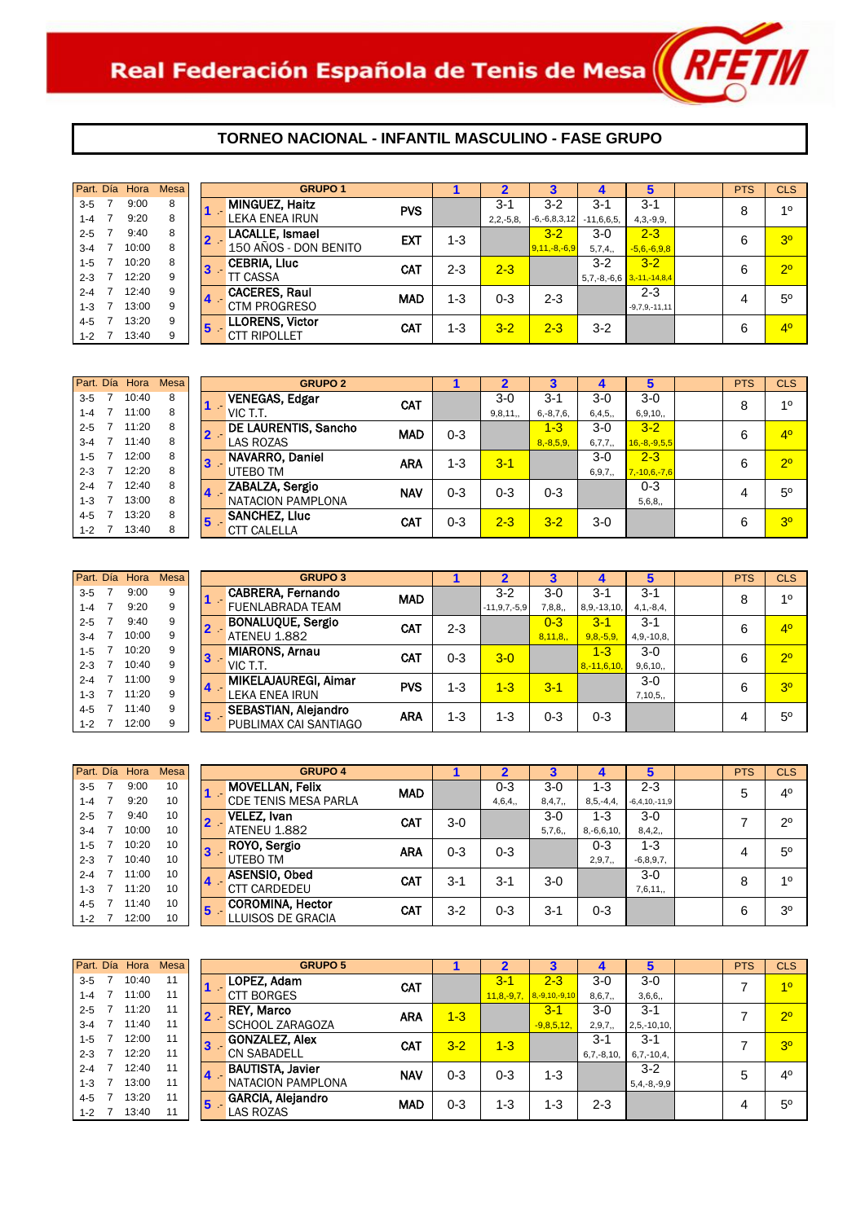

| Part. Día | Hora  | <b>Mesa</b> |                | <b>GRUPO 1</b>         |            |         |                | 3                  |               | 5               | <b>PTS</b> | <b>CLS</b>     |
|-----------|-------|-------------|----------------|------------------------|------------|---------|----------------|--------------------|---------------|-----------------|------------|----------------|
| $3 - 5$   | 9:00  | 8           |                | <b>MINGUEZ, Haitz</b>  | <b>PVS</b> |         | $3 - 1$        | $3 - 2$            | $3-1$         | $3 - 1$         | 8          | 10             |
| 1-4       | 9:20  | 8           |                | LEKA ENEA IRUN         |            |         | $2, 2, -5, 8,$ | $-6, -6, 8, 3, 12$ | $-11,6,6,5,$  | $4,3,-9,9,$     |            |                |
| $2 - 5$   | 9:40  | 8           | $\overline{2}$ | <b>LACALLE, Ismael</b> | <b>EXT</b> | $1 - 3$ |                | $3 - 2$            | $3-0$         | $2 - 3$         | 6          | 3 <sup>o</sup> |
| $3 - 4$   | 10:00 | 8           |                | 150 AÑOS - DON BENITO  |            |         |                | $9,11,-8,-6,9$     | 5,7,4,        | $-5,6,-6,9,8$   |            |                |
| $1 - 5$   | 10:20 | 8           | 13             | <b>CEBRIA, Lluc</b>    | CAT        | $2 - 3$ | $2 - 3$        |                    | $3-2$         | $3 - 2$         | 6          | 2 <sup>o</sup> |
| $2 - 3$   | 12:20 | 9           |                | <b>TT CASSA</b>        |            |         |                |                    | $5,7,-8,-6,6$ | $3,-11,-14,8,4$ |            |                |
| $2 - 4$   | 12:40 | 9           |                | <b>CACERES, Raul</b>   | <b>MAD</b> | $1 - 3$ | $0 - 3$        | $2 - 3$            |               | $2 - 3$         | 4          | $5^{\circ}$    |
| $1 - 3$   | 13:00 | 9           | 14             | <b>CTM PROGRESO</b>    |            |         |                |                    |               | $-9,7,9,-11,11$ |            |                |
| $4 - 5$   | 13:20 | 9           | 15             | <b>LLORENS, Victor</b> | <b>CAT</b> | $1 - 3$ | $3 - 2$        | $2 - 3$            | $3-2$         |                 | 6          | 4 <sup>0</sup> |
| $1 - 2$   | 13:40 | 9           |                | <b>CTT RIPOLLET</b>    |            |         |                |                    |               |                 |            |                |

| Part. Día | Hora  | Mesa |                  | <b>GRUPO 2</b>              |            |         |         |                |          | 5                  | <b>PTS</b> | <b>CLS</b>     |
|-----------|-------|------|------------------|-----------------------------|------------|---------|---------|----------------|----------|--------------------|------------|----------------|
| $3 - 5$   | 10:40 | 8    |                  | <b>VENEGAS, Edgar</b>       | <b>CAT</b> |         | $3-0$   | $3 - 1$        | 3-0      | $3-0$              | 8          | 10             |
| $1 - 4$   | 11:00 | 8    |                  | VIC T.T.                    |            |         | 9,8,11, | $6, -8, 7, 6,$ | 6,4,5,   | 6,9,10,            |            |                |
| $2 - 5$   | 11:20 | 8    |                  | <b>DE LAURENTIS, Sancho</b> | <b>MAD</b> | $0 - 3$ |         | $1 - 3$        | $3-0$    | $3 - 2$            | 6          | 4 <sup>0</sup> |
| $3 - 4$   | 11:40 | 8    |                  | <b>LAS ROZAS</b>            |            |         |         | $8, -8, 5, 9,$ | 6,7,7,   | $16,-8,-9,5,5$     |            |                |
| $1 - 5$   | 12:00 | 8    | 3                | NAVARRO, Daniel             | <b>ARA</b> | 1-3     | $3 - 1$ |                | $3-0$    | $2 - 3$            | 6          | 2 <sup>o</sup> |
| $2 - 3$   | 12:20 | 8    |                  | UTEBO TM                    |            |         |         |                | 6, 9, 7, | $7, -10, 6, -7, 6$ |            |                |
| $2 - 4$   | 12:40 | 8    | $\blacktriangle$ | ZABALZA, Sergio             | <b>NAV</b> | $0 - 3$ | 0-3     | 0-3            |          | $0 - 3$            |            | $5^{\circ}$    |
| $1 - 3$   | 13:00 | 8    |                  | NATACION PAMPLONA           |            |         |         |                |          | 5,6,8,             |            |                |
| $4 - 5$   | 13:20 | 8    | 5                | <b>SANCHEZ, Lluc</b>        | <b>CAT</b> | $0 - 3$ | $2 - 3$ | $3 - 2$        | $3-0$    |                    | 6          | 3 <sup>o</sup> |
| $1 - 2$   | 13:40 | 8    |                  | <b>CTT CALELLA</b>          |            |         |         |                |          |                    |            |                |

| Part. Día | Hora  | <b>Mesa</b> |   | <b>GRUPO 3</b>              |            |         |                    |         |                  | 5              | <b>PTS</b> | <b>CLS</b>     |
|-----------|-------|-------------|---|-----------------------------|------------|---------|--------------------|---------|------------------|----------------|------------|----------------|
| $3 - 5$   | 9:00  | 9           |   | <b>CABRERA, Fernando</b>    | <b>MAD</b> |         | $3 - 2$            | $3-0$   | $3 - 1$          | $3 - 1$        | 8          | 10             |
| $1 - 4$   | 9:20  | 9           |   | <b>FUENLABRADA TEAM</b>     |            |         | $-11, 9, 7, -5, 9$ | 7,8,8,  | $8,9,-13,10,$    | $4, 1, -8, 4,$ |            |                |
| $2 - 5$   | 9:40  | 9           |   | <b>BONALUQUE, Sergio</b>    | <b>CAT</b> | $2 - 3$ |                    | $0 - 3$ | $3 - 1$          | $3 - 1$        | 6          | 4 <sup>0</sup> |
| $3 - 4$   | 10:00 | 9           |   | <b>ATENEU 1.882</b>         |            |         |                    | 8,11,8, | $9,8,-5,9$       | $4,9,-10,8,$   |            |                |
| $1 - 5$   | 10:20 | 9           | 3 | <b>MIARONS, Arnau</b>       | CAT        | $0 - 3$ | $3-0$              |         | $1 - 3$          | $3-0$          | 6          | $2^{\circ}$    |
| $2 - 3$   | 10:40 | 9           |   | VIC T.T.                    |            |         |                    |         | $8, -11, 6, 10,$ | 9,6,10,        |            |                |
| $2 - 4$   | 11:00 | 9           |   | MIKELAJAUREGI, Aimar        | <b>PVS</b> | $1 - 3$ | $1 - 3$            | $3 - 1$ |                  | $3-0$          | 6          | 3 <sup>o</sup> |
| $1 - 3$   | 11:20 | 9           |   | LEKA ENEA IRUN              |            |         |                    |         |                  | 7,10,5,        |            |                |
| $4 - 5$   | 11:40 | 9           | 5 | <b>SEBASTIAN, Alejandro</b> | ARA        | $1 - 3$ | 1-3                | $0 - 3$ | $0 - 3$          |                |            | $5^{\circ}$    |
| $1 - 2$   | 12:00 | 9           |   | PUBLIMAX CAI SANTIAGO       |            |         |                    |         |                  |                | 4          |                |

| Part. Día |                | Hora  | <b>Mesa</b> |
|-----------|----------------|-------|-------------|
| $3 - 5$   | 7              | 9:00  | 10          |
| $1 - 4$   | 7              | 9:20  | 10          |
| $2 - 5$   | 7              | 9:40  | 10          |
| $3 - 4$   | 7              | 10:00 | 10          |
| $1 - 5$   | 7              | 10:20 | 10          |
| $2 - 3$   | 7              | 10:40 | 10          |
| $2 - 4$   | $\overline{7}$ | 11:00 | 10          |
| $1 - 3$   | 7              | 11:20 | 10          |
| $4 - 5$   | 7              | 11:40 | 10          |
| $1 - 2$   | 7              | 12:00 | 10          |

|                           | <b>GRUPO 4</b>              |            |         | $\overline{2}$ | 3       | 4              | 5                   | <b>PTS</b> | <b>CLS</b>     |
|---------------------------|-----------------------------|------------|---------|----------------|---------|----------------|---------------------|------------|----------------|
| <b>The Second Service</b> | <b>MOVELLAN, Felix</b>      | <b>MAD</b> |         | $0 - 3$        | $3-0$   | 1-3            | $2 - 3$             | 5          | 4 <sup>0</sup> |
|                           | <b>CDE TENIS MESA PARLA</b> |            |         | 4,6,4,         | 8,4,7,  | $8, 5, -4, 4,$ | $-6, 4, 10, -11, 9$ |            |                |
| $\mathbf{z}$              | VELEZ, Ivan                 | <b>CAT</b> | $3-0$   |                | $3-0$   | $1 - 3$        | $3-0$               |            | $2^{\circ}$    |
|                           | <b>ATENEU 1.882</b>         |            |         |                | 5,7,6,  | $8,-6,6,10,$   | 8,4,2,              |            |                |
|                           | ROYO, Sergio                | <b>ARA</b> | $0 - 3$ | $0 - 3$        |         | $0 - 3$        | $1 - 3$             | 4          | $5^{\circ}$    |
|                           | UTEBO TM                    |            |         |                |         | 2,9,7,         | $-6,8,9,7,$         |            |                |
|                           | <b>ASENSIO, Obed</b>        | <b>CAT</b> | $3 - 1$ | $3-1$          | $3-0$   |                | $3-0$               | 8          | 1 <sup>0</sup> |
|                           | <b>CTT CARDEDEU</b>         |            |         |                |         |                | 7,6,11,             |            |                |
|                           | <b>COROMINA, Hector</b>     | CAT        | $3-2$   | $0 - 3$        | $3 - 1$ | $0 - 3$        |                     | 6          | 3 <sup>o</sup> |
|                           | LLUISOS DE GRACIA           |            |         |                |         |                |                     |            |                |

|         | Part. Día Hora | <b>Mesa</b> |     | <b>GRUPO 5</b>           |            |         |         |                                     |              | 5                | <b>PTS</b> | <b>CLS</b>     |
|---------|----------------|-------------|-----|--------------------------|------------|---------|---------|-------------------------------------|--------------|------------------|------------|----------------|
| $3 - 5$ | 10:40          | 11          |     | LOPEZ, Adam              | <b>CAT</b> |         | $3 - 1$ | $2 - 3$                             | $3-0$        | $3-0$            |            | 1 <sup>0</sup> |
| $1 - 4$ | 11:00          | 11          |     | <b>CTT BORGES</b>        |            |         |         | $11, 8, -9, 7,   8, -9, 10, -9, 10$ | 8,6,7,       | 3,6,6,           |            |                |
| $2 - 5$ | 11:20          | 11          |     | <b>REY, Marco</b>        | <b>ARA</b> | $1 - 3$ |         | $3 - 1$                             | $3-0$        | $3-1$            |            | $2^{\circ}$    |
| $3 - 4$ | 11:40          | 11          |     | SCHOOL ZARAGOZA          |            |         |         | $-9,8,5,12,$                        | 2, 9, 7,     | $2, 5, -10, 10,$ |            |                |
| $1 - 5$ | 12:00          | 11          | 13  | <b>GONZALEZ, Alex</b>    | <b>CAT</b> | $3 - 2$ | $1 - 3$ |                                     | $3 - 1$      | $3 - 1$          |            | 3 <sup>o</sup> |
| $2 - 3$ | 12:20          | 11          |     | <b>CN SABADELL</b>       |            |         |         |                                     | $6,7,-8,10,$ | $6,7,-10,4,$     |            |                |
| $2 - 4$ | 12:40          | 11          | 14  | <b>BAUTISTA, Javier</b>  | <b>NAV</b> | $0 - 3$ | $0 - 3$ | $1 - 3$                             |              | $3 - 2$          | 5          | 4 <sup>0</sup> |
| $1 - 3$ | 13:00          | 11          |     | NATACION PAMPLONA        |            |         |         |                                     |              | $5,4,-8,-9,9$    |            |                |
| 4-5     | 13:20          | 11          | 15. | <b>GARCIA, Alejandro</b> | <b>MAD</b> | $0 - 3$ | $1 - 3$ | 1-3                                 | $2 - 3$      |                  | 4          | $5^{\circ}$    |
| $1-2$ 7 | 13:40          | 11          |     | <b>LAS ROZAS</b>         |            |         |         |                                     |              |                  |            |                |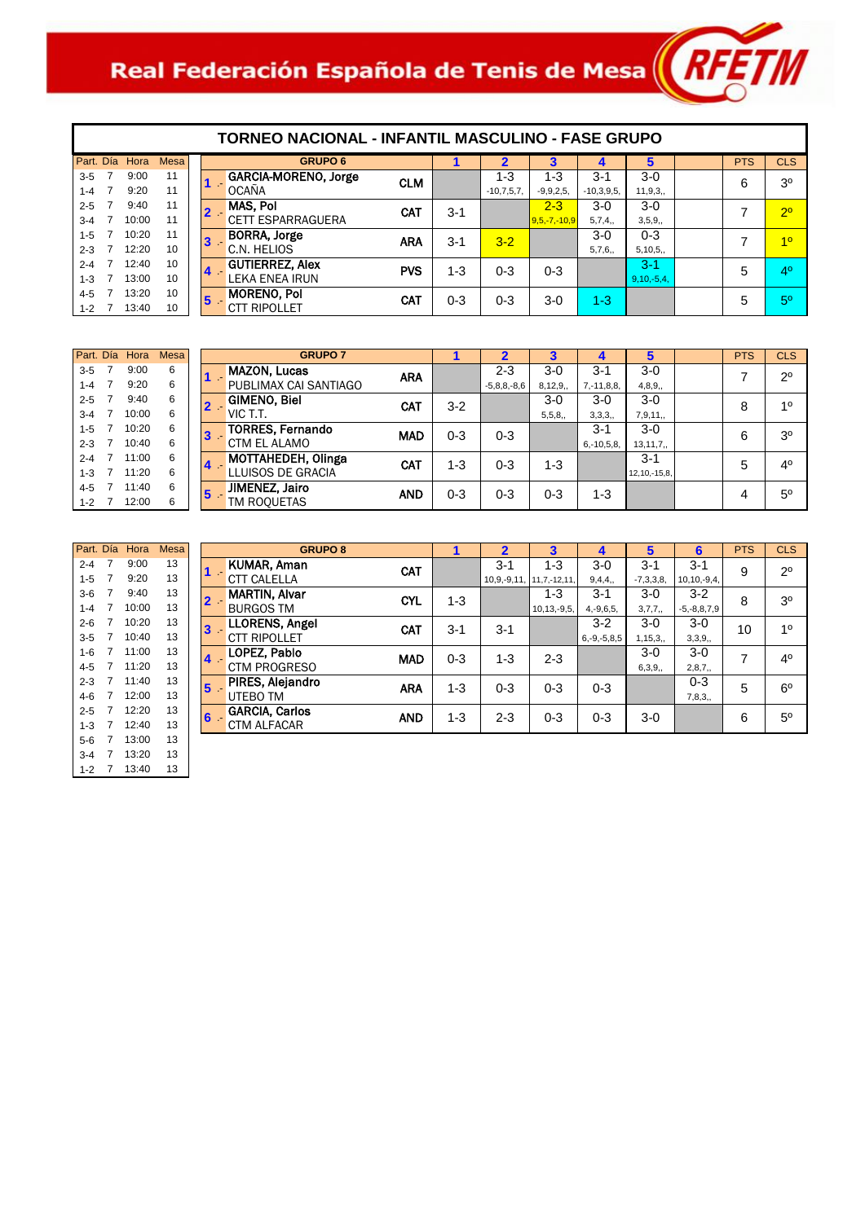# Real Federación Española de Tenis de Mesa $\left\| R$ FET $\|$

| Part. Día |   | Hora  | <b>Mesa</b> |
|-----------|---|-------|-------------|
| $3 - 5$   | 7 | 9:00  | 11          |
| $1 - 4$   | 7 | 9:20  | 11          |
| $2 - 5$   | 7 | 9:40  | 11          |
| $3 - 4$   | 7 | 10:00 | 11          |
| $1 - 5$   | 7 | 10:20 | 11          |
| $2 - 3$   | 7 | 12.20 | 10          |
| $2 - 4$   | 7 | 12.40 | 10          |
| $1 - 3$   | 7 | 13:00 | 10          |
| 4-5       | 7 | 13:20 | 10          |
| $1 - 2$   | 7 | 13:40 | 10          |

 $\mathbf I$ 

|                             | TORNEO NACIONAL - INFANTIL MASCULINO - FASE GRUPO |            |                                                 |            |         |                         |                           |                       |                      |  |            |                |  |  |
|-----------------------------|---------------------------------------------------|------------|-------------------------------------------------|------------|---------|-------------------------|---------------------------|-----------------------|----------------------|--|------------|----------------|--|--|
| esa                         |                                                   |            | <b>GRUPO 6</b>                                  |            | 1       | $\overline{2}$          | 3                         | 4                     | 5                    |  | <b>PTS</b> | <b>CLS</b>     |  |  |
| 1<br>1                      |                                                   |            | GARCIA-MORENO, Jorge<br><b>OCANA</b>            | <b>CLM</b> |         | $1 - 3$<br>$-10,7,5,7,$ | $1 - 3$<br>$-9,9,2,5,$    | $3-1$<br>$-10,3,9,5,$ | $3-0$<br>11, 9, 3,   |  | 6          | 3 <sup>0</sup> |  |  |
| 1                           |                                                   | $2 -$      | MAS, Pol<br><b>CETT ESPARRAGUERA</b>            | <b>CAT</b> | $3 - 1$ |                         | $2 - 3$<br>$9,5,-7,-10,9$ | $3-0$<br>5,7,4,       | $3-0$<br>3,5,9,      |  | 7          | 2 <sup>0</sup> |  |  |
| $\mathbf{1}$<br>$\mathbf 0$ |                                                   | 3          | <b>BORRA, Jorge</b><br>C.N. HELIOS              | <b>ARA</b> | $3 - 1$ | $3 - 2$                 |                           | $3-0$<br>5,7,6,       | $0 - 3$<br>5,10,5,   |  | 7          | 10             |  |  |
| $\Omega$<br>$\Omega$        |                                                   | 4.         | <b>GUTIERREZ, Alex</b><br><b>LEKA ENEA IRUN</b> | <b>PVS</b> | $1 - 3$ | $0 - 3$                 | $0 - 3$                   |                       | $3-1$<br>$9,10,-5,4$ |  | 5          | 4 <sup>0</sup> |  |  |
| $\Omega$<br>$\Omega$        |                                                   | $\sqrt{5}$ | <b>MORENO, Pol</b><br>CTT RIPOLLET              | <b>CAT</b> | $0 - 3$ | $0 - 3$                 | $3-0$                     | $1 - 3$               |                      |  | 5          | 5 <sup>0</sup> |  |  |

|         |                | Part. Día Hora | <b>Mesa</b> |
|---------|----------------|----------------|-------------|
| $3 - 5$ | 7              | 9:00           | 6           |
| $1 - 4$ | 7              | 9:20           | 6           |
| $2 - 5$ | 7              | 9:40           | 6           |
| $3 - 4$ | $\overline{7}$ | 10:00          | 6           |
| $1 - 5$ | 7              | 10:20          | 6           |
| $2 - 3$ | 7              | 10:40          | 6           |
| $2 - 4$ | 7              | 11:00          | 6           |
| $1 - 3$ | 7              | 11:20          | 6           |
| $4 - 5$ | 7              | 11:40          | 6           |
| $1 - 2$ | 7              | 12:00          | 6           |

| Part. Día |   | Hora  | <b>Mesa</b> |
|-----------|---|-------|-------------|
| $2 - 4$   | 7 | 9:00  | 13          |
| $1 - 5$   | 7 | 9:20  | 13          |
| $3-6$     | 7 | 9:40  | 13          |
| $1 - 4$   | 7 | 10:00 | 13          |
| $2 - 6$   | 7 | 10:20 | 13          |
| $3 - 5$   | 7 | 10:40 | 13          |
| $1 - 6$   | 7 | 11:00 | 13          |
| $4 - 5$   | 7 | 11:20 | 13          |
| $2 - 3$   | 7 | 11:40 | 13          |
| $4 - 6$   | 7 | 12:00 | 13          |
| $2 - 5$   | 7 | 12:20 | 13          |
| $1 - 3$   | 7 | 12:40 | 13          |
| 5-6       | 7 | 13:00 | 13          |
| $3 - 4$   | 7 | 13:20 | 13          |
| $1 - 2$   | 7 | 13:40 | 13          |

| <b>GRUPO 7</b>                               |            |         | $\boldsymbol{\mathcal{P}}$   | 3                |                            | 5                          | <b>PTS</b> | <b>CLS</b>     |
|----------------------------------------------|------------|---------|------------------------------|------------------|----------------------------|----------------------------|------------|----------------|
| <b>MAZON, Lucas</b><br>PUBLIMAX CAI SANTIAGO | <b>ARA</b> |         | $2 - 3$<br>$-5, 8, 8, -8, 6$ | $3-0$<br>8,12,9, | $3 - 1$<br>$7, -11, 8, 8,$ | $3-0$<br>4,8,9,            |            | $2^{\circ}$    |
| <b>GIMENO, Biel</b><br>VIC T.T.              | CAT        | $3-2$   |                              | $3-0$<br>5,5,8,  | $3-0$<br>3,3,3,            | $3-0$<br>7,9,11,           | 8          | 10             |
| <b>TORRES, Fernando</b><br>CTM EL ALAMO      | <b>MAD</b> | $0 - 3$ | $0 - 3$                      |                  | $3 - 1$<br>$6, -10, 5, 8,$ | $3-0$<br>13, 11, 7,        | 6          | 3 <sup>o</sup> |
| MOTTAHEDEH, Olinga<br>LLUISOS DE GRACIA      | <b>CAT</b> | 1-3     | $0 - 3$                      | $1 - 3$          |                            | $3 - 1$<br>12, 10, -15, 8, | 5          | 4 <sup>0</sup> |
| JIMENEZ, Jairo<br>TM ROOUETAS                | <b>AND</b> | $0 - 3$ | $0 - 3$                      | $0 - 3$          | $1 - 3$                    |                            | 4          | $5^{\circ}$    |
|                                              |            |         |                              |                  |                            |                            |            |                |

| <b>GRUPO 8</b>                                              |         | $\overline{2}$   | 3                 | 4                 | 5           | 6                 | <b>PTS</b> | <b>CLS</b>     |
|-------------------------------------------------------------|---------|------------------|-------------------|-------------------|-------------|-------------------|------------|----------------|
| <b>KUMAR, Aman</b><br>CAT<br>n e                            |         | $3 - 1$          | $1 - 3$           | $3-0$             | $3 - 1$     | $3 - 1$           | 9          | $2^{\circ}$    |
| <b>CTT CALELLA</b>                                          |         | $10, 9, -9, 11,$ | $11, 7, -12, 11,$ | 9,4,4,            | $-7,3,3,8,$ | $10, 10, -9, 4,$  |            |                |
| <b>MARTIN, Alvar</b><br><b>CYL</b><br>2.                    | $1 - 3$ |                  | $1 - 3$           | $3 - 1$           | $3-0$       | $3 - 2$           | 8          | 3 <sup>o</sup> |
| <b>BURGOS TM</b>                                            |         |                  | $10, 13, -9, 5,$  | $4, -9, 6, 5,$    | 3,7,7,      | $-5, -8, 8, 7, 9$ |            |                |
| <b>LLORENS, Angel</b><br><b>CAT</b><br>3.                   | $3 - 1$ | $3 - 1$          |                   | $3-2$             | $3-0$       | $3-0$             | 10         | 1 <sup>0</sup> |
| <b>CTT RIPOLLET</b>                                         |         |                  |                   | $6, -9, -5, 8, 5$ | 1,15,3,     | 3,3,9,            |            |                |
| LOPEZ, Pablo<br>$\mathbf{I}$<br><b>MAD</b>                  | $0 - 3$ | $1 - 3$          | $2 - 3$           |                   | $3-0$       | $3-0$             | 7          | 4 <sup>0</sup> |
| <b>CTM PROGRESO</b>                                         |         |                  |                   |                   | 6,3,9,      | 2,8,7,            |            |                |
| PIRES, Alejandro<br>$\overline{\mathbf{5}}$<br><b>ARA</b>   | $1 - 3$ | $0 - 3$          | $0 - 3$           | $0 - 3$           |             | $0 - 3$           | 5          | $6^{\circ}$    |
| <b>UTEBO TM</b>                                             |         |                  |                   |                   |             | 7,8,3,            |            |                |
| <b>GARCIA, Carlos</b><br>$\mathbf{S}^{\perp}$<br><b>AND</b> | $1 - 3$ | $2 - 3$          | $0 - 3$           | $0 - 3$           | $3-0$       |                   | 6          | 5 <sup>0</sup> |
| <b>CTM ALFACAR</b>                                          |         |                  |                   |                   |             |                   |            |                |
|                                                             |         |                  |                   |                   |             |                   |            |                |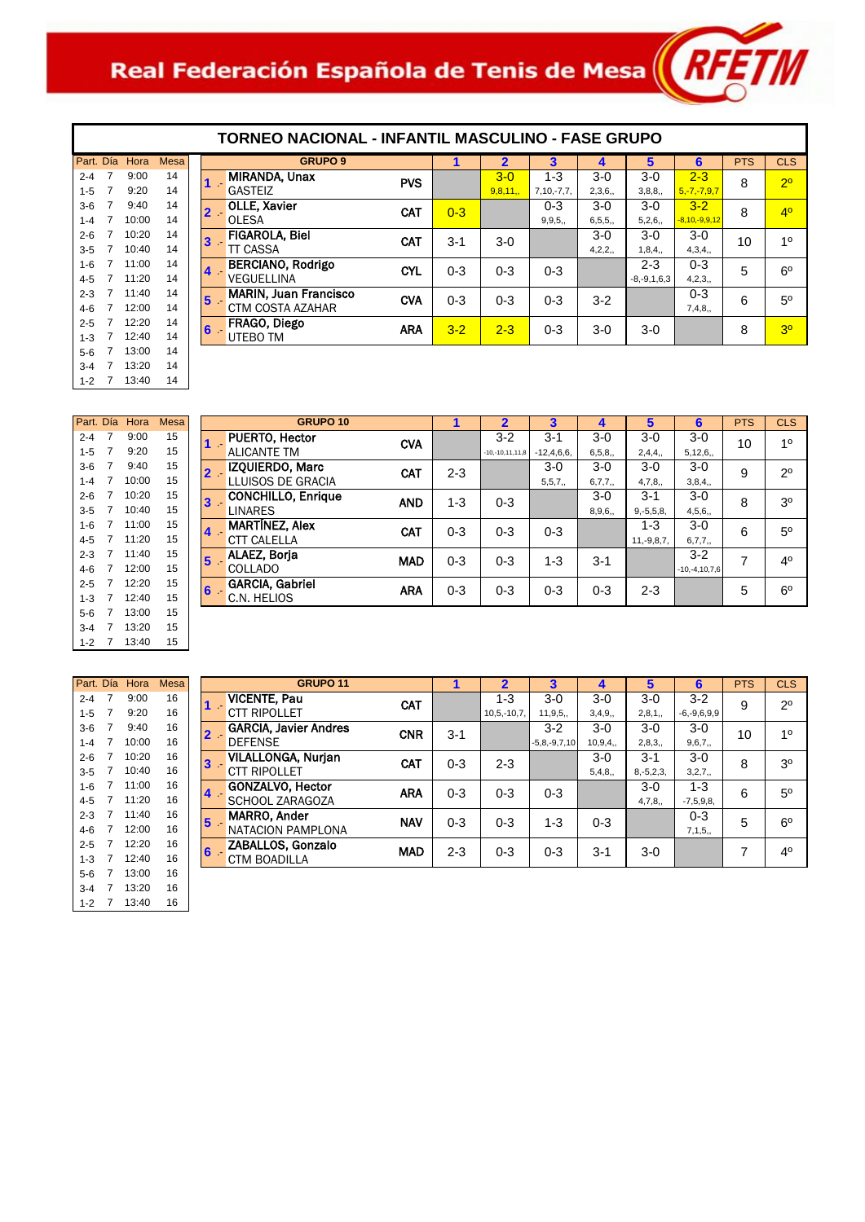# Real Federación Española de Tenis de Mesa (RFETT)



|       | <b>GRUPO 9</b>               |            |         | $\overline{\mathbf{2}}$ | 3            | 4        | 5                 | 6                 | <b>PTS</b> | <b>CLS</b>     |
|-------|------------------------------|------------|---------|-------------------------|--------------|----------|-------------------|-------------------|------------|----------------|
| $1 -$ | <b>MIRANDA, Unax</b>         | <b>PVS</b> |         | $3 - 0$                 | $1 - 3$      | $3-0$    | $3-0$             | $2 - 3$           | 8          | 2 <sup>o</sup> |
|       | <b>GASTEIZ</b>               |            |         | 9,8,11,                 | $7,10,-7,7,$ | 2,3,6,   | 3,8,8,            | $5, -7, -7, 9, 7$ |            |                |
| $2 -$ | <b>OLLE, Xavier</b>          | <b>CAT</b> | $0 - 3$ |                         | $0 - 3$      | $3-0$    | $3-0$             | $3 - 2$           | 8          | 4 <sup>0</sup> |
|       | <b>OLESA</b>                 |            |         |                         | 9, 9, 5,     | 6, 5, 5, | 5,2,6,            | $-8,10,-9,9,12$   |            |                |
| $3 -$ | <b>FIGAROLA, Biel</b>        | CAT        | $3-1$   | $3-0$                   |              | $3-0$    | $3-0$             | $3-0$             | 10         | 10             |
|       | <b>TT CASSA</b>              |            |         |                         |              | 4,2,2,   | 1,8,4,            | 4,3,4,            |            |                |
| $4 -$ | <b>BERCIANO, Rodrigo</b>     | <b>CYL</b> | $0 - 3$ | $0 - 3$                 | $0 - 3$      |          | $2 - 3$           | $0 - 3$           | 5          | $6^{\circ}$    |
|       | <b>VEGUELLINA</b>            |            |         |                         |              |          | $-8, -9, 1, 6, 3$ | 4,2,3,            |            |                |
| $5 -$ | <b>MARIN, Juan Francisco</b> | <b>CVA</b> | $0 - 3$ | $0 - 3$                 | $0 - 3$      | $3-2$    |                   | $0 - 3$           | 6          | $5^{\circ}$    |
|       | <b>CTM COSTA AZAHAR</b>      |            |         |                         |              |          |                   | 7,4,8,            |            |                |
| $6 -$ | FRAGO, Diego                 | <b>ARA</b> | $3 - 2$ | $2 - 3$                 | $0 - 3$      | $3-0$    | $3-0$             |                   | 8          | 3 <sup>o</sup> |
|       | <b>UTEBO TM</b>              |            |         |                         |              |          |                   |                   |            |                |
|       |                              |            |         |                         |              |          |                   |                   |            |                |

| Part, Día |   | Hora  | Mesa |
|-----------|---|-------|------|
| $2 - 4$   | 7 | 9:00  | 15   |
| $1 - 5$   | 7 | 9:20  | 15   |
| $3-6$     | 7 | 9:40  | 15   |
| $1 - 4$   | 7 | 10:00 | 15   |
| $2 - 6$   | 7 | 10:20 | 15   |
| $3 - 5$   | 7 | 10:40 | 15   |
| $1 - 6$   | 7 | 11:00 | 15   |
| 4-5       | 7 | 11:20 | 15   |
| $2 - 3$   | 7 | 11:40 | 15   |
| $4-6$     | 7 | 12:00 | 15   |
| $2 - 5$   | 7 | 12:20 | 15   |
| $1 - 3$   | 7 | 12:40 | 15   |
| 5-6       | 7 | 13:00 | 15   |
| $3 - 4$   | 7 | 13:20 | 15   |
| $1 - 2$   | 7 | 13:40 | 15   |

|       | <b>GRUPO 10</b>                         |         | $\overline{2}$    | 3            | 4        | 5              | 6               | <b>PTS</b> | <b>CLS</b>     |
|-------|-----------------------------------------|---------|-------------------|--------------|----------|----------------|-----------------|------------|----------------|
| $1 -$ | PUERTO, Hector<br><b>CVA</b>            |         | $3 - 2$           | $3 - 1$      | $3-0$    | $3-0$          | $3-0$           | 10         | 10             |
|       | <b>ALICANTE TM</b>                      |         | $-10,-10,11,11,8$ | $-12,4,6,6,$ | 6, 5, 8, | 2,4,4,         | 5, 12, 6,       |            |                |
| $2 -$ | IZQUIERDO, Marc<br><b>CAT</b>           | $2 - 3$ |                   | $3-0$        | $3-0$    | $3-0$          | $3-0$           | 9          | $2^{\circ}$    |
|       | LLUISOS DE GRACIA                       |         |                   | 5, 5, 7,     | 6,7,7,   | 4,7,8,         | 3,8,4,          |            |                |
| $3 -$ | <b>CONCHILLO, Enrique</b><br><b>AND</b> | 1-3     | $0 - 3$           |              | $3-0$    | $3 - 1$        | $3-0$           | 8          | 3 <sup>o</sup> |
|       | <b>LINARES</b>                          |         |                   |              | 8,9,6,   | $9, -5, 5, 8,$ | 4,5,6,          |            |                |
| $4 -$ | <b>MARTINEZ, Alex</b><br><b>CAT</b>     | $0 - 3$ | $0 - 3$           | $0 - 3$      |          | $1 - 3$        | $3-0$           | 6          | $5^{\circ}$    |
|       | <b>CTT CALELLA</b>                      |         |                   |              |          | $11,-9,8,7,$   | 6,7,7,          |            |                |
| $5 -$ | ALAEZ, Borja<br><b>MAD</b>              | $0 - 3$ | $0 - 3$           | 1-3          | $3 - 1$  |                | $3 - 2$         | 7          | 4 <sup>0</sup> |
|       | <b>COLLADO</b>                          |         |                   |              |          |                | $-10,-4,10,7,6$ |            |                |
| $6 -$ | <b>GARCIA, Gabriel</b><br><b>ARA</b>    | $0 - 3$ | $0 - 3$           | $0 - 3$      | $0 - 3$  | $2 - 3$        |                 | 5          | $6^{\circ}$    |
|       | C.N. HELIOS                             |         |                   |              |          |                |                 |            |                |
|       |                                         |         |                   |              |          |                |                 |            |                |

|         |    | Part. Día Hora | <b>Mesa</b> |
|---------|----|----------------|-------------|
| $2 - 4$ | 7  | 9:00           | 16          |
| $1 - 5$ | 7  | 9:20           | 16          |
| 3-6     | 7  | 9:40           | 16          |
| $1 - 4$ | 7  | 10:00          | 16          |
| $2 - 6$ | -7 | 10:20          | 16          |
| 3-5     | 7  | 10:40          | 16          |
| $1 - 6$ | 7  | 11:00          | 16          |
| $4 - 5$ | 7  | 11:20          | 16          |
| $2 - 3$ | 7  | 11:40          | 16          |
| $4-6$   | 7  | 12:00          | 16          |
| 2-5     | 7  | 12:20          | 16          |
| $1 - 3$ | 7  | 12:40          | 16          |
| 5-6     | 7  | 13:00          | 16          |
| $3 - 4$ | 7  | 13:20          | 16          |
| $1 - 2$ | 7  | 13:40          | 16          |

|                  | <b>GRUPO 11</b>              |            |         | $\overline{2}$   | 3                  | $\boldsymbol{\Lambda}$ | 5              | 6                 | <b>PTS</b> | <b>CLS</b>     |
|------------------|------------------------------|------------|---------|------------------|--------------------|------------------------|----------------|-------------------|------------|----------------|
| $1 -$            | <b>VICENTE, Pau</b>          | <b>CAT</b> |         | $1 - 3$          | $3-0$              | $3-0$                  | $3-0$          | $3 - 2$           | 9          | $2^{\circ}$    |
|                  | <b>CTT RIPOLLET</b>          |            |         | $10, 5, -10, 7,$ | 11, 9, 5,          | 3,4,9,                 | 2,8,1,         | $-6, -9, 6, 9, 9$ |            |                |
| $\overline{2}$ - | <b>GARCIA, Javier Andres</b> | <b>CNR</b> | $3 - 1$ |                  | $3-2$              | $3-0$                  | $3-0$          | $3-0$             | 10         | 1 <sup>0</sup> |
|                  | <b>DEFENSE</b>               |            |         |                  | $-5, 8, -9, 7, 10$ | 10,9,4,                | 2,8,3,         | 9,6,7,            |            |                |
| $3 -$            | <b>VILALLONGA, Nurjan</b>    | CAT        | $0 - 3$ | $2 - 3$          |                    | $3-0$                  | $3 - 1$        | $3-0$             | 8          | 3 <sup>o</sup> |
|                  | <b>CTT RIPOLLET</b>          |            |         |                  |                    | 5,4,8,                 | $8, -5, 2, 3,$ | 3,2,7,            |            |                |
| $\overline{4}$   | <b>GONZALVO, Hector</b>      | <b>ARA</b> | $0 - 3$ | $0 - 3$          | $0 - 3$            |                        | $3-0$          | $1 - 3$           | 6          | $5^{\circ}$    |
|                  | SCHOOL ZARAGOZA              |            |         |                  |                    |                        | 4,7,8,         | $-7,5,9,8,$       |            |                |
| 5 <sup>1</sup>   | <b>MARRO, Ander</b>          | <b>NAV</b> | $0 - 3$ | $0 - 3$          | $1 - 3$            | $0 - 3$                |                | $0 - 3$           | 5          | $6^{\circ}$    |
|                  | NATACION PAMPLONA            |            |         |                  |                    |                        |                | 7,1,5,            |            |                |
| 6 <sup>1</sup>   | ZABALLOS, Gonzalo            | <b>MAD</b> | $2 - 3$ | $0 - 3$          | $0 - 3$            | $3 - 1$                | $3-0$          |                   |            | 4 <sup>0</sup> |
|                  | <b>CTM BOADILLA</b>          |            |         |                  |                    |                        |                |                   |            |                |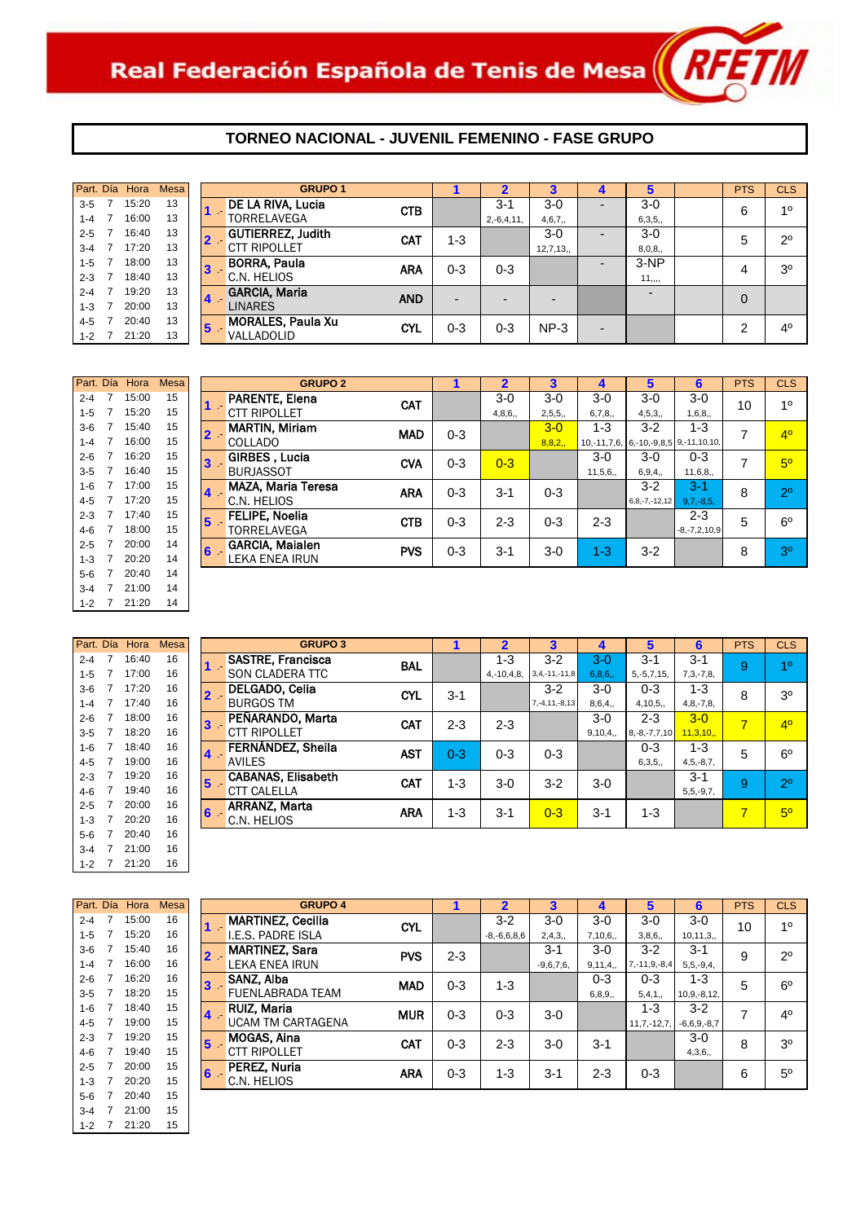**GRUPO 2**

|         | Part. Día Hora | Mesa |                  | <b>GRUPO 1</b>           |            |                          |                          |                |                |          | <b>PTS</b> | <b>CLS</b>     |
|---------|----------------|------|------------------|--------------------------|------------|--------------------------|--------------------------|----------------|----------------|----------|------------|----------------|
| $3 - 5$ | 15:20          | 13   |                  | DE LA RIVA, Lucia        | <b>CTB</b> |                          | $3 - 1$                  | $3-0$          | -              | $3-0$    | 6          | 10             |
| 1-4     | 16:00          | 13   |                  | TORRELAVEGA              |            |                          | $2,-6,4,11,$             | 4,6,7,         |                | 6,3,5,   |            |                |
| $2 - 5$ | 16:40          | 13   | $2 -$            | <b>GUTIERREZ, Judith</b> | <b>CAT</b> | 1-3                      |                          | $3-0$          | -              | $3-0$    | 5          | $2^{\circ}$    |
| $3 - 4$ | 17:20          | 13   |                  | <b>CTT RIPOLLET</b>      |            |                          |                          | 12,7,13,       |                | 8,0,8,   |            |                |
| $1 - 5$ | 18:00          | 13   | 3                | <b>BORRA, Paula</b>      | <b>ARA</b> | $0 - 3$                  | $0 - 3$                  |                |                | $3-NP$   | 4          | 3 <sup>o</sup> |
| $2 - 3$ | 18:40          | 13   |                  | C.N. HELIOS              |            |                          |                          |                |                | 11, 1, 1 |            |                |
| $2 - 4$ | 19:20          | 13   | $\blacktriangle$ | <b>GARCIA, Maria</b>     | <b>AND</b> | $\overline{\phantom{0}}$ | $\overline{\phantom{0}}$ | $\overline{a}$ |                |          | $\Omega$   |                |
| $1 - 3$ | 20:00          | 13   |                  | LINARES                  |            |                          |                          |                |                |          |            |                |
| 4-5     | 20:40          | 13   | 5                | <b>MORALES, Paula Xu</b> | <b>CYL</b> | 0-3                      | $0 - 3$                  | $NP-3$         | $\overline{a}$ |          | ົ          | 4 <sup>0</sup> |
| $1 - 2$ | 21:20          | 13   |                  | VALLADOLID               |            |                          |                          |                |                |          |            |                |

| Part. Día |   | Hora  | <b>Mesa</b> |   | GRI                    |
|-----------|---|-------|-------------|---|------------------------|
| $2 - 4$   | 7 | 15:00 | 15          |   | <b>PARENTE, Elena</b>  |
| $1 - 5$   | 7 | 15:20 | 15          |   | <b>CTT RIPOLLET</b>    |
| $3-6$     | 7 | 15:40 | 15          |   | <b>MARTIN, Miriam</b>  |
| $1 - 4$   | 7 | 16:00 | 15          |   | COLLADO                |
| $2 - 6$   | 7 | 16:20 | 15          | 3 | GIRBES, Lucia          |
| $3 - 5$   | 7 | 16:40 | 15          |   | BURJASSOT              |
| $1 - 6$   | 7 | 17:00 | 15          |   | MAZA, Maria Ter        |
| $4 - 5$   | 7 | 17:20 | 15          |   | C.N. HELIOS            |
| $2 - 3$   | 7 | 17:40 | 15          | 5 | <b>FELIPE, Noelia</b>  |
| $4-6$     | 7 | 18:00 | 15          |   | TORRFI AVFGA           |
| $2 - 5$   | 7 | 20:00 | 14          | 6 | <b>GARCIA, Maialen</b> |
| $1 - 3$   | 7 | 20:20 | 14          |   | <b>LEKA ENEA IRUN</b>  |
| $5-6$     | 7 | 20:40 | 14          |   |                        |
| $3 - 4$   | 7 | 21:00 | 14          |   |                        |
| $1 - 2$   | 7 | 21:20 | 14          |   |                        |

| Part. Día |   | Hora  | Mesa |   | GF                    |
|-----------|---|-------|------|---|-----------------------|
| $2 - 4$   | 7 | 16:40 | 16   |   | <b>SASTRE, Franci</b> |
| $1 - 5$   | 7 | 17:00 | 16   |   | SON CLADERA 1         |
| $3-6$     | 7 | 17:20 | 16   | 2 | <b>DELGADO, Celia</b> |
| $1 - 4$   | 7 | 17:40 | 16   |   | <b>BURGOS TM</b>      |
| $2 - 6$   | 7 | 18:00 | 16   | 3 | PEÑARANDO. N          |
| $3 - 5$   | 7 | 18:20 | 16   |   | <b>CTT RIPOLLET</b>   |
| $1 - 6$   | 7 | 18:40 | 16   | 4 | FERNÁNDEZ, SI         |
| $4 - 5$   | 7 | 19:00 | 16   |   | <b>AVILES</b>         |
| $2 - 3$   | 7 | 19:20 | 16   | 5 | <b>CABANAS, Elisa</b> |
| $4-6$     | 7 | 19:40 | 16   |   | CTT CALELLA           |
| $2 - 5$   | 7 | 20:00 | 16   | 6 | <b>ARRANZ, Marta</b>  |
| $1 - 3$   | 7 | 20:20 | 16   |   | C.N. HELIOS           |
| $5-6$     | 7 | 20:40 | 16   |   |                       |
| $3 - 4$   | 7 | 21:00 | 16   |   |                       |
| $1 - 2$   | 7 | 21:20 | 16   |   |                       |

| Part. Día |                | Hora  | <b>Mesa</b> |   |                     |
|-----------|----------------|-------|-------------|---|---------------------|
| $2 - 4$   | 7              | 15:00 | 16          |   | <b>MARTINEZ. C</b>  |
| $1 - 5$   | 7              | 15:20 | 16          |   | I.E.S. PADRE I      |
| $3-6$     | $\overline{7}$ | 15:40 | 16          |   | <b>MARTINEZ, S</b>  |
| $1 - 4$   | 7              | 16:00 | 16          |   | <b>LEKA ENEA IF</b> |
| $2 - 6$   | 7              | 16:20 | 16          | 3 | SANZ, Alba          |
| $3-5$     | 7              | 18:20 | 15          |   | FUENLABRAD          |
| $1 - 6$   | 7              | 18:40 | 15          |   | RUIZ. Maria         |
| $4 - 5$   | 7              | 19:00 | 15          |   | <b>UCAM TM CAF</b>  |
| $2 - 3$   | 7              | 19:20 | 15          | 5 | MOGAS, Aina         |
| $4 - 6$   | 7              | 19:40 | 15          |   | CTT RIPOLLET        |
| $2 - 5$   | 7              | 20:00 | 15          | 6 | PEREZ. Nuria        |
| $1 - 3$   | 7              | 20:20 | 15          |   | C.N. HELIOS         |
| $5-6$     | 7              | 20:40 | 15          |   |                     |
| $3 - 4$   | 7              | 21:00 | 15          |   |                     |
| 1-2       | 7              | 21:20 | 15          |   |                     |

| Part. Día | Hora                 | <b>Mesa</b>    |   | <b>GRUPO 2</b>                  |            |         | $\overline{2}$ | 3       | 4       | 5                                               | 6                  | <b>PTS</b> | <b>CLS</b>     |
|-----------|----------------------|----------------|---|---------------------------------|------------|---------|----------------|---------|---------|-------------------------------------------------|--------------------|------------|----------------|
| $2 - 4$   | 15:00                | 15             |   | <b>PARENTE, Elena</b>           | CAT        |         | $3-0$          | $3-0$   | $3-0$   | $3-0$                                           | $3-0$              | 10         | 10             |
| $1 - 5$   | 15:20                | 15             |   | <b>CTT RIPOLLET</b>             |            |         | 4,8,6,         | 2,5,5,  | 6,7,8,  | 4, 5, 3,                                        | 1,6,8,             |            |                |
| $3-6$     | 15:40                | 15             |   | <b>MARTIN, Miriam</b><br>$2 -$  | <b>MAD</b> | $0 - 3$ |                | $3-0$   | $1 - 3$ | $3-2$                                           | $1 - 3$            | 7          | 4 <sup>0</sup> |
| $1 - 4$   | 16:00                | 15             |   | <b>COLLADO</b>                  |            |         |                | 8,8,2,  |         | 10, -11, 7, 6, 6, -10, -9, 8, 5 9, -11, 10, 10, |                    |            |                |
| $2 - 6$   | 16:20                | 15             | 3 | GIRBES, Lucia                   | <b>CVA</b> | $0 - 3$ | $0 - 3$        |         | $3-0$   | $3-0$                                           | $0 - 3$            |            | 5 <sup>0</sup> |
| $3 - 5$   | 16:40                | 15             |   | <b>BURJASSOT</b>                |            |         |                |         | 11,5,6, | 6,9,4,                                          | 11,6,8,            |            |                |
| $1-6$     | 17:00                | 15             | 4 | <b>MAZA, Maria Teresa</b>       | <b>ARA</b> | $0 - 3$ | $3 - 1$        | $0 - 3$ |         | $3 - 2$                                         | $3-1$              | 8          | 2 <sup>0</sup> |
| 4-5       | 17:20                | 15             |   | C.N. HELIOS                     |            |         |                |         |         | $6,8,-7,-12,12$                                 | $9,7,-8,5$         |            |                |
| $2 - 3$   | 17:40                | 15             | 5 | <b>FELIPE, Noelia</b>           | <b>CTB</b> | $0 - 3$ | $2 - 3$        | $0 - 3$ | $2 - 3$ |                                                 | $2 - 3$            | 5          | $6^{\circ}$    |
| 4-6       | 18:00                | 15             |   | <b>TORRELAVEGA</b>              |            |         |                |         |         |                                                 | $-8, -7, 2, 10, 9$ |            |                |
| $2 - 5$   | 20:00                | 14             |   | <b>GARCIA, Maialen</b><br>$6 -$ | <b>PVS</b> | $0 - 3$ | $3 - 1$        | $3-0$   | $1 - 3$ | $3 - 2$                                         |                    | 8          | 3 <sup>0</sup> |
| $1 - 3$   | 20:20                | 14             |   | <b>LEKA ENEA IRUN</b>           |            |         |                |         |         |                                                 |                    |            |                |
| __        | $\overline{z}$ 00 10 | $\overline{1}$ |   |                                 |            |         |                |         |         |                                                 |                    |            |                |

| Part. Día | Hora  | <b>Mesa</b> |   |       | <b>GRUPO 3</b>            |            |         | 2               | 3                   |         | 5                  | 6              | <b>PTS</b>              | <b>CLS</b>     |
|-----------|-------|-------------|---|-------|---------------------------|------------|---------|-----------------|---------------------|---------|--------------------|----------------|-------------------------|----------------|
| $2 - 4$   | 16:40 | 16          |   |       | <b>SASTRE, Francisca</b>  | <b>BAL</b> |         | $1 - 3$         | $3-2$               | $3-0$   | $3 - 1$            | $3-1$          | 9                       | 10             |
| $1 - 5$   | 17:00 | 16          |   |       | SON CLADERA TTC           |            |         | $4, -10, 4, 8,$ | $3, 4, -11, -11, 8$ | 6,8,6,  | $5, -5, 7, 15,$    | $7,3,-7,8,$    |                         |                |
| $3-6$     | 17:20 | 16          |   |       | DELGADO, Celia            | <b>CYL</b> | $3 - 1$ |                 | $3 - 2$             | $3-0$   | $0 - 3$            | $1 - 3$        | 8                       | 3 <sup>o</sup> |
| 1-4       | 17:40 | 16          |   |       | <b>BURGOS TM</b>          |            |         |                 | $7, -4, 11, -8, 13$ | 8,6,4,  | 4,10,5,            | $4, 8, -7, 8,$ |                         |                |
| $2 - 6$   | 18:00 | 16          | 3 |       | PEÑARANDO, Marta          | <b>CAT</b> | 2-3     | $2 - 3$         |                     | $3-0$   | $2 - 3$            | $3-0$          | $\overline{\mathbf{z}}$ | 4 <sup>0</sup> |
| $3 - 5$   | 18:20 | 16          |   |       | <b>CTT RIPOLLET</b>       |            |         |                 |                     | 9,10,4, | $8, -8, -7, 7, 10$ | 11,3,10,       |                         |                |
| $1 - 6$   | 18:40 | 16          |   | $4 -$ | FERNÁNDEZ, Sheila         | <b>AST</b> | $0 - 3$ | $0 - 3$         | $0 - 3$             |         | $0 - 3$            | $1 - 3$        | 5                       | $6^{\circ}$    |
| $4 - 5$   | 19:00 | 16          |   |       | <b>AVILES</b>             |            |         |                 |                     |         | 6,3,5,             | $4, 5, -8, 7,$ |                         |                |
| $2 - 3$   | 19:20 | 16          | 5 |       | <b>CABANAS, Elisabeth</b> | <b>CAT</b> | $1 - 3$ | $3-0$           | $3-2$               | 3-0     |                    | $3 - 1$        | 9                       | 2 <sup>0</sup> |
| 4-6       | 19:40 | 16          |   |       | <b>CTT CALELLA</b>        |            |         |                 |                     |         |                    | $5, 5, -9, 7,$ |                         |                |
| $2 - 5$   | 20:00 | 16          | 6 |       | <b>ARRANZ, Marta</b>      | <b>ARA</b> | $1 - 3$ | $3 - 1$         | $0 - 3$             | $3 - 1$ | 1-3                |                | 7                       | 5 <sup>o</sup> |
| $1 - 3$   | 20:20 | 16          |   |       | C.N. HELIOS               |            |         |                 |                     |         |                    |                |                         |                |
|           | .     |             |   |       |                           |            |         |                 |                     |         |                    |                |                         |                |

|         | Part. Día Hora | Mesa |                |                | <b>GRUPO 4</b>           |            |         |                   | 3           |           | 5                  | 6                | <b>PTS</b> | <b>CLS</b>     |
|---------|----------------|------|----------------|----------------|--------------------------|------------|---------|-------------------|-------------|-----------|--------------------|------------------|------------|----------------|
| $2 - 4$ | 15:00          | 16   |                |                | <b>MARTINEZ, Cecilia</b> | <b>CYL</b> |         | $3 - 2$           | $3-0$       | $3-0$     | 3-0                | $3-0$            | 10         | 10             |
| $1 - 5$ | 15:20          | 16   |                |                | I.E.S. PADRE ISLA        |            |         | $-8, -6, 6, 8, 6$ | 2,4,3,      | 7,10,6,   | 3,8,6,             | 10, 11, 3,       |            |                |
| $3-6$   | 15:40          | 16   |                |                | <b>MARTINEZ, Sara</b>    | <b>PVS</b> | $2 - 3$ |                   | $3 - 1$     | $3-0$     | $3-2$              | $3 - 1$          | 9          | 2 <sup>0</sup> |
| $1 - 4$ | 16:00          | 16   |                |                | <b>LEKA ENEA IRUN</b>    |            |         |                   | $-9,6,7,6,$ | 9, 11, 4, | $7, -11, 9, -8, 4$ | $5, 5, -9, 4,$   |            |                |
| $2 - 6$ | 16:20          | 16   | 3              |                | SANZ, Alba               | <b>MAD</b> | $0 - 3$ | 1-3               |             | $0 - 3$   | $0 - 3$            | $1 - 3$          | 5          | $6^{\circ}$    |
| $3-5$   | 18:20          | 15   |                |                | <b>FUENLABRADA TEAM</b>  |            |         |                   |             | 6, 8, 9,  | 5,4,1,             | $10, 9, -8, 12,$ |            |                |
| $1-6$   | 18:40          | 15   |                | $\overline{4}$ | <b>RUIZ, Maria</b>       | <b>MUR</b> | $0 - 3$ | $0 - 3$           | $3-0$       |           | $1 - 3$            | $3 - 2$          | ⇁          | 4 <sup>0</sup> |
| 4-5     | 19:00          | 15   |                |                | <b>UCAM TM CARTAGENA</b> |            |         |                   |             |           | $11, 7, -12, 7,$   | $-6,6,9,-8,7$    |            |                |
| $2 - 3$ | 19:20          | 15   | 5              |                | MOGAS, Aina              | <b>CAT</b> | $0 - 3$ | $2 - 3$           | 3-0         | $3 - 1$   |                    | $3-0$            | 8          | 3 <sup>0</sup> |
| 4-6     | 19:40          | 15   |                |                | <b>CTT RIPOLLET</b>      |            |         |                   |             |           |                    | 4,3,6,           |            |                |
| $2 - 5$ | 20:00          | 15   | $\overline{6}$ |                | PEREZ, Nuria             | <b>ARA</b> | $0 - 3$ | $1 - 3$           | $3 - 1$     | $2 - 3$   | $0 - 3$            |                  | 6          | 5 <sup>0</sup> |
| $1 - 3$ | 20:20          | 15   |                |                | C.N. HELIOS              |            |         |                   |             |           |                    |                  |            |                |
| E C 7   | 20.40          | 15   |                |                |                          |            |         |                   |             |           |                    |                  |            |                |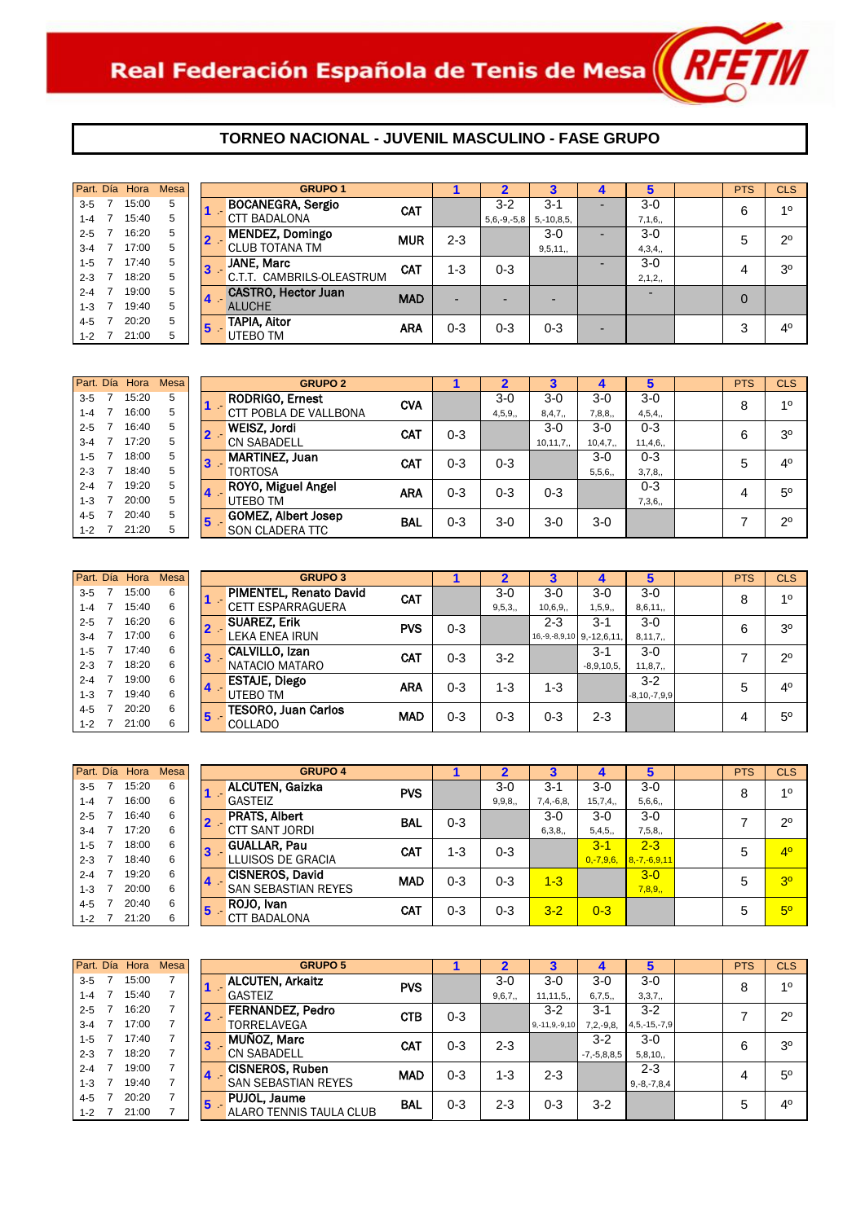

|         | Part. Día Hora | <b>Mesa</b> | <b>GRUPO 1</b>                         |            |         |               |                 |   | 5        | <b>PTS</b> | <b>CLS</b>     |
|---------|----------------|-------------|----------------------------------------|------------|---------|---------------|-----------------|---|----------|------------|----------------|
| $3-5$   | 15:00          | 5           | <b>BOCANEGRA, Sergio</b>               | <b>CAT</b> |         | $3-2$         | $3 - 1$         | - | $3-0$    | 6          | 10             |
| $1 - 4$ | 15:40          | 5           | <b>CTT BADALONA</b>                    |            |         | $5,6,-9,-5,8$ | $5, -10, 8, 5,$ |   | 7,1,6,   |            |                |
| $2 - 5$ | 16:20          | 5           | <b>MENDEZ, Domingo</b><br>$2 -$        | <b>MUR</b> | $2 - 3$ |               | $3-0$           | - | $3-0$    | 5          | $2^{\circ}$    |
| $3 - 4$ | 17:00          | 5           | <b>CLUB TOTANA TM</b>                  |            |         |               | 9,5,11,         |   | 4,3,4,   |            |                |
| $1 - 5$ | 17:40          | 5           | <b>JANE, Marc</b><br>3                 | <b>CAT</b> | $1 - 3$ | $0 - 3$       |                 |   | $3-0$    | 4          | 3 <sup>o</sup> |
| $2 - 3$ | 18:20          | 5           | C.T.T. CAMBRILS-OLEASTRUM              |            |         |               |                 |   | 2, 1, 2, |            |                |
| $2 - 4$ | 19:00          | 5           | <b>CASTRO, Hector Juan</b>             | <b>MAD</b> | -       |               |                 |   |          | 0          |                |
| $1 - 3$ | 19:40          | 5           | 14<br><b>ALUCHE</b>                    |            |         |               |                 |   |          |            |                |
| 4-5     | 20:20          | 5           | <b>TAPIA, Aitor</b><br>$5\phantom{.0}$ | <b>ARA</b> | $0 - 3$ | $0 - 3$       | $0 - 3$         | - |          | 3          | 4 <sup>0</sup> |
| $1 - 2$ | 21:00          | 5           | UTEBO TM                               |            |         |               |                 |   |          |            |                |

| Part. Día | Hora  | <b>Mesa</b> |                |       | <b>GRUPO 2</b>             |            |         |         |            |           | 5       | <b>PTS</b> | <b>CLS</b>     |
|-----------|-------|-------------|----------------|-------|----------------------------|------------|---------|---------|------------|-----------|---------|------------|----------------|
| $3 - 5$   | 15:20 | 5           |                |       | <b>RODRIGO, Ernest</b>     | <b>CVA</b> |         | $3-0$   | $3-0$      | 3-0       | $3-0$   | 8          | 10             |
| $1 - 4$   | 16:00 | 5           |                |       | CTT POBLA DE VALLBONA      |            |         | 4,5,9,  | 8,4,7,     | 7,8,8,    | 4,5,4,  |            |                |
| $2 - 5$   | 16:40 | 5           |                | $2 -$ | <b>WEISZ, Jordi</b>        | <b>CAT</b> | $0 - 3$ |         | $3-0$      | $3-0$     | $0 - 3$ | 6          | 3 <sup>o</sup> |
| $3 - 4$   | 17:20 | 5           |                |       | <b>CN SABADELL</b>         |            |         |         | 10, 11, 7, | 10, 4, 7, | 11,4,6, |            |                |
| $1 - 5$   | 18:00 | 5           | $\bf{3}$       |       | <b>MARTINEZ, Juan</b>      | CAT        | $0 - 3$ | $0 - 3$ |            | $3-0$     | $0 - 3$ | 5          | 4 <sup>0</sup> |
| $2 - 3$   | 18:40 | 5           |                |       | <b>TORTOSA</b>             |            |         |         |            | 5,5,6,    | 3,7,8,  |            |                |
| $2 - 4$   | 19:20 | 5           | <b>4</b>       |       | ROYO, Miguel Angel         | <b>ARA</b> | $0 - 3$ | $0 - 3$ | $0 - 3$    |           | $0 - 3$ |            | $5^{\circ}$    |
| 1-3       | 20:00 | 5           |                |       | UTEBO TM                   |            |         |         |            |           | 7,3,6,  |            |                |
| $4 - 5$   | 20:40 | 5           | $5\phantom{1}$ |       | <b>GOMEZ, Albert Josep</b> | <b>BAL</b> | $0 - 3$ | $3-0$   | $3-0$      | $3-0$     |         |            | $2^{\circ}$    |
| $1 - 2$   | 21:20 |             |                |       | SON CLADERA TTC            |            |         |         |            |           |         |            |                |

|         | Part. Día Hora | <b>Mesa</b> |                | <b>GRUPO 3</b>             |            |         |         |                            |              | 5                  | <b>PTS</b> | <b>CLS</b>     |
|---------|----------------|-------------|----------------|----------------------------|------------|---------|---------|----------------------------|--------------|--------------------|------------|----------------|
|         |                |             |                |                            |            |         |         |                            |              |                    |            |                |
| $3-5$   | 15:00          | 6           |                | PIMENTEL, Renato David     | CAT        |         | $3-0$   | $3-0$                      | $3-0$        | $3-0$              | 8          | 10             |
| $1 - 4$ | 15:40          | 6           |                | <b>CETT ESPARRAGUERA</b>   |            |         | 9,5,3,  | 10,6,9,                    | 1, 5, 9,     | 8,6,11,            |            |                |
| $2 - 5$ | 16:20          | 6           |                | <b>SUAREZ, Erik</b>        | <b>PVS</b> | $0 - 3$ |         | $2 - 3$                    | $3 - 1$      | $3-0$              | 6          | 3 <sup>o</sup> |
| $3 - 4$ | 17:00          | 6           |                | LEKA ENEA IRUN             |            |         |         | $16,-9,-8,9,10$ 9,-12,6,11 |              | 8, 11, 7,          |            |                |
| $1 - 5$ | 17:40          | 6           | 13             | <b>CALVILLO, Izan</b>      | CAT        | $0 - 3$ | $3 - 2$ |                            | $3 - 1$      | $3-0$              |            | $2^{\circ}$    |
| $2 - 3$ | 18:20          | 6           |                | NATACIO MATARO             |            |         |         |                            | $-8,9,10,5,$ | 11, 8, 7,          |            |                |
| $2 - 4$ | 19:00          | 6           |                | <b>ESTAJE, Diego</b>       | <b>ARA</b> | $0 - 3$ | $1 - 3$ | $1 - 3$                    |              | $3 - 2$            | 5          | 4 <sup>0</sup> |
| $1 - 3$ | 19:40          | 6           | $\overline{a}$ | UTEBO TM                   |            |         |         |                            |              | $-8, 10, -7, 9, 9$ |            |                |
| $4 - 5$ | 20:20          | 6           |                | <b>TESORO, Juan Carlos</b> | <b>MAD</b> | $0 - 3$ | $0 - 3$ | $0 - 3$                    | $2 - 3$      |                    |            | $5^{\circ}$    |
| $1 - 2$ | 21:00          | 6           | ю              | <b>COLLADO</b>             |            |         |         |                            |              |                    | 4          |                |

|         |                | Part. Día Hora | <b>Mesa</b> |    | Gl                   |
|---------|----------------|----------------|-------------|----|----------------------|
| $3 - 5$ | $\overline{7}$ | 15:20          | 6           |    | <b>ALCUTEN, Gaiz</b> |
| $1 - 4$ | 7              | 16:00          | 6           |    | <b>GASTEIZ</b>       |
|         |                | 2-5 7 16:40    | 6           |    | <b>PRATS, Albert</b> |
| $3 - 4$ |                | 7 17:20        | 6           |    | <b>CTT SANT JORD</b> |
| $1 - 5$ | 7              | 18:00          | 6           |    | <b>GUALLAR, Pau</b>  |
| $2 - 3$ |                | 7 18:40        | 6           |    | LLUISOS DE GF        |
| $2 - 4$ | $\overline{7}$ | 19:20          | 6           |    | <b>CISNEROS, Day</b> |
| $1 - 3$ | 7              | 20:00          | 6           |    | <b>SAN SEBASTIAN</b> |
|         | $4-5$ 7        | 20:40          | 6           | 5. | ROJO, Ivan           |
| $1 - 2$ | $\overline{7}$ | 21:20          | 6           |    | <b>CTT BADALONA</b>  |

| Part. Día | Hora  | Mesa |                         | <b>GRUPO 4</b>             |            |         | $\overline{\mathbf{2}}$ | 3           | 4              | 5                  | <b>PTS</b> | <b>CLS</b>     |
|-----------|-------|------|-------------------------|----------------------------|------------|---------|-------------------------|-------------|----------------|--------------------|------------|----------------|
| $3 - 5$   | 15:20 | 6    |                         | <b>ALCUTEN, Gaizka</b>     | <b>PVS</b> |         | $3-0$                   | $3 - 1$     | $3-0$          | $3-0$              | 8          | 1 <sup>0</sup> |
| $1 - 4$   | 16:00 | 6    |                         | GASTEIZ                    |            |         | 9, 9, 8,                | $7,4,-6,8,$ | 15,7,4,        | 5,6,6,             |            |                |
| $2 - 5$   | 16:40 | 6    |                         | <b>PRATS, Albert</b>       | <b>BAL</b> | $0 - 3$ |                         | $3-0$       | $3-0$          | $3-0$              |            | $2^{\circ}$    |
| $3 - 4$   | 17:20 | 6    |                         | <b>CTT SANT JORDI</b>      |            |         |                         | 6,3,8,      | 5,4,5,         | 7,5,8,             |            |                |
| $1 - 5$   | 18:00 | 6    | 3                       | <b>GUALLAR, Pau</b>        | <b>CAT</b> | $1 - 3$ | $0 - 3$                 |             | $3 - 1$        | $2 - 3$            | 5          | 4 <sup>o</sup> |
| $2 - 3$   | 18:40 | 6    |                         | LLUISOS DE GRACIA          |            |         |                         |             | $0, -7, 9, 6,$ | $8, -7, -6, 9, 11$ |            |                |
| $2 - 4$   | 19:20 | 6    |                         | <b>CISNEROS, David</b>     | <b>MAD</b> | $0 - 3$ | $0 - 3$                 | $1 - 3$     |                | $3-0$              | 5          | 3 <sup>o</sup> |
| $1 - 3$   | 20:00 | 6    | $\mathbf{a}$            | <b>SAN SEBASTIAN REYES</b> |            |         |                         |             |                | 7,8,9,             |            |                |
| 4-5       | 20:40 | 6    | $\overline{\mathbf{5}}$ | ROJO, Ivan                 | <b>CAT</b> | $0 - 3$ | $0 - 3$                 | $3 - 2$     | $0 - 3$        |                    | 5          | 5 <sup>o</sup> |
| $1 - 2$   | 21:20 | 6    |                         | <b>BADALONA</b><br>CTT     |            |         |                         |             |                |                    |            |                |

|         | Part. Día Hora | <b>Mesa</b> |                 | <b>GRUPO 5</b>             |            |         |         |                     |                   | 5                  | <b>PTS</b> | <b>CLS</b>     |
|---------|----------------|-------------|-----------------|----------------------------|------------|---------|---------|---------------------|-------------------|--------------------|------------|----------------|
| $3 - 5$ | 15:00          |             |                 | <b>ALCUTEN, Arkaitz</b>    | <b>PVS</b> |         | $3-0$   | $3-0$               | $3-0$             | $3-0$              | 8          | 10             |
| $1 - 4$ | 15:40          |             |                 | <b>GASTEIZ</b>             |            |         | 9,6,7,  | 11, 11, 5,          | 6,7,5,            | 3,3,7,             |            |                |
| $2 - 5$ | 16:20          |             |                 | <b>FERNANDEZ, Pedro</b>    | <b>CTB</b> | $0 - 3$ |         | $3 - 2$             | $3 - 1$           | $3 - 2$            |            | $2^{\circ}$    |
| $3 - 4$ | 17:00          |             |                 | TORRELAVEGA                |            |         |         | $9, -11, 9, -9, 10$ | $7, 2, -9, 8,$    | $4, 5, -15, -7, 9$ |            |                |
| $1 - 5$ | 17:40          |             |                 | <b>MUÑOZ, Marc</b>         | <b>CAT</b> | $0 - 3$ | $2 - 3$ |                     | $3 - 2$           | $3-0$              | 6          | 3 <sup>0</sup> |
| $2 - 3$ | 18:20          |             | 13              | <b>CN SABADELL</b>         |            |         |         |                     | $-7, -5, 8, 8, 5$ | 5,8,10,            |            |                |
| $2 - 4$ | 19:00          |             | $\overline{14}$ | <b>CISNEROS, Ruben</b>     | <b>MAD</b> | $0 - 3$ | $1 - 3$ | $2 - 3$             |                   | $2 - 3$            | 4          | $5^{\circ}$    |
| $1 - 3$ | 19:40          |             |                 | <b>SAN SEBASTIAN REYES</b> |            |         |         |                     |                   | $9,-8,-7,8,4$      |            |                |
| $4 - 5$ | 20:20          |             | 15              | PUJOL, Jaume               | <b>BAL</b> | $0 - 3$ | $2 - 3$ | $0 - 3$             | $3-2$             |                    | 5          | 4 <sup>0</sup> |
| $1 - 2$ | 21:00          |             |                 | ALARO TENNIS TAULA CLUB    |            |         |         |                     |                   |                    |            |                |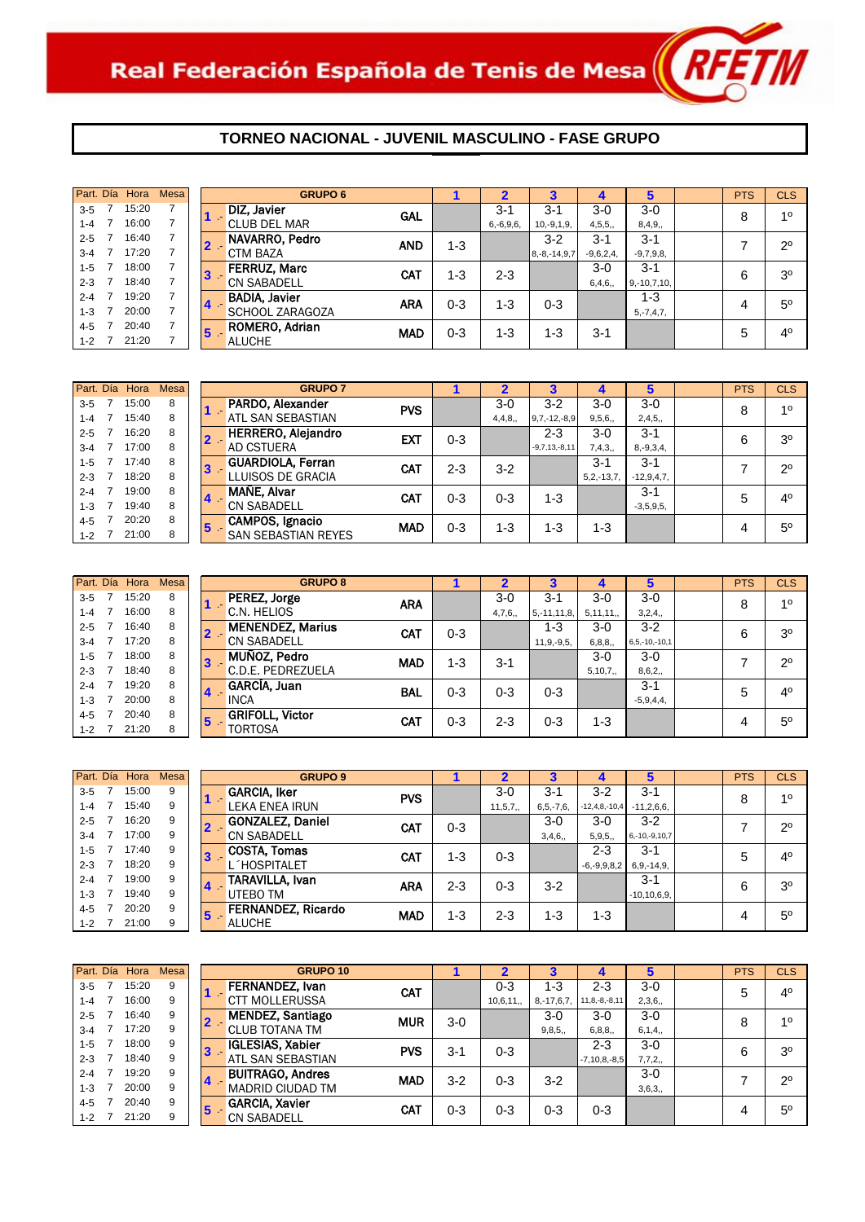

|         | Part. Día Hora | <b>Mesa</b> |                         | <b>GRUPO 6</b>         |            |         |                |                    |             | 5              | <b>PTS</b> | <b>CLS</b>     |
|---------|----------------|-------------|-------------------------|------------------------|------------|---------|----------------|--------------------|-------------|----------------|------------|----------------|
| $3 - 5$ | 15:20          | 7           |                         | DIZ, Javier            | GAL        |         | $3-1$          | $3-1$              | $3-0$       | $3-0$          | 8          | 10             |
| $1 - 4$ | 16:00          |             |                         | <b>CLUB DEL MAR</b>    |            |         | $6, -6, 9, 6,$ | $10,-9,1,9,$       | 4,5,5,      | 8,4,9,         |            |                |
| $2 - 5$ | 16:40          |             | $2 -$                   | NAVARRO, Pedro         | <b>AND</b> | $1 - 3$ |                | $3 - 2$            | $3 - 1$     | $3 - 1$        |            | $2^{\circ}$    |
| $3 - 4$ | 17:20          |             |                         | <b>CTM BAZA</b>        |            |         |                | $8, -8, -14, 9, 7$ | $-9,6,2,4,$ | $-9,7,9,8,$    |            |                |
| $1 - 5$ | 18:00          |             | 13                      | <b>FERRUZ, Marc</b>    | <b>CAT</b> | $1 - 3$ | $2 - 3$        |                    | $3-0$       | $3 - 1$        | 6          | 3 <sup>0</sup> |
| $2 - 3$ | 18:40          |             |                         | <b>CN SABADELL</b>     |            |         |                |                    | 6,4,6,      | $9,-10,7,10,$  |            |                |
| $2 - 4$ | 19:20          |             | $\overline{\mathbf{4}}$ | <b>BADIA, Javier</b>   | <b>ARA</b> | $0 - 3$ | 1-3            | $0 - 3$            |             | $1 - 3$        |            | $5^{\circ}$    |
| $1 - 3$ | 20:00          |             |                         | <b>SCHOOL ZARAGOZA</b> |            |         |                |                    |             | $5, -7, 4, 7,$ | 4          |                |
| 4-5     | 20:40          |             | $5 -$                   | ROMERO, Adrian         | <b>MAD</b> | $0 - 3$ | $1 - 3$        | $1 - 3$            | $3 - 1$     |                | 5          | $4^{\circ}$    |
| $1 - 2$ | 21:20          |             |                         | <b>ALUCHE</b>          |            |         |                |                    |             |                |            |                |

|         | Part. Día Hora | <b>Mesa</b> |                | <b>GRUPO 7</b>             |            |         |         |                 |                 | 5              | <b>PTS</b> | <b>CLS</b>     |
|---------|----------------|-------------|----------------|----------------------------|------------|---------|---------|-----------------|-----------------|----------------|------------|----------------|
| $3 - 5$ | 15:00          | 8           |                | PARDO, Alexander           | <b>PVS</b> |         | $3-0$   | $3 - 2$         | $3-0$           | $3-0$          | 8          | 10             |
| $1 - 4$ | 15:40          | 8           |                | ATL SAN SEBASTIAN          |            |         | 4,4,8,  | $9,7,-12,-8,9$  | 9,5,6,          | 2,4,5,         |            |                |
| $2 - 5$ | 16:20          | 8           |                | <b>HERRERO, Alejandro</b>  | <b>EXT</b> | $0 - 3$ |         | $2 - 3$         | $3-0$           | $3 - 1$        | 6          | 3 <sup>o</sup> |
| $3 - 4$ | 17:00          | 8           |                | <b>AD CSTUERA</b>          |            |         |         | $-9,7,13,-8,11$ | 7,4,3,          | $8, -9, 3, 4,$ |            |                |
| $1 - 5$ | 17:40          | 8           | $3 -$          | <b>GUARDIOLA, Ferran</b>   | CAT        | 2-3     | $3 - 2$ |                 | $3 - 1$         | $3 - 1$        |            | $2^{\circ}$    |
| $2 - 3$ | 18:20          | 8           |                | LLUISOS DE GRACIA          |            |         |         |                 | $5, 2, -13, 7,$ | $-12,9,4,7,$   |            |                |
| $2 - 4$ | 19:00          | 8           | $\overline{4}$ | MAÑE, Alvar                | CAT        | $0 - 3$ | $0 - 3$ | $1 - 3$         |                 | $3 - 1$        | 5          | 4 <sup>0</sup> |
| $1 - 3$ | 19:40          | 8           |                | <b>CN SABADELL</b>         |            |         |         |                 |                 | $-3,5,9,5,$    |            |                |
| 4-5     | 20:20          | 8           | 15             | CAMPOS, Ignacio            | <b>MAD</b> | $0 - 3$ | 1-3     | 1-3             | $1 - 3$         |                | 4          | $5^{\circ}$    |
| $1 - 2$ | 21:00          | 8           |                | <b>SAN SEBASTIAN REYES</b> |            |         |         |                 |                 |                |            |                |

|         | Part. Día Hora | Mesa |                | <b>GRUPO 8</b>                   |            |         |         |                  |          | 5                   | <b>PTS</b> | <b>CLS</b>     |
|---------|----------------|------|----------------|----------------------------------|------------|---------|---------|------------------|----------|---------------------|------------|----------------|
| $3 - 5$ | 15:20          | 8    |                | PEREZ, Jorge                     | <b>ARA</b> |         | $3-0$   | $3 - 1$          | $3-0$    | $3-0$               | 8          | 10             |
| $1 - 4$ | 16:00          | 8    |                | C.N. HELIOS                      |            |         | 4,7,6,  | $5, -11, 11, 8,$ | 5,11,11, | 3,2,4,              |            |                |
| $2 - 5$ | 16:40          | 8    |                | <b>MENENDEZ, Marius</b><br>$2 -$ | <b>CAT</b> | $0 - 3$ |         | $1 - 3$          | $3-0$    | $3 - 2$             | 6          | 3 <sup>o</sup> |
| $3 - 4$ | 17:20          | 8    |                | <b>CN SABADELL</b>               |            |         |         | $11,9,-9,5,$     | 6, 8, 8, | $6, 5, -10, -10, 1$ |            |                |
| $1 - 5$ | 18:00          | 8    |                | MUÑOZ, Pedro                     | <b>MAD</b> | $1 - 3$ | $3 - 1$ |                  | $3-0$    | $3-0$               |            | $2^{\circ}$    |
| $2 - 3$ | 18:40          | 8    |                | C.D.E. PEDREZUELA                |            |         |         |                  | 5,10,7,  | 8,6,2,              |            |                |
| $2 - 4$ | 19:20          | 8    | $\overline{a}$ | GARCÍA, Juan                     | <b>BAL</b> | $0 - 3$ | $0 - 3$ | $0 - 3$          |          | $3 - 1$             | 5          | 4 <sup>0</sup> |
| $1 - 3$ | 20:00          | 8    |                | <b>INCA</b>                      |            |         |         |                  |          | $-5,9,4,4,$         |            |                |
| $4 - 5$ | 20:40          | 8    | 5              | <b>GRIFOLL, Victor</b>           | <b>CAT</b> | $0 - 3$ | 2-3     | $0 - 3$          | 1-3      |                     |            | $5^{\circ}$    |
| $1 - 2$ | 21:20          | 8    |                | TORTOSA                          |            |         |         |                  |          |                     | 4          |                |

|                    | <b>Mesa</b> | Part. Día Hora |   |         |
|--------------------|-------------|----------------|---|---------|
| <b>GARCIA</b>      | 9           | 15:00          | 7 | $3 - 5$ |
| <b>LEKA EN</b>     | 9           | 15:40          | 7 | $1 - 4$ |
| <b>GONZAL</b>      | 9           | 16:20          | 7 | $2 - 5$ |
| CN SAB             | 9           | 17:00          | 7 | $3 - 4$ |
| COSTA.<br>3        | 9           | 17:40          | 7 | $1 - 5$ |
| L'HOSP             | 9           | 18:20          | 7 | $2 - 3$ |
| TARAVIL            | 9           | 19:00          | 7 | $2 - 4$ |
| UTEBO 1            | 9           | 19:40          | 7 | $1 - 3$ |
| <b>FERNAN</b><br>5 | 9           | 20:20          | 7 | $4 - 5$ |
| <b>ALUCHE</b>      | 9           | 21:00          | 7 | $1 - 2$ |
|                    |             |                |   |         |

| Part. Día | Hora  | Mesa |                | <b>GRUPO 9</b>            |            |         | $\overline{\mathbf{2}}$ | 3              | 4                 | 5                   | <b>PTS</b> | <b>CLS</b>     |
|-----------|-------|------|----------------|---------------------------|------------|---------|-------------------------|----------------|-------------------|---------------------|------------|----------------|
| $3 - 5$   | 15:00 | 9    |                | <b>GARCIA, Iker</b>       | <b>PVS</b> |         | $3-0$                   | $3 - 1$        | $3-2$             | $3 - 1$             | 8          | 10             |
| $1 - 4$   | 15:40 | 9    |                | <b>LEKA ENEA IRUN</b>     |            |         | 11, 5, 7,               | $6, 5, -7, 6,$ | $-12,4,8,-10,4$   | $-11,2,6,6,$        |            |                |
| $2 - 5$   | 16:20 | 9    |                | <b>GONZALEZ, Daniel</b>   | <b>CAT</b> | $0 - 3$ |                         | $3-0$          | $3-0$             | $3-2$               |            | $2^{\circ}$    |
| $3 - 4$   | 17:00 | 9    |                | <b>CN SABADELL</b>        |            |         |                         | 3,4,6,         | 5,9,5,            | $6, -10, -9, 10, 7$ |            |                |
| $1 - 5$   | 17:40 | 9    | 3              | <b>COSTA, Tomas</b>       | <b>CAT</b> | $1 - 3$ | $0 - 3$                 |                | 2-3               | $3 - 1$             | 5          | 4 <sup>0</sup> |
| $2 - 3$   | 18:20 | 9    |                | .´HOSPITALET              |            |         |                         |                | $-6, -9, 9, 8, 2$ | $6, 9, -14, 9,$     |            |                |
| $2 - 4$   | 19:00 | 9    | $\overline{4}$ | TARAVILLA, Ivan           | <b>ARA</b> | $2 - 3$ | $0 - 3$                 | $3 - 2$        |                   | $3 - 1$             | 6          | 3 <sup>o</sup> |
| $1 - 3$   | 19:40 | 9    |                | UTEBO TM                  |            |         |                         |                |                   | $-10, 10, 6, 9,$    |            |                |
| 4-5       | 20:20 | 9    | 157            | <b>FERNANDEZ, Ricardo</b> | <b>MAD</b> | $1 - 3$ | $2 - 3$                 | 1-3            | $1 - 3$           |                     |            | $5^{\circ}$    |
| $1 - 2$   | 21:00 | 9    |                | <b>ALUCHE</b>             |            |         |                         |                |                   |                     | 4          |                |

|         | Part. Día Hora | <b>Mesa</b> |                | <b>GRUPO 10</b>           |            |         |          |                 |                     | 5        | <b>PTS</b> | <b>CLS</b>     |
|---------|----------------|-------------|----------------|---------------------------|------------|---------|----------|-----------------|---------------------|----------|------------|----------------|
| $3 - 5$ | 15:20          | 9           |                | <b>FERNANDEZ, Ivan</b>    | <b>CAT</b> |         | $0 - 3$  | $1 - 3$         | $2 - 3$             | $3-0$    | 5          | 4 <sup>0</sup> |
| $1 - 4$ | 16:00          | 9           |                | <b>MOLLERUSSA</b><br>.CTT |            |         | 10,6,11, | $8, -17, 6, 7,$ | $11, 8, -8, -8, 11$ | 2,3,6,   |            |                |
| $2 - 5$ | 16:40          | 9           |                | <b>MENDEZ, Santiago</b>   | <b>MUR</b> | $3-0$   |          | $3-0$           | $3-0$               | $3-0$    | 8          | 10             |
| $3 - 4$ | 17:20          | 9           |                | <b>CLUB TOTANA TM</b>     |            |         |          | 9,8,5,          | 6, 8, 8,            | 6, 1, 4, |            |                |
| $1 - 5$ | 18:00          | 9           |                | <b>IGLESIAS, Xabier</b>   | <b>PVS</b> | $3 - 1$ | $0 - 3$  |                 | $2 - 3$             | $3-0$    | 6          | 3 <sup>0</sup> |
| $2 - 3$ | 18:40          | 9           |                | ATL SAN SEBASTIAN         |            |         |          |                 | $-7, 10, 8, -8, 5$  | 7,7,2,   |            |                |
| $2 - 4$ | 19:20          | 9           | $\blacksquare$ | <b>BUITRAGO, Andres</b>   | <b>MAD</b> | $3 - 2$ | $0 - 3$  | $3 - 2$         |                     | $3-0$    |            | $2^{\circ}$    |
| $1 - 3$ | 20:00          | 9           |                | <b>MADRID CIUDAD TM</b>   |            |         |          |                 |                     | 3,6,3,   |            |                |
| $4 - 5$ | 20:40          | 9           | 15             | <b>GARCIA, Xavier</b>     | CAT        | 0-3     | $0 - 3$  | $0 - 3$         | $0 - 3$             |          |            | $5^{\circ}$    |
| $1 - 2$ | 21:20          | 9           |                | <b>CN SABADELL</b>        |            |         |          |                 |                     |          | 4          |                |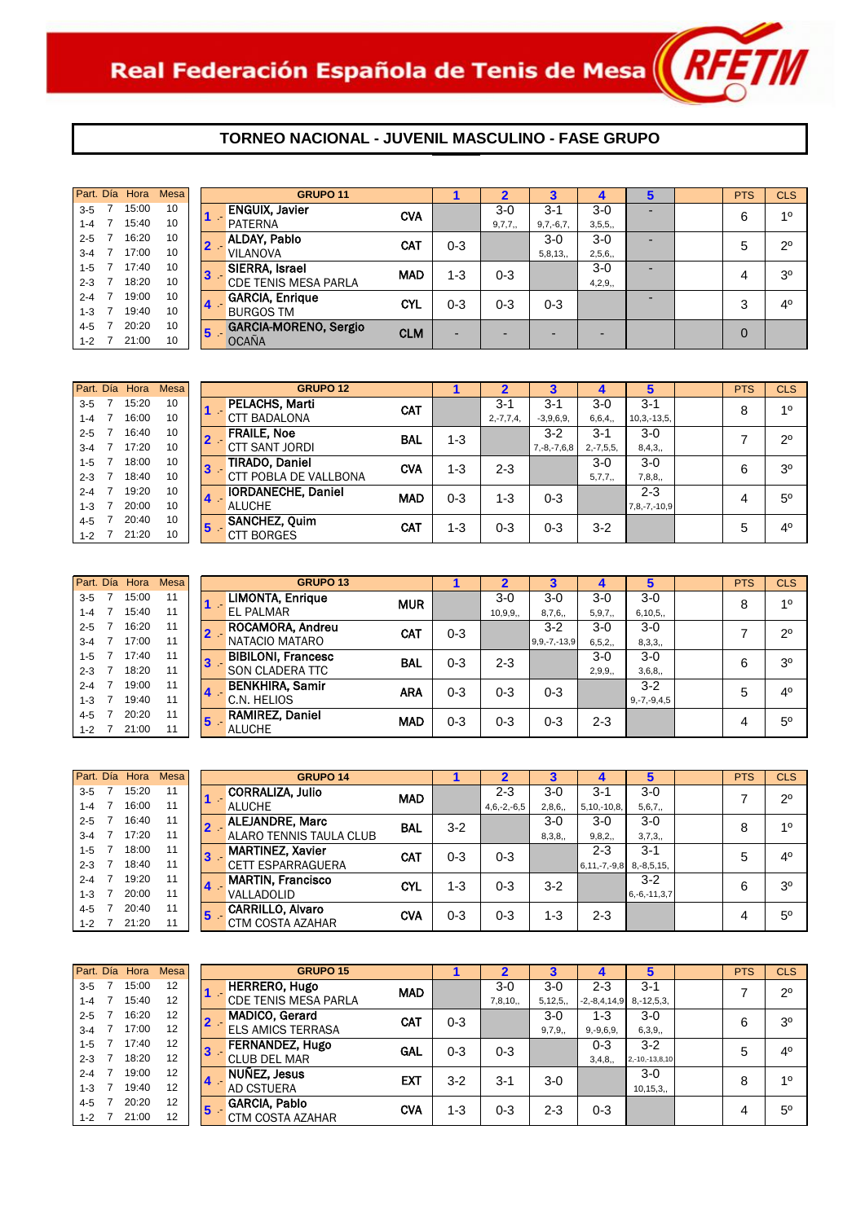

|         | Part. Día Hora | Mesa |   |       | <b>GRUPO 11</b>              |            |         |         |             |        |  | <b>PTS</b>     | <b>CLS</b>     |
|---------|----------------|------|---|-------|------------------------------|------------|---------|---------|-------------|--------|--|----------------|----------------|
| $3 - 5$ | 15:00          | 10   |   |       | <b>ENGUIX, Javier</b>        | <b>CVA</b> |         | $3-0$   | $3 - 1$     | $3-0$  |  | 6              | 10             |
| $1 - 4$ | 15:40          | 10   |   |       | <b>PATERNA</b>               |            |         | 9,7,7,  | $9,7,-6,7,$ | 3,5,5, |  |                |                |
| $2 - 5$ | 16:20          | 10   |   | $2 -$ | <b>ALDAY, Pablo</b>          | CAT        | $0 - 3$ |         | $3-0$       | $3-0$  |  | 5              | $2^{\circ}$    |
| $3 - 4$ | 17:00          | 10   |   |       | <b>VILANOVA</b>              |            |         |         | 5,8,13,     | 2,5,6, |  |                |                |
| $1 - 5$ | 17:40          | 10   |   |       | SIERRA, Israel               | <b>MAD</b> | $1 - 3$ | $0 - 3$ |             | $3-0$  |  |                | 3 <sup>o</sup> |
| $2 - 3$ | 18:20          | 10   | 3 |       | <b>CDE TENIS MESA PARLA</b>  |            |         |         |             | 4,2,9, |  | 4              |                |
| $2 - 4$ | 19:00          | 10   |   |       | <b>GARCIA, Enrique</b>       | <b>CYL</b> | $0 - 3$ | $0 - 3$ | $0 - 3$     |        |  | 3              | 4 <sup>0</sup> |
| $1 - 3$ | 19:40          | 10   |   |       | <b>BURGOS TM</b>             |            |         |         |             |        |  |                |                |
| 4-5     | 20:20          | 10   | 5 |       | <b>GARCIA-MORENO, Sergio</b> | <b>CLM</b> |         |         |             |        |  | $\overline{0}$ |                |
| $1 - 2$ | 21:00          | 10   |   |       | <b>OCANA</b>                 |            | -       |         |             |        |  |                |                |

| GRI                        |   | <b>Mesa</b> | Part Día Hora |                |         |
|----------------------------|---|-------------|---------------|----------------|---------|
| <b>PELACHS, Marti</b>      |   | 10          | 15:20         | 7              | $3 - 5$ |
| <b>CTT BADALONA</b>        |   | 10          | 16:00         | 7              | $1 - 4$ |
| <b>FRAILE, Noe</b><br>2    |   | 10          | 16:40         | 7              | $2 - 5$ |
| <b>CTT SANT JORDI</b>      |   | 10          | 17.20         | 7              | $3 - 4$ |
| <b>TIRADO, Daniel</b><br>3 |   | 10          | 18:00         | 7              | $1 - 5$ |
| CTT POBLA DE V             |   | 10          | 18:40         | 7              | $2 - 3$ |
| <b>IORDANECHE, D</b>       |   | 10          | 19:20         | 7              | $2 - 4$ |
| <b>ALUCHE</b>              |   | 10          | 20:00         | 7              | $1 - 3$ |
| <b>SANCHEZ, Quim</b>       | 5 | 10          | 20:40         | 7              | $4 - 5$ |
| <b>CTT BORGES</b>          |   | 10          | 21:20         | $\overline{7}$ | $1 - 2$ |

|         | Part. Día Hora | <b>Mesa</b> |                         | <b>GRUPO 12</b>           |            |         |                |               |                | 5                | <b>PTS</b> | <b>CLS</b>     |
|---------|----------------|-------------|-------------------------|---------------------------|------------|---------|----------------|---------------|----------------|------------------|------------|----------------|
| $3 - 5$ | 15:20          | 10          |                         | <b>PELACHS, Marti</b>     | <b>CAT</b> |         | $3 - 1$        | $3 - 1$       | $3-0$          | $3 - 1$          | 8          | 10             |
| $1 - 4$ | 16:00          | 10          |                         | <b>CTT BADALONA</b>       |            |         | $2, -7, 7, 4,$ | $-3,9,6,9,$   | 6,6,4,         | $10, 3, -13, 5,$ |            |                |
| $2 - 5$ | 16:40          | 10          |                         | <b>FRAILE, Noe</b>        | <b>BAL</b> | $1 - 3$ |                | $3-2$         | $3 - 1$        | $3-0$            |            | $2^{\circ}$    |
| $3 - 4$ | 17:20          | 10          |                         | <b>CTT SANT JORDI</b>     |            |         |                | $7,-8,-7,6,8$ | $2, -7, 5, 5,$ | 8,4,3,           |            |                |
| $1 - 5$ | 18:00          | 10          | 3                       | <b>TIRADO, Daniel</b>     | <b>CVA</b> | $1 - 3$ | $2 - 3$        |               | $3-0$          | $3-0$            | 6          | 3 <sup>0</sup> |
| $2 - 3$ | 18:40          | 10          |                         | CTT POBLA DE VALLBONA     |            |         |                |               | 5,7,7,         | 7,8,8,           |            |                |
| $2 - 4$ | 19:20          | 10          | $\blacktriangle$        | <b>IORDANECHE, Daniel</b> | <b>MAD</b> | $0 - 3$ | $1 - 3$        | $0 - 3$       |                | $2 - 3$          | 4          | $5^{\circ}$    |
| $1 - 3$ | 20:00          | 10          |                         | <b>ALUCHE</b>             |            |         |                |               |                | $7,8,-7,-10,9$   |            |                |
| 4-5     | 20:40          | 10          | $\overline{\mathbf{5}}$ | <b>SANCHEZ, Quim</b>      | <b>CAT</b> | $1 - 3$ | $0 - 3$        | $0 - 3$       | $3-2$          |                  | 5          | 4 <sup>0</sup> |
| $1-2$ 7 | 21:20          | 10          |                         | <b>BORGES</b><br>CTT      |            |         |                |               |                |                  |            |                |

| Part. Día | Hora  | <b>Mesa</b> |    | <b>GRUPO 13</b>           |            |         |           |                    |          | 5                 | <b>PTS</b> | <b>CLS</b>     |
|-----------|-------|-------------|----|---------------------------|------------|---------|-----------|--------------------|----------|-------------------|------------|----------------|
| $3 - 5$   | 15:00 | 11          |    | <b>LIMONTA, Enrique</b>   | <b>MUR</b> |         | $3-0$     | $3-0$              | $3-0$    | $3-0$             | 8          | 10             |
| $1 - 4$   | 15:40 | 11          |    | <b>EL PALMAR</b>          |            |         | 10, 9, 9, | 8,7,6,             | 5, 9, 7, | 6, 10, 5,         |            |                |
| $2 - 5$   | 16:20 | 11          |    | ROCAMORA, Andreu          | <b>CAT</b> | $0 - 3$ |           | $3 - 2$            | $3-0$    | $3-0$             |            | $2^{\circ}$    |
| $3 - 4$   | 17:00 | 11          |    | NATACIO MATARO            |            |         |           | $9, 9, -7, -13, 9$ | 6, 5, 2, | 8,3,3,            |            |                |
| $1 - 5$   | 17:40 | 11          | 13 | <b>BIBILONI, Francesc</b> | <b>BAL</b> | $0 - 3$ | $2 - 3$   |                    | $3-0$    | $3-0$             | 6          | 3 <sup>0</sup> |
| $2 - 3$   | 18:20 | 11          |    | SON CLADERA TTC           |            |         |           |                    | 2,9,9,   | 3,6,8,            |            |                |
| $2 - 4$   | 19:00 | 11          | 14 | <b>BENKHIRA, Samir</b>    | <b>ARA</b> | $0 - 3$ | 0-3       | $0 - 3$            |          | $3 - 2$           | 5          | 4 <sup>0</sup> |
| $1 - 3$   | 19:40 | 11          |    | C.N. HELIOS               |            |         |           |                    |          | $9, -7, -9, 4, 5$ |            |                |
| $4 - 5$   | 20:20 | 11          | 5  | <b>RAMIREZ, Daniel</b>    | <b>MAD</b> | $0 - 3$ | $0 - 3$   | $0 - 3$            | $2 - 3$  |                   | 4          | $5^{\circ}$    |
| $1 - 2$   | 21:00 | 11          |    | <b>ALUCHE</b>             |            |         |           |                    |          |                   |            |                |

|         |   | Part, Día Hora | <b>Mesa</b> |
|---------|---|----------------|-------------|
| $3 - 5$ | 7 | 15.20          | 11          |
| $1 - 4$ | 7 | 16:00          | 11          |
| $2 - 5$ | 7 | 16:40          | 11          |
| $3 - 4$ | 7 | 17.20          | 11          |
| $1 - 5$ | 7 | 18:00          | 11          |
| $2 - 3$ | 7 | 18.40          | 11          |
| $2 - 4$ | 7 | 19.20          | 11          |
| $1 - 3$ | 7 | 20:00          | 11          |
| $4 - 5$ | 7 | 20:40          | 11          |
| $1 - 2$ | 7 | 21:20          | 11          |

| Part. Día | Hora  | <b>Mesa</b> |    | <b>GRUPO 14</b>          |            |         | 2             | 3       | 4                                  | 5                  | <b>PTS</b> | <b>CLS</b>     |
|-----------|-------|-------------|----|--------------------------|------------|---------|---------------|---------|------------------------------------|--------------------|------------|----------------|
| $3 - 5$   | 15:20 | 11          |    | <b>CORRALIZA, Julio</b>  | <b>MAD</b> |         | $2 - 3$       | $3-0$   | $3 - 1$                            | $3-0$              |            | $2^{\circ}$    |
| $1 - 4$   | 16:00 | 11          |    | <b>ALUCHE</b>            |            |         | $4,6,-2,-6,5$ | 2,8,6,  | $5, 10, -10, 8,$                   | 5,6,7,             |            |                |
| $2 - 5$   | 16:40 | 11          |    | <b>ALEJANDRE, Marc</b>   | <b>BAL</b> | $3 - 2$ |               | 3-0     | $3-0$                              | $3-0$              | 8          | 10             |
| $3 - 4$   | 17:20 | 11          |    | ALARO TENNIS TAULA CLUB  |            |         |               | 8,3,8,  | 9,8,2,                             | 3,7,3,             |            |                |
| $1 - 5$   | 18:00 | 11          | 13 | <b>MARTINEZ, Xavier</b>  | <b>CAT</b> | $0 - 3$ | $0 - 3$       |         | $2 - 3$                            | $3 - 1$            | 5          | $4^{\circ}$    |
| $2 - 3$   | 18:40 | 11          |    | <b>CETT ESPARRAGUERA</b> |            |         |               |         | $ 6, 11, -7, -9, 8 $ 8, -8, 5, 15, |                    |            |                |
| $2 - 4$   | 19:20 | 11          | 14 | <b>MARTIN, Francisco</b> | <b>CYL</b> | $1 - 3$ | 0-3           | $3 - 2$ |                                    | $3 - 2$            | 6          | 3 <sup>0</sup> |
| $1 - 3$   | 20:00 | 11          |    | VALLADOLID               |            |         |               |         |                                    | $6, -6, -11, 3, 7$ |            |                |
| 4-5       | 20:40 | 11          | 5  | <b>CARRILLO, Alvaro</b>  | <b>CVA</b> | $0 - 3$ | $0 - 3$       | 1-3     | $2 - 3$                            |                    |            | $5^{\circ}$    |
| $1 - 2$   | 21:20 | 11          |    | CTM COSTA AZAHAR         |            |         |               |         |                                    |                    | 4          |                |

|         | Part Día Hora | <b>Mesa</b> |    | <b>GRUPO 15</b>             |            |         |         |           |                    | 5               | <b>PTS</b> | <b>CLS</b>     |
|---------|---------------|-------------|----|-----------------------------|------------|---------|---------|-----------|--------------------|-----------------|------------|----------------|
| $3 - 5$ | 15:00         | 12          |    | <b>HERRERO, Hugo</b>        | <b>MAD</b> |         | $3-0$   | $3-0$     | $2 - 3$            | $3 - 1$         |            | $2^{\circ}$    |
| $1-4$ 7 | 15:40         | 12          |    | <b>CDE TENIS MESA PARLA</b> |            |         | 7,8,10, | 5, 12, 5, | $-2, -8, 4, 14, 9$ | $8, -12, 5, 3,$ |            |                |
| $2 - 5$ | 16:20         | 12          |    | <b>MADICO, Gerard</b>       | <b>CAT</b> | $0 - 3$ |         | $3-0$     | 1-3                | $3-0$           | 6          | 3 <sup>o</sup> |
| $3 - 4$ | 17:00         | 12          |    | <b>ELS AMICS TERRASA</b>    |            |         |         | 9,7,9,    | $9, -9, 6, 9,$     | 6,3,9,          |            |                |
| $1 - 5$ | 17:40         | 12          | 13 | <b>FERNANDEZ, Hugo</b>      | GAL        | $0 - 3$ | $0 - 3$ |           | $0 - 3$            | $3 - 2$         | 5          | 4 <sup>0</sup> |
| $2 - 3$ | 18:20         | 12          |    | <b>CLUB DEL MAR</b>         |            |         |         |           | 3,4,8,             | 2,-10,-13,8,10  |            |                |
| $2 - 4$ | 19:00         | 12          | 14 | <b>NUNEZ, Jesus</b>         | <b>EXT</b> | $3-2$   | $3-1$   | $3-0$     |                    | $3-0$           | 8          | 10             |
| $1 - 3$ | 19:40         | 12          |    | AD CSTUERA                  |            |         |         |           |                    | 10, 15, 3,      |            |                |
| $4 - 5$ | 20:20         | 12          | 15 | <b>GARCIA, Pablo</b>        | <b>CVA</b> | $1 - 3$ | $0 - 3$ | $2 - 3$   | $0 - 3$            |                 | 4          | $5^{\circ}$    |
| $1 - 2$ | 21:00         | 12          |    | CTM COSTA AZAHAR            |            |         |         |           |                    |                 |            |                |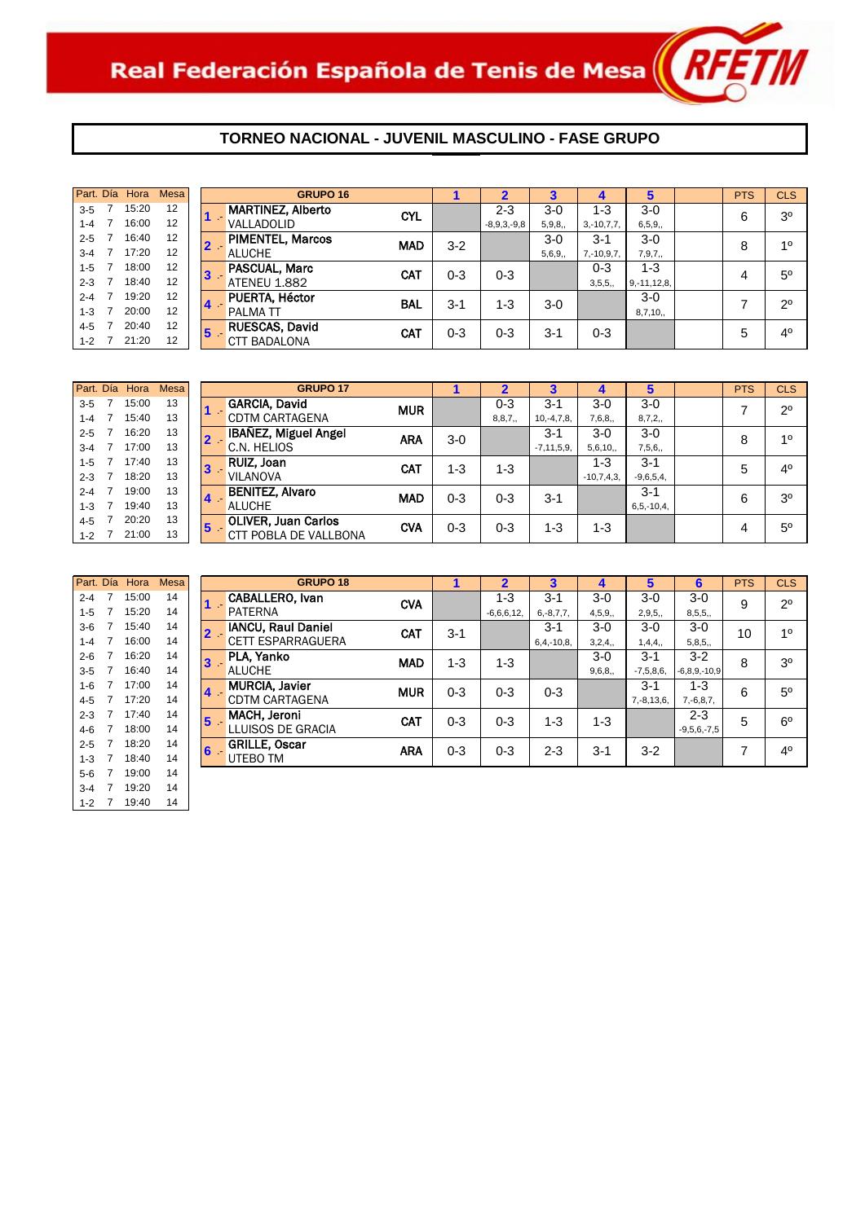

|         | Part. Día Hora | <b>Mesa</b>       |              | <b>GRUPO 16</b>          |            |         |               |        |                 | 5                | <b>PTS</b> | <b>CLS</b>     |
|---------|----------------|-------------------|--------------|--------------------------|------------|---------|---------------|--------|-----------------|------------------|------------|----------------|
| $3 - 5$ | 15:20          | $12 \overline{ }$ |              | <b>MARTINEZ, Alberto</b> | <b>CYL</b> |         | 2-3           | $3-0$  | 1-3             | $3-0$            | 6          | 3 <sup>o</sup> |
| $1 - 4$ | 16:00          | 12                |              | VALLADOLID               |            |         | $-8,9,3,-9,8$ | 5,9,8, | $3,-10,7,7,$    | 6, 5, 9,         |            |                |
| $2 - 5$ | 16:40          | 12                | $2 -$        | <b>PIMENTEL, Marcos</b>  | <b>MAD</b> | $3 - 2$ |               | $3-0$  | $3 - 1$         | $3-0$            | 8          | 10             |
| $3 - 4$ | 17:20          | 12                |              | <b>ALUCHE</b>            |            |         |               | 5,6,9, | $7, -10, 9, 7,$ | 7,9,7,           |            |                |
| $1 - 5$ | 18:00          | 12                | $\mathbf{3}$ | PASCUAL, Marc            | <b>CAT</b> | $0 - 3$ | $0 - 3$       |        | $0 - 3$         | 1-3              |            | $5^{\circ}$    |
| $2 - 3$ | 18:40          | 12                |              | <b>ATENEU 1.882</b>      |            |         |               |        | 3,5,5,          | $9, -11, 12, 8,$ | 4          |                |
| $2 - 4$ | 19:20          | 12                |              | PUERTA, Héctor           | <b>BAL</b> | $3 - 1$ | $1 - 3$       | $3-0$  |                 | $3-0$            |            | $2^{\circ}$    |
| $1 - 3$ | 20:00          | 12                | 4            | PALMA TT                 |            |         |               |        |                 | 8,7,10,          |            |                |
| $4 - 5$ | 20:40          | 12                | 5            | RUESCAS, David           | <b>CAT</b> | $0 - 3$ | $0 - 3$       | $3-1$  | $0 - 3$         |                  | 5          | 4 <sup>0</sup> |
| $1 - 2$ | 21:20          | 12                |              | <b>BADALONA</b><br>CTT   |            |         |               |        |                 |                  |            |                |

| Part. Día | Hora  | Mesa |                         | <b>GRUPO 17</b>             |            |         |          |                 |              | 5               | <b>PTS</b> | <b>CLS</b>     |
|-----------|-------|------|-------------------------|-----------------------------|------------|---------|----------|-----------------|--------------|-----------------|------------|----------------|
| $3 - 5$   | 15:00 | 13   |                         | <b>GARCIA, David</b>        | <b>MUR</b> |         | $0 - 3$  | $3 - 1$         | $3-0$        | $3-0$           |            | $2^{\circ}$    |
| $1 - 4$   | 15:40 | 13   |                         | <b>CDTM CARTAGENA</b>       |            |         | 8, 8, 7, | $10,-4,7,8,$    | 7,6,8,       | 8,7,2,          |            |                |
| $2 - 5$   | 16:20 | 13   |                         | <b>IBAÑEZ, Miguel Angel</b> | <b>ARA</b> | $3-0$   |          | $3 - 1$         | $3-0$        | $3-0$           | 8          | 10             |
| $3 - 4$   | 17:00 | 13   |                         | C.N. HELIOS                 |            |         |          | $-7, 11, 5, 9,$ | 5,6,10,      | 7,5,6,          |            |                |
| $1 - 5$   | 17:40 | 13   | $ 3\rangle$             | RUIZ, Joan                  | <b>CAT</b> | $1 - 3$ | 1-3      |                 | $1 - 3$      | $3 - 1$         | 5          | 4 <sup>0</sup> |
| $2 - 3$   | 18:20 | 13   |                         | <b>VILANOVA</b>             |            |         |          |                 | $-10,7,4,3,$ | $-9,6,5,4,$     |            |                |
| $2 - 4$   | 19:00 | 13   | $\overline{\mathbf{4}}$ | <b>BENITEZ, Alvaro</b>      | <b>MAD</b> | $0 - 3$ | $0 - 3$  | $3 - 1$         |              | $3 - 1$         | 6          | 3 <sup>o</sup> |
| $1 - 3$   | 19:40 | 13   |                         | <b>ALUCHE</b>               |            |         |          |                 |              | $6, 5, -10, 4,$ |            |                |
| $4 - 5$   | 20:20 | 13   | 15                      | <b>OLIVER, Juan Carlos</b>  | CVA        | $0 - 3$ | $0 - 3$  | 1-3             | 1-3          |                 |            | $5^{\circ}$    |
| $1 - 2$   | 21:00 | 13   |                         | CTT POBLA DE VALLBONA       |            |         |          |                 |              |                 | 4          |                |

| Part. Día |                | Hora  | <b>Mesa</b> |   | G                    |
|-----------|----------------|-------|-------------|---|----------------------|
| $2 - 4$   | 7              | 15:00 | 14          |   | <b>CABALLERO.</b> IV |
| $1 - 5$   | 7              | 15:20 | 14          |   | <b>PATERNA</b>       |
| $3-6$     | 7              | 15:40 | 14          |   | <b>IANCU, Raul D</b> |
| $1 - 4$   | $\overline{7}$ | 16:00 | 14          |   | <b>CETT ESPARRA</b>  |
| $2 - 6$   | 7              | 16:20 | 14          | 3 | <b>PLA. Yanko</b>    |
| $3 - 5$   | 7              | 16:40 | 14          |   | <b>ALUCHE</b>        |
| $1 - 6$   | 7              | 17:00 | 14          |   | <b>MURCIA, Javie</b> |
| $4 - 5$   | 7              | 17:20 | 14          |   | CDTM CARTAG          |
| $2 - 3$   | 7              | 17:40 | 14          | 5 | MACH, Jeroni         |
| $4-6$     | 7              | 18:00 | 14          |   | LLUISOS DE G         |
| $2 - 5$   | 7              | 18:20 | 14          | 6 | <b>GRILLE, Oscar</b> |
| $1 - 3$   | 7              | 18:40 | 14          |   | UTEBO TM             |
| $5-6$     | 7              | 19:00 | 14          |   |                      |
| $3 - 4$   | 7              | 19:20 | 14          |   |                      |
| $1 - 2$   | 7              | 19:40 | 14          |   |                      |

|         | Part. Día Hora | <b>Mesa</b> |    | <b>GRUPO 18</b>           |            |         |              | 3              | 4       | 5               | 6                  | <b>PTS</b> | <b>CLS</b>     |
|---------|----------------|-------------|----|---------------------------|------------|---------|--------------|----------------|---------|-----------------|--------------------|------------|----------------|
| $2 - 4$ | 15:00          | 14          |    | CABALLERO, Ivan           | <b>CVA</b> |         | 1-3          | $3 - 1$        | $3-0$   | $3-0$           | $3-0$              | 9          | $2^{\circ}$    |
| $1 - 5$ | 15:20          | 14          |    | <b>PATERNA</b>            |            |         | $-6,6,6,12,$ | $6, -8, 7, 7,$ | 4,5,9,  | 2,9,5,          | 8,5,5,             |            |                |
| $3-6$   | 15:40          | 14          |    | <b>IANCU, Raul Daniel</b> | CAT        | $3 - 1$ |              | $3-1$          | $3-0$   | $3-0$           | $3-0$              | 10         | 10             |
| $1 - 4$ | 16:00          | 14          |    | <b>CETT ESPARRAGUERA</b>  |            |         |              | $6,4,-10,8$    | 3,2,4,  | 1,4,4,          | 5,8,5,             |            |                |
| $2 - 6$ | 16:20          | 14          | 13 | PLA, Yanko                | <b>MAD</b> | $1 - 3$ | $1 - 3$      |                | $3-0$   | $3 - 1$         | $3-2$              | 8          | 3 <sup>0</sup> |
| $3-5$   | 16:40          | 14          |    | <b>ALUCHE</b>             |            |         |              |                | 9,6,8,  | $-7,5,8,6,$     | $-6, 8, 9, -10, 9$ |            |                |
| $1 - 6$ | 17:00          | 14          |    | <b>MURCIA, Javier</b>     | <b>MUR</b> | $0 - 3$ | $0 - 3$      | $0 - 3$        |         | $3 - 1$         | $1 - 3$            | 6          | 5 <sup>0</sup> |
| $4 - 5$ | 17:20          | 14          |    | <b>CDTM CARTAGENA</b>     |            |         |              |                |         | $7, -8, 13, 6,$ | $7, -6, 8, 7,$     |            |                |
| $2 - 3$ | 17:40          | 14          | 5  | <b>MACH, Jeroni</b>       | <b>CAT</b> | $0 - 3$ | $0 - 3$      | 1-3            | $1 - 3$ |                 | $2 - 3$            | 5          | $6^{\circ}$    |
| 4-6     | 18:00          | 14          |    | LLUISOS DE GRACIA         |            |         |              |                |         |                 | $-9,5,6,-7,5$      |            |                |
| $2 - 5$ | 18:20          | 14          | 6  | <b>GRILLE, Oscar</b>      | <b>ARA</b> | $0 - 3$ | $0 - 3$      | $2 - 3$        | $3 - 1$ | $3 - 2$         |                    | 7          | 4 <sup>0</sup> |
| $1 - 3$ | 18:40          | 14          |    | UTEBO TM                  |            |         |              |                |         |                 |                    |            |                |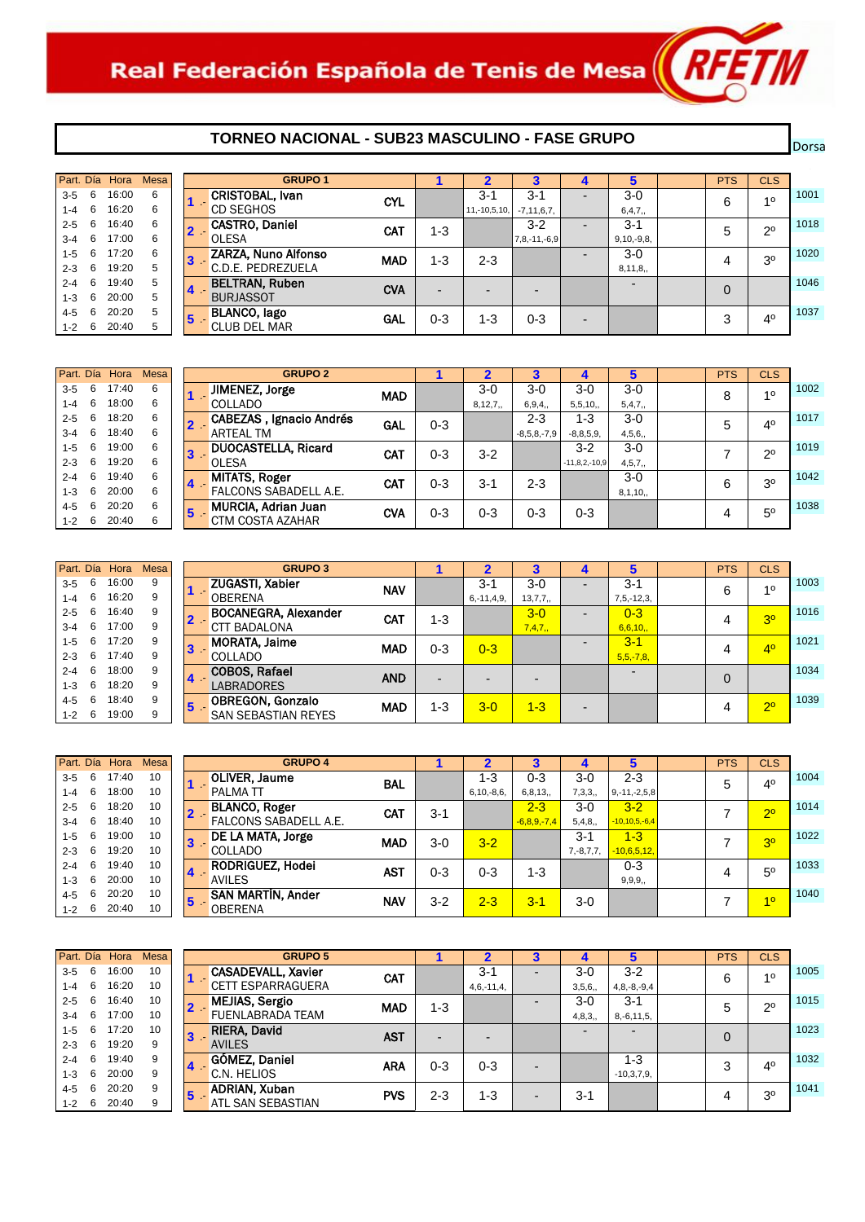## **TORNEO NACIONAL - SUB23 MASCULINO - FASE GRUPO**

Dorsal

|             |   | Part. Día Hora | Mesa |    | <b>GRUPO 1</b>        |            |                          |                |                    |                          |                          | <b>PTS</b>     | CLS            |      |
|-------------|---|----------------|------|----|-----------------------|------------|--------------------------|----------------|--------------------|--------------------------|--------------------------|----------------|----------------|------|
| $3 - 5$     | 6 | 16:00          | 6    |    | CRISTOBAL, Ivan       | <b>CYL</b> |                          | $3-1$          | $3 - 1$            | -                        | $3-0$                    | 6              | 10             | 1001 |
| $1 - 4$     | 6 | 16:20          | 6    |    | <b>CD SEGHOS</b>      |            |                          | $11,-10,5,10,$ | $-7, 11, 6, 7,$    |                          | 6,4,7,                   |                |                |      |
| $2 - 5$     | 6 | 16:40          | 6    |    | <b>CASTRO, Daniel</b> | <b>CAT</b> | $1 - 3$                  |                | $3 - 2$            | -                        | $3 - 1$                  | 5              | $2^{\circ}$    | 1018 |
| $3 - 4$     | 6 | 17:00          | 6    |    | <b>OLESA</b>          |            |                          |                | $7, 8, -11, -6, 9$ |                          | $9,10,-9,8,$             |                |                |      |
| $1 - 5$     | 6 | 17:20          | 6    | 13 | ZARZA, Nuno Alfonso   | <b>MAD</b> | $1 - 3$                  | $2 - 3$        |                    | $\overline{\phantom{0}}$ | $3-0$                    | 4              | 3 <sup>o</sup> | 1020 |
| $2 - 3$     | 6 | 19:20          | 5    |    | C.D.E. PEDREZUELA     |            |                          |                |                    |                          | 8,11,8,                  |                |                |      |
| $2 - 4$     | 6 | 19:40          | 5    | 14 | <b>BELTRAN, Ruben</b> | <b>CVA</b> |                          |                |                    |                          | $\overline{\phantom{0}}$ | $\overline{0}$ |                | 1046 |
| $1 - 3$     | 6 | 20:00          | 5    |    | <b>BURJASSOT</b>      |            | $\overline{\phantom{0}}$ |                |                    |                          |                          |                |                |      |
| 4-5         | 6 | 20:20          | 5    | 15 | <b>BLANCO, lago</b>   | <b>GAL</b> | 0-3                      | 1-3            | $0 - 3$            |                          |                          | 3              | 40             | 1037 |
| $1 - 2 = 6$ |   | 20:40          | 5    |    | <b>CLUB DEL MAR</b>   |            |                          |                |                    | $\overline{\phantom{0}}$ |                          |                |                |      |

|         |   | Part. Día Hora | <b>Mesa</b> |    | <b>GRUPO 2</b>                  |            |         |         |               |                 |          | <b>PTS</b> | <b>CLS</b>     |      |
|---------|---|----------------|-------------|----|---------------------------------|------------|---------|---------|---------------|-----------------|----------|------------|----------------|------|
| $3 - 5$ | 6 | 17:40          | 6           |    | JIMENEZ, Jorge                  | <b>MAD</b> |         | $3-0$   | $3-0$         | 3-0             | 3-0      | 8          | 10             | 1002 |
| $1 - 4$ | 6 | 18:00          | 6           |    | <b>COLLADO</b>                  |            |         | 8,12,7, | 6,9,4,        | 5,5,10,         | 5,4,7,   |            |                |      |
| $2 - 5$ | 6 | 18:20          | 6           |    | <b>CABEZAS</b> , Ignacio Andrés | <b>GAL</b> | $0 - 3$ |         | 2-3           | $1 - 3$         | $3-0$    | 5          | 4 <sup>0</sup> | 1017 |
| $3 - 4$ | 6 | 18:40          | 6           |    | ARTEAL TM                       |            |         |         | $-8,5,8,-7,9$ | $-8, 8, 5, 9,$  | 4,5,6,   |            |                |      |
| $1-5$   | 6 | 19:00          | 6           | 13 | <b>DUOCASTELLA, Ricard</b>      | <b>CAT</b> | 0-3     | $3 - 2$ |               | $3 - 2$         | 3-0      |            | $2^{\circ}$    | 1019 |
| $2 - 3$ | 6 | 19:20          | 6           |    | <b>OLESA</b>                    |            |         |         |               | $-11,8,2,-10,9$ | 4, 5, 7, |            |                |      |
| $2 - 4$ | 6 | 19:40          | 6           | 14 | <b>MITATS, Roger</b>            | <b>CAT</b> | 0-3     | $3 - 1$ | $2 - 3$       |                 | $3-0$    | 6          | 3 <sup>o</sup> | 1042 |
| $1 - 3$ | 6 | 20:00          | 6           |    | FALCONS SABADELL A.E.           |            |         |         |               |                 | 8,1,10,  |            |                |      |
| $4 - 5$ | 6 | 20:20          | 6           | 5  | MURCIA, Adrian Juan             | <b>CVA</b> | 0-3     | 0-3     | $0 - 3$       | 0-3             |          |            | 5 <sup>0</sup> | 1038 |
| $1 - 2$ | 6 | 20:40          | 6           |    | CTM COSTA AZAHAR                |            |         |         |               |                 |          | 4          |                |      |

| Part. Día |   | Hora  | <b>Mesa</b> |
|-----------|---|-------|-------------|
| $3 - 5$   | 6 | 16:00 | 9           |
| $1 - 4$   | 6 | 16:20 | 9           |
| $2 - 5$   | 6 | 16:40 | 9           |
| $3 - 4$   | 6 | 17:00 | 9           |
| $1 - 5$   | 6 | 17.20 | 9           |
| $2 - 3$   | 6 | 17:40 | 9           |
| $2 - 4$   | 6 | 18:00 | 9           |
| $1 - 3$   | 6 | 18:20 | 9           |
| $4 - 5$   | 6 | 18:40 | 9           |
| $1 - 2$   | 6 | 19:00 | 9           |

| Part. Día |   | Hora  | <b>Mesa</b> |    | <b>GRUPO 3</b>              |            |         |                 |         |   |                          | <b>PTS</b> | <b>CLS</b>     |      |
|-----------|---|-------|-------------|----|-----------------------------|------------|---------|-----------------|---------|---|--------------------------|------------|----------------|------|
| $3 - 5$   | 6 | 16:00 | 9           |    | <b>ZUGASTI, Xabier</b>      | <b>NAV</b> |         | $3-$            | $3-0$   | - | $3 - 1$                  | 6          | 10             | 1003 |
| $1 - 4$   | 6 | 16:20 | 9           |    | <b>OBERENA</b>              |            |         | $6, -11, 4, 9,$ | 13,7,7, |   | $7, 5, -12, 3,$          |            |                |      |
| $2 - 5$   | 6 | 16:40 | 9           |    | <b>BOCANEGRA, Alexander</b> | <b>CAT</b> | $1 - 3$ |                 | $3 - 0$ | - | $0 - 3$                  | 4          | 3 <sup>o</sup> | 1016 |
| $3 - 4$   | 6 | 17:00 | 9           |    | <b>CTT BADALONA</b>         |            |         |                 | 7,4,7,  |   | 6,6,10,                  |            |                |      |
| $1 - 5$   | 6 | 17:20 | 9           | 13 | <b>MORATA, Jaime</b>        | <b>MAD</b> | $0 - 3$ | $0 - 3$         |         | - | $3 - 1$                  | 4          | 4 <sup>0</sup> | 1021 |
| $2 - 3$   | 6 | 17:40 | 9           |    | <b>COLLADO</b>              |            |         |                 |         |   | $5, 5, -7, 8,$           |            |                |      |
| $2 - 4$   | 6 | 18:00 | 9           | 14 | <b>COBOS, Rafael</b>        | <b>AND</b> |         |                 |         |   | $\overline{\phantom{0}}$ | $\Omega$   |                | 1034 |
| $1 - 3$   | 6 | 18:20 | 9           |    | <b>LABRADORES</b>           |            |         |                 |         |   |                          |            |                |      |
| 4-5       | 6 | 18:40 | 9           | 5  | <b>OBREGON, Gonzalo</b>     | <b>MAD</b> | $1 - 3$ | $3 - 0$         | $1 - 3$ |   |                          |            | 20             | 1039 |
| $1 - 2$   | 6 | 19:00 | 9           |    | <b>SAN SEBASTIAN REYES</b>  |            |         |                 |         | - |                          | 4          |                |      |

| Part. Día |     | Hora  | Mesa |                | <b>GRUPO 4</b>           |            |         |                 |               |                | 5                   | <b>PTS</b> | <b>CLS</b>     |      |
|-----------|-----|-------|------|----------------|--------------------------|------------|---------|-----------------|---------------|----------------|---------------------|------------|----------------|------|
| $3 - 5$   | 6   | 17:40 | 10   |                | <b>OLIVER, Jaume</b>     | <b>BAL</b> |         | 1-3             | 0-3           | $3-0$          | $2 - 3$             | 5          | 40             | 1004 |
| 1-4       | 6   | 18:00 | 10   |                | <b>PALMATT</b>           |            |         | $6, 10, -8, 6,$ | 6, 8, 13,     | 7,3,3,         | $9, -11, -2, 5, 8$  |            |                |      |
| $2 - 5$   | 6   | 18:20 | 10   |                | <b>BLANCO, Roger</b>     | <b>CAT</b> | $3 - 1$ |                 | $2 - 3$       | $3-0$          | $3 - 2$             |            | 2 <sup>0</sup> | 1014 |
| $3 - 4$   | 6   | 18:40 | 10   |                | FALCONS SABADELL A.E.    |            |         |                 | $-6,8,9,-7,4$ | 5,4,8,         | $-10, 10, 5, -6, 4$ |            |                |      |
| 1-5       | 6   | 19:00 | 10   | $\bf{3}$       | DE LA MATA, Jorge        | <b>MAD</b> | $3-0$   | $3 - 2$         |               | $3-1$          | $1 - 3$             |            | 3 <sup>o</sup> | 1022 |
| $2 - 3$   | 6   | 19:20 | 10   |                | COLLADO                  |            |         |                 |               | $7, -8, 7, 7,$ | $-10,6,5,12,$       |            |                |      |
| $2 - 4$   | 6   | 19:40 | 10   | $\overline{4}$ | <b>RODRIGUEZ, Hodei</b>  | AST        | $0 - 3$ | $0 - 3$         | 1-3           |                | $0 - 3$             |            | $5^{\circ}$    | 1033 |
| $1 - 3$   | 6   | 20:00 | 10   |                | <b>AVILES</b>            |            |         |                 |               |                | 9, 9, 9,            |            |                |      |
| 4-5       | 6   | 20:20 | 10   | 15             | <b>SAN MARTIN, Ander</b> | NAV        | $3 - 2$ | $2 - 3$         | $3 - 1$       | $3-0$          |                     |            | 10             | 1040 |
| $1 - 2$   | - 6 | 20:40 | 10   |                | <b>OBERENA</b>           |            |         |                 |               |                |                     |            |                |      |

| Part. Día |   | Hora  | <b>Mesa</b> | <b>GRUPO 5</b>                  |            |         |              |   |         |                 | <b>PTS</b> | <b>CLS</b>     |      |
|-----------|---|-------|-------------|---------------------------------|------------|---------|--------------|---|---------|-----------------|------------|----------------|------|
| $3 - 5$   | 6 | 16:00 | 10          | <b>CASADEVALL, Xavier</b>       | <b>CAT</b> |         | $3 - 1$      |   | $3-0$   | $3 - 2$         | 6          | 10             | 1005 |
| $1 - 4$   | 6 | 16:20 | 10          | <b>CETT ESPARRAGUERA</b>        |            |         | $4,6,-11,4,$ |   | 3,5,6,  | $4,8,-8,-9,4$   |            |                |      |
| $2 - 5$   | 6 | 16:40 | 10          | <b>MEJIAS, Sergio</b><br>$2 -$  | <b>MAD</b> | 1-3     |              |   | $3-0$   | $3 - 1$         | 5          | $2^{\circ}$    | 1015 |
| $3 - 4$   | 6 | 17:00 | 10          | <b>FUENLABRADA TEAM</b>         |            |         |              |   | 4,8,3,  | $8, -6, 11, 5,$ |            |                |      |
| $1 - 5$   | 6 | 17:20 | 10          | <b>RIERA, David</b><br><b>3</b> | <b>AST</b> | -       |              |   |         | -               | $\Omega$   |                | 1023 |
| $2 - 3$   | 6 | 19:20 | 9           | <b>AVILES</b>                   |            |         |              |   |         |                 |            |                |      |
| $2 - 4$   | 6 | 19:40 | 9           | <b>GÓMEZ, Daniel</b>            | <b>ARA</b> | $0 - 3$ | $0 - 3$      |   |         | 1-3             | 3          | 40             | 1032 |
| $1 - 3$   | 6 | 20:00 | 9           | C.N. HELIOS                     |            |         |              |   |         | $-10,3,7,9,$    |            |                |      |
| $4 - 5$   | 6 | 20:20 | 9           | <b>ADRIAN, Xuban</b><br>5       | <b>PVS</b> | $2 - 3$ | 1-3          |   | $3 - 1$ |                 | 4          | 3 <sup>o</sup> | 1041 |
| 1-2       | 6 | 20:40 | 9           | ATL SAN SEBASTIAN               |            |         |              | - |         |                 |            |                |      |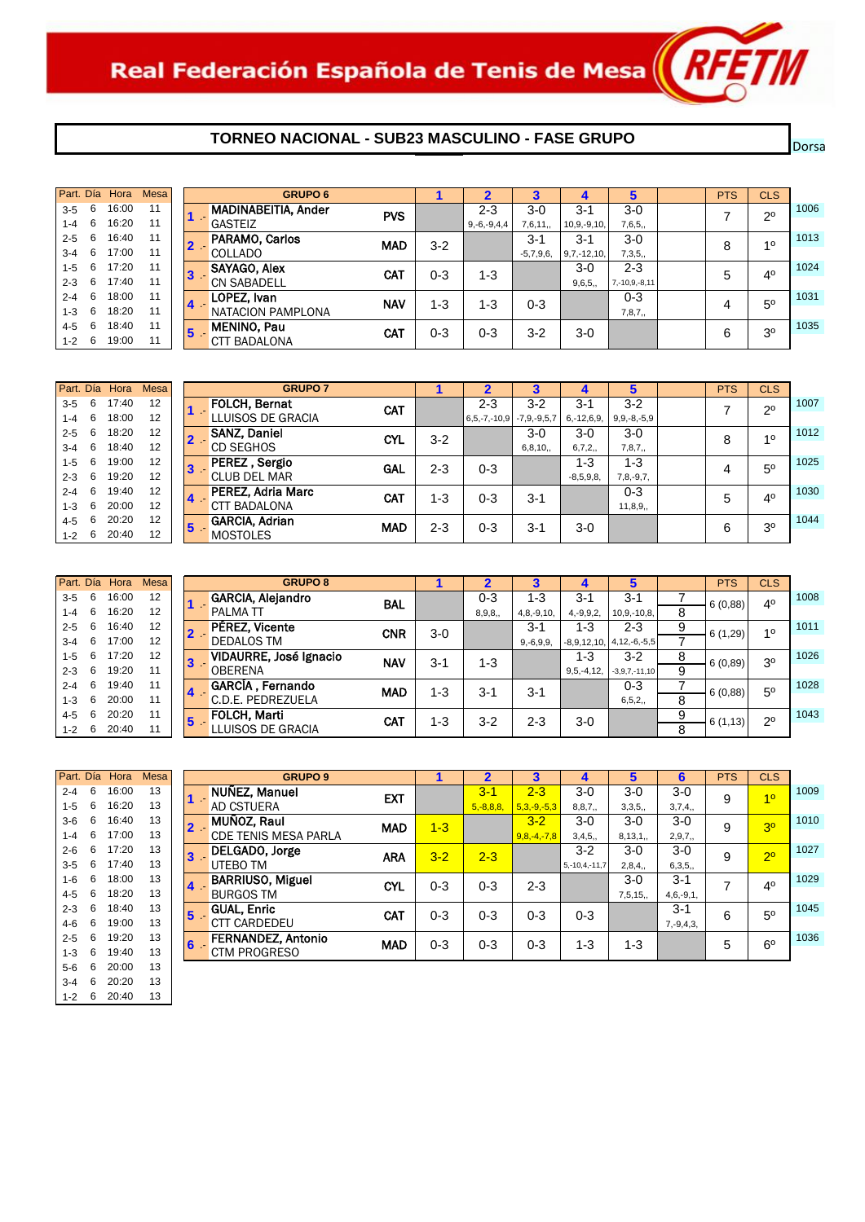# **TORNEO NACIONAL - SUB23 MASCULINO - FASE GRUPO**

| Part. Día |   | Hora  | Mesa |                | <b>GRUPO 6</b>             |            |         |               |             |                  |                     | <b>PTS</b> | <b>CLS</b>     |      |
|-----------|---|-------|------|----------------|----------------------------|------------|---------|---------------|-------------|------------------|---------------------|------------|----------------|------|
| $3 - 5$   | 6 | 16:00 | 11   |                | <b>MADINABEITIA, Ander</b> | <b>PVS</b> |         | $2 - 3$       | 3-0         | $3 - 1$          | 3-0                 |            | $2^{\circ}$    | 1006 |
| 1-4       | 6 | 16:20 | 11   |                | <b>GASTEIZ</b>             |            |         | $9,-6,-9,4,4$ | 7,6,11,     | $10, 9, -9, 10,$ | 7,6,5,              |            |                |      |
| $2 - 5$   | 6 | 16:40 | 11   |                | PARAMO, Carlos             | <b>MAD</b> | $3-2$   |               | $3-1$       | $3 - 1$          | $3-0$               | 8          | 10             | 1013 |
| $3 - 4$   | 6 | 17:00 | 11   |                | <b>COLLADO</b>             |            |         |               | $-5,7,9,6,$ | $9,7,-12,10,$    | 7,3,5,              |            |                |      |
| $1 - 5$   | 6 | 17:20 | 11   | 3              | <b>SAYAGO, Alex</b>        | <b>CAT</b> | $0 - 3$ | 1-3           |             | $3-0$            | $2 - 3$             | 5          | 4 <sup>0</sup> | 1024 |
| $2 - 3$   | 6 | 17:40 | 11   |                | <b>CN SABADELL</b>         |            |         |               |             | 9,6,5,           | $7, -10, 9, -8, 11$ |            |                |      |
| $2 - 4$   | 6 | 18:00 | 11   | $\overline{4}$ | LOPEZ, Ivan                | <b>NAV</b> | $1 - 3$ | $1 - 3$       | $0 - 3$     |                  | $0 - 3$             | 4          | 5 <sup>0</sup> | 1031 |
| $1 - 3$   | 6 | 18:20 | 11   |                | NATACION PAMPLONA          |            |         |               |             |                  | 7,8,7,              |            |                |      |
| 4-5       | 6 | 18:40 | 11   | 15             | <b>MENINO, Pau</b>         | CAT        | $0 - 3$ | 0-3           | $3 - 2$     | $3-0$            |                     | 6          | 30             | 1035 |
| $1 - 2$   | 6 | 19:00 | 11   |                | <b>CTT BADALONA</b>        |            |         |               |             |                  |                     |            |                |      |

|             | Part. Día | Hora  | <b>Mesa</b> |    | <b>GRUPO 7</b>        |            |         |                    |                   |                 |                   | <b>PTS</b> | CLS            |      |
|-------------|-----------|-------|-------------|----|-----------------------|------------|---------|--------------------|-------------------|-----------------|-------------------|------------|----------------|------|
| $3 - 5$     | 6         | 17:40 | 12          |    | <b>FOLCH, Bernat</b>  | CAT        |         | $2 - 3$            | $3 - 2$           | $3-1$           | $3 - 2$           |            | $2^{\circ}$    | 1007 |
| $1 - 4$     | 6         | 18:00 | 12          |    | LLUISOS DE GRACIA     |            |         | $6, 5, -7, -10, 9$ | $-7, 9, -9, 5, 7$ | $6, -12, 6, 9,$ | $9, 9, -8, -5, 9$ |            |                |      |
| $2 - 5$     | 6         | 18:20 | 12          |    | <b>SANZ, Daniel</b>   | <b>CYL</b> | $3 - 2$ |                    | $3-0$             | $3-0$           | $3-0$             | 8          | 10             | 1012 |
| 3-4         | 6         | 18:40 | 12          |    | <b>CD SEGHOS</b>      |            |         |                    | 6, 8, 10,         | 6,7,2,          | 7,8,7,            |            |                |      |
| 1-5         | 6         | 19:00 | 12          |    | PEREZ, Sergio         | GAL        | $2 - 3$ | $0 - 3$            |                   | 1-3             | $1 - 3$           | 4          | $5^{\circ}$    | 1025 |
| $2 - 3$     | 6         | 19:20 | 12          |    | <b>CLUB DEL MAR</b>   |            |         |                    |                   | $-8,5,9,8,$     | $7,8,-9,7,$       |            |                |      |
| $2 - 4$     | 6         | 19:40 | 12          | 14 | PEREZ, Adria Marc     | <b>CAT</b> | 1-3     | $0 - 3$            | $3 - 1$           |                 | $0 - 3$           | 5          | 4°             | 1030 |
| $1 - 3$     | 6         | 20:00 | 12          |    | <b>CTT BADALONA</b>   |            |         |                    |                   |                 | 11,8,9,           |            |                |      |
| 4-5         | 6         | 20:20 | 12          |    | <b>GARCIA, Adrian</b> | <b>MAD</b> |         |                    |                   |                 |                   |            | 3 <sup>o</sup> | 1044 |
| $1 - 2 = 6$ |           | 20:40 | 12          | 15 | <b>MOSTOLES</b>       |            | $2 - 3$ | $0 - 3$            | $3 - 1$           | $3-0$           |                   | 6          |                |      |
|             |           |       |             |    |                       |            |         |                    |                   |                 |                   |            |                |      |

| Part. Día |   | Hora  | <b>Mesa</b> |          | <b>GRUPO 8</b>               |            |         |         |               |                 |                               |   | <b>PTS</b> | <b>CLS</b>     |      |
|-----------|---|-------|-------------|----------|------------------------------|------------|---------|---------|---------------|-----------------|-------------------------------|---|------------|----------------|------|
| $3 - 5$   | 6 | 16:00 | 12          |          | <b>GARCIA, Alejandro</b>     | <b>BAL</b> |         | 0-3     | 1-3           | $3-1$           | $3 - 1$                       |   | 6(0,88)    | 4 <sup>0</sup> | 1008 |
| $1 - 4$   | 6 | 16:20 | 12          |          | PALMA TT                     |            |         | 8,9,8,  | $4,8,-9,10,$  | $4, -9, 9, 2,$  | $10, 9, -10, 8,$              | 8 |            |                |      |
| $2 - 5$   | 6 | 16:40 | 12          |          | PEREZ, Vicente<br>$2 -$      | <b>CNR</b> | $3-0$   |         | $3 - 1$       | 1-3             | $2 - 3$                       | 9 | 6(1,29)    | 10             | 1011 |
| $3 - 4$   | 6 | 17:00 | 12          |          | <b>DEDALOS TM</b>            |            |         |         | $9, -6, 9, 9$ |                 | $-8,9,12,10,   4,12,-6,-5,5 $ |   |            |                |      |
| $1 - 5$   | 6 | 17:20 | 12          | <b>3</b> | VIDAURRE, José Ignacio       | <b>NAV</b> | $3 - 1$ | 1-3     |               | 1-3             | $3 - 2$                       | 8 | 6(0,89)    | 3 <sup>o</sup> | 1026 |
| $2 - 3$   | 6 | 19:20 |             |          | <b>OBERENA</b>               |            |         |         |               | $9, 5, -4, 12,$ | $-3,9,7,-11,10$               | 9 |            |                |      |
| $2 - 4$   | 6 | 19:40 | 11          | 14       | GARCÍA, Fernando             | <b>MAD</b> | $1 - 3$ | $3-1$   | $3 - 1$       |                 | $0 - 3$                       |   | 6(0,88)    | $5^{\circ}$    | 1028 |
| $1 - 3$   | 6 | 20:00 | 11          |          | C.D.E. PEDREZUELA            |            |         |         |               |                 | 6, 5, 2,                      | 8 |            |                |      |
| $4 - 5$   | 6 | 20:20 | 11          |          | <b>FOLCH, Marti</b><br>$5 -$ | <b>CAT</b> | $1 - 3$ | $3 - 2$ | $2 - 3$       | $3-0$           |                               | 9 |            | $2^{\circ}$    | 1043 |
| $1 - 2$   | 6 | 20:40 | 11          |          | LLUISOS DE GRACIA            |            |         |         |               |                 |                               | 8 | 6(1, 13)   |                |      |

| Part, Día |   | Hora  | <b>Mesa</b> |
|-----------|---|-------|-------------|
| $2 - 4$   | 6 | 16:00 | 13          |
| $1 - 5$   | 6 | 16:20 | 13          |
| $3-6$     | 6 | 16:40 | 13          |
| $1 - 4$   | 6 | 17:00 | 13          |
| $2 - 6$   | 6 | 17:20 | 13          |
| $3 - 5$   | 6 | 17:40 | 13          |
| $1 - 6$   | 6 | 18:00 | 13          |
| $4 - 5$   | 6 | 18:20 | 13          |
| $2 - 3$   | 6 | 18:40 | 13          |
| $4-6$     | 6 | 19:00 | 13          |
| $2 - 5$   | 6 | 19:20 | 13          |
| $1 - 3$   | 6 | 19:40 | 13          |
| $5-6$     | 6 | 20:00 | 13          |
| $3 - 4$   | 6 | 20:20 | 13          |
| $1 - 2$   | 6 | 20:40 | 13          |

| Part. Día |   | Hora                  | <b>Mesa</b> |    | <b>GRUPO 9</b>              |            |         | $\overline{2}$ | 3             | 4               | 5       | 6              | <b>PTS</b> | <b>CLS</b>     |      |
|-----------|---|-----------------------|-------------|----|-----------------------------|------------|---------|----------------|---------------|-----------------|---------|----------------|------------|----------------|------|
| $2 - 4$   | 6 | 16:00                 | 13          |    | NUÑEZ, Manuel               | <b>EXT</b> |         | $3 - 1$        | $2 - 3$       | $3-0$           | 3-0     | $3-0$          | 9          | 10             | 1009 |
| $1 - 5$   | 6 | 16:20                 | 13          |    | <b>AD CSTUERA</b>           |            |         | $5,-8,8,8,$    | $5,3,-9,-5,3$ | 8, 8, 7,        | 3,3,5,  | 3,7,4,         |            |                |      |
| $3-6$     | 6 | 16:40                 | 13          |    | MUÑOZ, Raul                 | <b>MAD</b> | $1 - 3$ |                | $3 - 2$       | $3-0$           | 3-0     | $3-0$          | 9          | 3 <sup>0</sup> | 1010 |
| $1 - 4$   | 6 | 17:00                 | 13          |    | <b>CDE TENIS MESA PARLA</b> |            |         |                | $9,8,-4,-7,8$ | 3,4,5,          | 8,13,1, | 2, 9, 7,       |            |                |      |
| $2 - 6$   | 6 | 17:20                 | 13          | 13 | DELGADO, Jorge              | ARA        | $3 - 2$ | $2 - 3$        |               | $3-2$           | 3-0     | $3-0$          | 9          | 20             | 1027 |
| $3-5$     | 6 | 17:40                 | 13          |    | UTEBO TM                    |            |         |                |               | $5,-10,4,-11,7$ | 2,8,4,  | 6,3,5,         |            |                |      |
| $1 - 6$   | 6 | 18:00                 | 13          | 14 | <b>BARRIUSO, Miguel</b>     | <b>CYL</b> | $0 - 3$ | $0 - 3$        | $2 - 3$       |                 | $3-0$   | $3-1$          |            | 40             | 1029 |
| 4-5       | 6 | 18:20                 | 13          |    | <b>BURGOS TM</b>            |            |         |                |               |                 | 7,5,15, | $4,6,-9,1,$    |            |                |      |
| $2 - 3$   | 6 | 18:40                 | 13          | 5  | <b>GUAL, Enric</b>          | <b>CAT</b> | $0 - 3$ | $0 - 3$        | $0 - 3$       | $0 - 3$         |         | $3 - 1$        | 6          | $5^{\circ}$    | 1045 |
| 4-6       | 6 | 19:00                 | 13          |    | <b>CTT CARDEDEU</b>         |            |         |                |               |                 |         | $7, -9, 4, 3,$ |            |                |      |
| $2 - 5$   | 6 | 19:20                 | 13          | 16 | FERNANDEZ, Antonio          | <b>MAD</b> | $0 - 3$ | $0 - 3$        | $0 - 3$       | $1 - 3$         | $1 - 3$ |                | 5          | $6^{\circ}$    | 1036 |
| $1 - 3$   | 6 | 19:40                 | 13          |    | <b>CTM PROGRESO</b>         |            |         |                |               |                 |         |                |            |                |      |
|           |   | $E_C = 6.20 \cdot 00$ | 12          |    |                             |            |         |                |               |                 |         |                |            |                |      |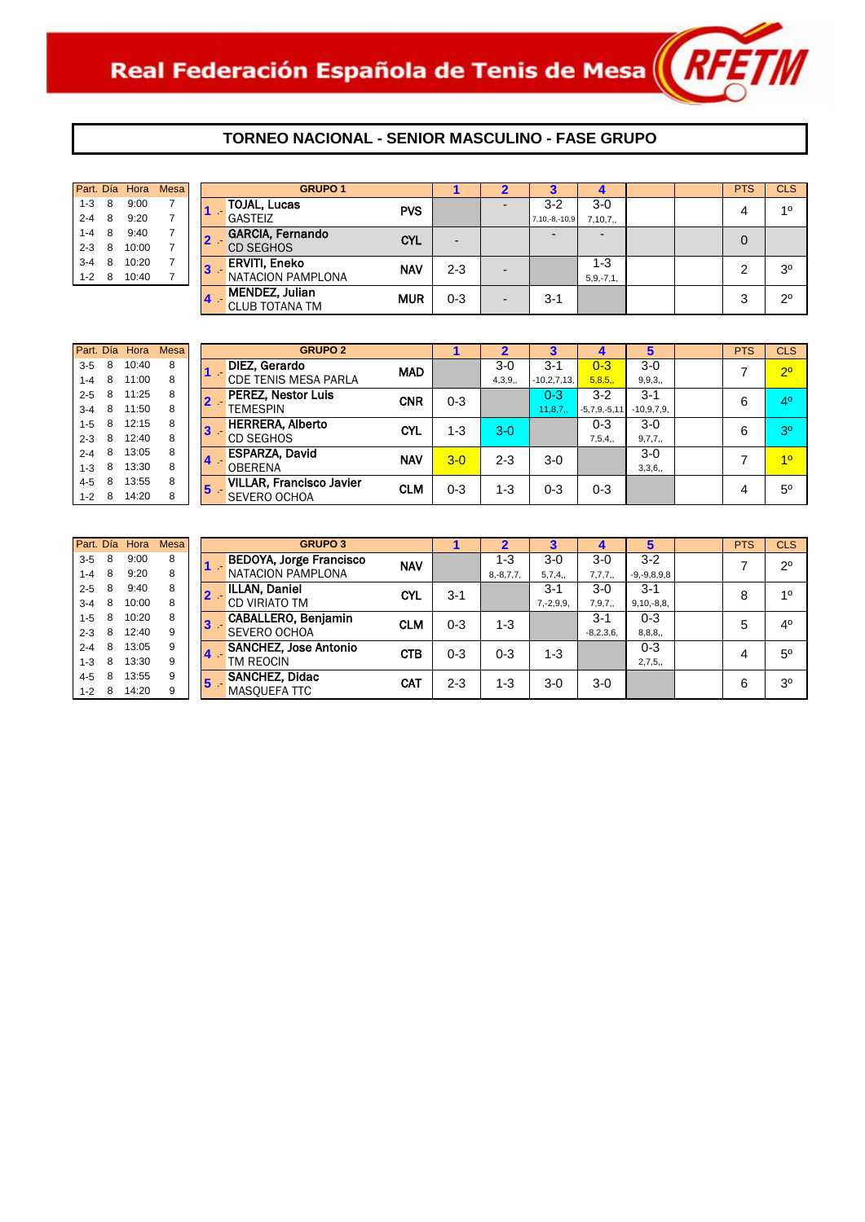

|                     | Mesa |       |   | Part. Día Hora |
|---------------------|------|-------|---|----------------|
| <b>TOJAL, Luca</b>  |      | 9:00  | 8 | $1 - 3$        |
| <b>GASTEIZ</b>      |      | 9:20  | 8 | $2 - 4$        |
| <b>GARCIA, Fer</b>  | 7    | 9:40  | 8 | $1 - 4$        |
| <b>CD SEGHOS</b>    | 7    | 10:00 | 8 | $2 - 3$        |
| <b>ERVITI, Enel</b> |      | 10.20 | 8 | $3 - 4$        |
| <b>NATACION P</b>   |      | 10:40 | 8 | $1 - 2$        |
| 1. <del>. .</del>   |      |       |   |                |

| Part. Día Hora |   |       | Mesa |          | <b>GRUPO 1</b>                                 |            |                          | $\mathbf{2}$             |                     | 4              |  | <b>PTS</b> | <b>CLS</b>     |
|----------------|---|-------|------|----------|------------------------------------------------|------------|--------------------------|--------------------------|---------------------|----------------|--|------------|----------------|
| $1 - 3$<br>8   |   | 9:00  |      |          | <b>TOJAL, Lucas</b>                            | <b>PVS</b> |                          |                          | $3 - 2$             | $3-0$          |  | 4          | 10             |
| $2 - 4$<br>8   |   | 9:20  |      |          | <b>GASTEIZ</b>                                 |            |                          |                          | $7, 10, -8, -10, 9$ | 7,10,7,        |  |            |                |
| $1 - 4$<br>8   |   | 9:40  |      |          | GARCIA, Fernando                               | <b>CYL</b> | $\overline{\phantom{0}}$ |                          |                     | $\overline{a}$ |  | 0          |                |
| $2 - 3$<br>8   |   | 10:00 |      |          | <b>CD SEGHOS</b>                               |            |                          |                          |                     |                |  |            |                |
| $3 - 4$        | 8 | 10:20 |      | <b>B</b> | <b>ERVITI, Eneko</b>                           | <b>NAV</b> | $2 - 3$                  | -                        |                     | 1-3            |  | ົ          | 3 <sup>o</sup> |
| $1 - 2$<br>8   |   | 10:40 |      |          | NATACION PAMPLONA                              |            |                          |                          |                     | $5, 9, -7, 1,$ |  |            |                |
|                |   |       |      |          | <b>MENDEZ, Julian</b><br><b>CLUB TOTANA TM</b> | <b>MUR</b> | $0 - 3$                  | $\overline{\phantom{a}}$ | $3 - 1$             |                |  | 3          | $2^{\circ}$    |

|         |    | Part. Día Hora | <b>Mesa</b> |               | <b>GRUPO 2</b>                  |                                        |                               | 2                       |                  |                |              | <b>PTS</b> | <b>CLS</b>                          |
|---------|----|----------------|-------------|---------------|---------------------------------|----------------------------------------|-------------------------------|-------------------------|------------------|----------------|--------------|------------|-------------------------------------|
| $3-5$   | 8  | 10:40          | 8           |               | DIEZ, Gerardo                   | <b>MAD</b>                             |                               | $3-0$                   | $3 - 1$          | $0 - 3$        | $3-0$        |            | 2 <sup>0</sup>                      |
| $1 - 4$ | -8 | 11:00          | 8           |               | <b>CDE TENIS MESA PARLA</b>     |                                        |                               | 4,3,9,                  | $-10,2,7,13,$    | 5,8,5,         | 9, 9, 3,     |            |                                     |
| $2 - 5$ | 8  | 11:25          | 8           |               | <b>PEREZ, Nestor Luis</b>       | <b>CNR</b>                             | $0 - 3$                       |                         | $0 - 3$          | $3-2$          | $3 - 1$      | 6          | 4 <sup>0</sup>                      |
| $3 - 4$ | 8  | 11:50          | 8           |               | <b>TEMESPIN</b>                 |                                        |                               |                         | 11,8,7,          | $-5,7,9,-5,11$ | $-10,9,7,9,$ |            |                                     |
| $1 - 5$ | 8  | 12:15          | 8           |               | <b>HERRERA, Alberto</b>         |                                        |                               |                         |                  | $0 - 3$        | $3-0$        |            |                                     |
| $2 - 3$ | 8  | 12:40          | 8           |               | <b>CD SEGHOS</b>                |                                        |                               |                         |                  | 7,5,4,         | 9,7,7,       |            |                                     |
| $2 - 4$ | 8  | 13:05          | 8           |               | <b>ESPARZA, David</b>           |                                        |                               |                         |                  |                | $3-0$        |            |                                     |
| $1 - 3$ | 8  | 13:30          | 8           |               | <b>OBERENA</b>                  |                                        |                               |                         |                  |                | 3,3,6,       |            |                                     |
| $4 - 5$ | 8  | 13:55          | 8           |               | <b>VILLAR, Francisco Javier</b> |                                        |                               |                         |                  |                |              |            |                                     |
| $1 - 2$ | 8  | 14:20          | 8           |               | SEVERO OCHOA                    |                                        |                               |                         |                  |                |              |            |                                     |
|         |    |                |             | 13<br>14<br>5 |                                 | <b>CYL</b><br><b>NAV</b><br><b>CLM</b> | $1 - 3$<br>$3 - 0$<br>$0 - 3$ | $3-0$<br>$2 - 3$<br>1-3 | $3-0$<br>$0 - 3$ | $0 - 3$        |              | 6<br>4     | 3 <sup>o</sup><br>10<br>$5^{\circ}$ |

| Part. Día |   | Hora  | <b>Mesa</b> |    | <b>GRUPO 3</b>                 |            |         |                |                |             |                   | <b>PTS</b> | <b>CLS</b>     |
|-----------|---|-------|-------------|----|--------------------------------|------------|---------|----------------|----------------|-------------|-------------------|------------|----------------|
| $3-5$     | 8 | 9:00  | 8           |    | <b>BEDOYA, Jorge Francisco</b> | <b>NAV</b> |         | $1 - 3$        | $3-0$          | $3-0$       | $3-2$             |            | $2^{\circ}$    |
| $1 - 4$   | 8 | 9:20  | 8           |    | NATACION PAMPLONA              |            |         | $8, -8, 7, 7,$ | 5,7,4,         | 7,7,7,      | $-9, -9, 8, 9, 8$ |            |                |
| $2 - 5$   | 8 | 9:40  | 8           |    | <b>ILLAN, Daniel</b>           | <b>CYL</b> | $3-1$   |                | $3 - 1$        | $3-0$       | $3 - 1$           | 8          | 10             |
| $3 - 4$   | 8 | 10:00 | 8           |    | <b>CD VIRIATO TM</b>           |            |         |                | $7, -2, 9, 9,$ | 7,9,7,      | $9,10,-8,8,$      |            |                |
| $1 - 5$   | 8 | 10:20 | 8           | 3  | CABALLERO, Benjamin            | <b>CLM</b> | $0 - 3$ | $1 - 3$        |                | $3 - 1$     | $0 - 3$           | 5          | $4^{\circ}$    |
| $2 - 3$   | 8 | 12:40 | 9           |    | SEVERO OCHOA                   |            |         |                |                | $-8,2,3,6,$ | 8, 8, 8,          |            |                |
| $2 - 4$   | 8 | 13:05 | 9           | 14 | <b>SANCHEZ, Jose Antonio</b>   | <b>CTB</b> | $0 - 3$ | 0-3            | $1 - 3$        |             | $0 - 3$           | 4          | $5^{\circ}$    |
| $1 - 3$   | 8 | 13:30 | 9           |    | TM REOCIN                      |            |         |                |                |             | 2,7,5,            |            |                |
| $4 - 5$   | 8 | 13:55 | 9           | 5  | <b>SANCHEZ, Didac</b>          | <b>CAT</b> | $2 - 3$ | $1 - 3$        | $3-0$          | $3-0$       |                   | 6          | 3 <sup>o</sup> |
| $1 - 2$   | 8 | 14:20 | 9           |    | <b>MASOUEFA TTC</b>            |            |         |                |                |             |                   |            |                |